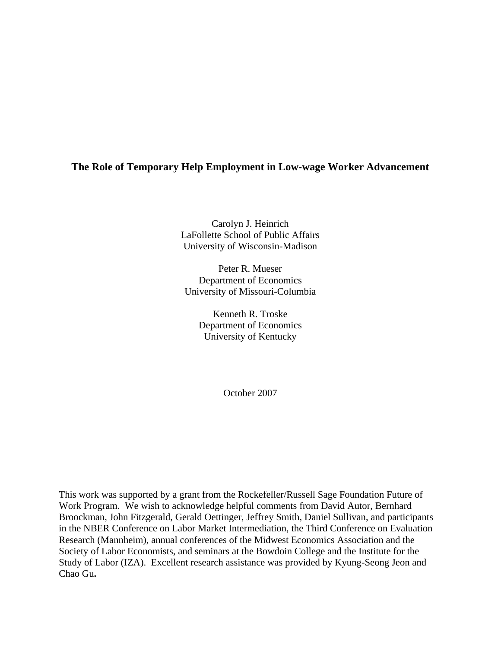# **The Role of Temporary Help Employment in Low-wage Worker Advancement**

Carolyn J. Heinrich LaFollette School of Public Affairs University of Wisconsin-Madison

Peter R. Mueser Department of Economics University of Missouri-Columbia

> Kenneth R. Troske Department of Economics University of Kentucky

> > October 2007

This work was supported by a grant from the Rockefeller/Russell Sage Foundation Future of Work Program. We wish to acknowledge helpful comments from David Autor, Bernhard Broockman, John Fitzgerald, Gerald Oettinger, Jeffrey Smith, Daniel Sullivan, and participants in the NBER Conference on Labor Market Intermediation, the Third Conference on Evaluation Research (Mannheim), annual conferences of the Midwest Economics Association and the Society of Labor Economists, and seminars at the Bowdoin College and the Institute for the Study of Labor (IZA). Excellent research assistance was provided by Kyung-Seong Jeon and Chao Gu**.**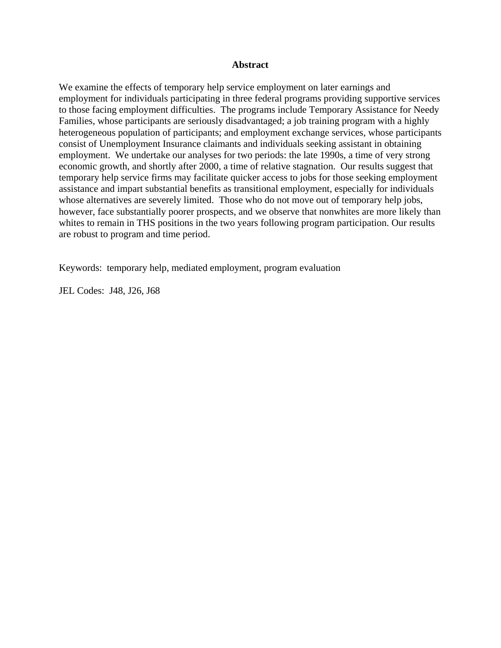## **Abstract**

We examine the effects of temporary help service employment on later earnings and employment for individuals participating in three federal programs providing supportive services to those facing employment difficulties. The programs include Temporary Assistance for Needy Families, whose participants are seriously disadvantaged; a job training program with a highly heterogeneous population of participants; and employment exchange services, whose participants consist of Unemployment Insurance claimants and individuals seeking assistant in obtaining employment. We undertake our analyses for two periods: the late 1990s, a time of very strong economic growth, and shortly after 2000, a time of relative stagnation. Our results suggest that temporary help service firms may facilitate quicker access to jobs for those seeking employment assistance and impart substantial benefits as transitional employment, especially for individuals whose alternatives are severely limited. Those who do not move out of temporary help jobs, however, face substantially poorer prospects, and we observe that nonwhites are more likely than whites to remain in THS positions in the two years following program participation. Our results are robust to program and time period.

Keywords: temporary help, mediated employment, program evaluation

JEL Codes: J48, J26, J68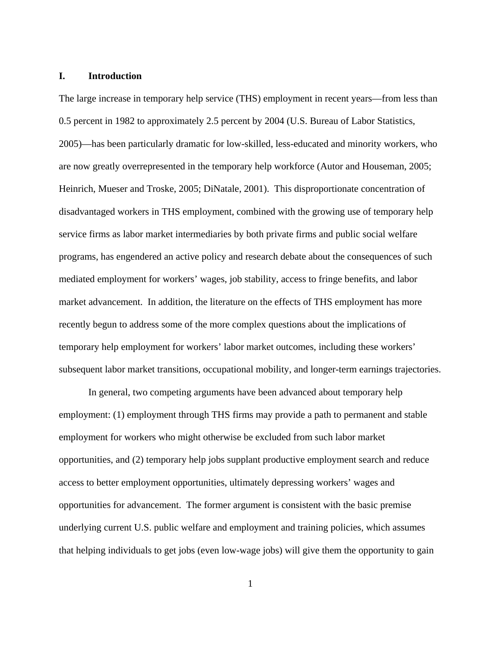#### **I. Introduction**

The large increase in temporary help service (THS) employment in recent years—from less than 0.5 percent in 1982 to approximately 2.5 percent by 2004 (U.S. Bureau of Labor Statistics, 2005)—has been particularly dramatic for low-skilled, less-educated and minority workers, who are now greatly overrepresented in the temporary help workforce (Autor and Houseman, 2005; Heinrich, Mueser and Troske, 2005; DiNatale, 2001). This disproportionate concentration of disadvantaged workers in THS employment, combined with the growing use of temporary help service firms as labor market intermediaries by both private firms and public social welfare programs, has engendered an active policy and research debate about the consequences of such mediated employment for workers' wages, job stability, access to fringe benefits, and labor market advancement. In addition, the literature on the effects of THS employment has more recently begun to address some of the more complex questions about the implications of temporary help employment for workers' labor market outcomes, including these workers' subsequent labor market transitions, occupational mobility, and longer-term earnings trajectories.

In general, two competing arguments have been advanced about temporary help employment: (1) employment through THS firms may provide a path to permanent and stable employment for workers who might otherwise be excluded from such labor market opportunities, and (2) temporary help jobs supplant productive employment search and reduce access to better employment opportunities, ultimately depressing workers' wages and opportunities for advancement. The former argument is consistent with the basic premise underlying current U.S. public welfare and employment and training policies, which assumes that helping individuals to get jobs (even low-wage jobs) will give them the opportunity to gain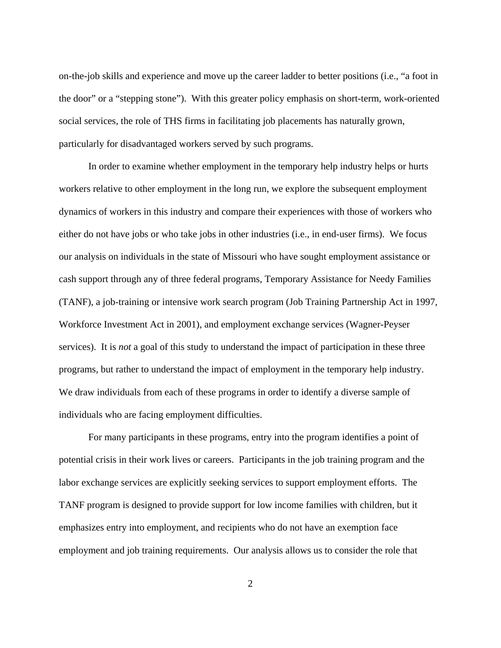on-the-job skills and experience and move up the career ladder to better positions (i.e., "a foot in the door" or a "stepping stone"). With this greater policy emphasis on short-term, work-oriented social services, the role of THS firms in facilitating job placements has naturally grown, particularly for disadvantaged workers served by such programs.

In order to examine whether employment in the temporary help industry helps or hurts workers relative to other employment in the long run, we explore the subsequent employment dynamics of workers in this industry and compare their experiences with those of workers who either do not have jobs or who take jobs in other industries (i.e., in end-user firms). We focus our analysis on individuals in the state of Missouri who have sought employment assistance or cash support through any of three federal programs, Temporary Assistance for Needy Families (TANF), a job-training or intensive work search program (Job Training Partnership Act in 1997, Workforce Investment Act in 2001), and employment exchange services (Wagner-Peyser services). It is *not* a goal of this study to understand the impact of participation in these three programs, but rather to understand the impact of employment in the temporary help industry. We draw individuals from each of these programs in order to identify a diverse sample of individuals who are facing employment difficulties.

For many participants in these programs, entry into the program identifies a point of potential crisis in their work lives or careers. Participants in the job training program and the labor exchange services are explicitly seeking services to support employment efforts. The TANF program is designed to provide support for low income families with children, but it emphasizes entry into employment, and recipients who do not have an exemption face employment and job training requirements. Our analysis allows us to consider the role that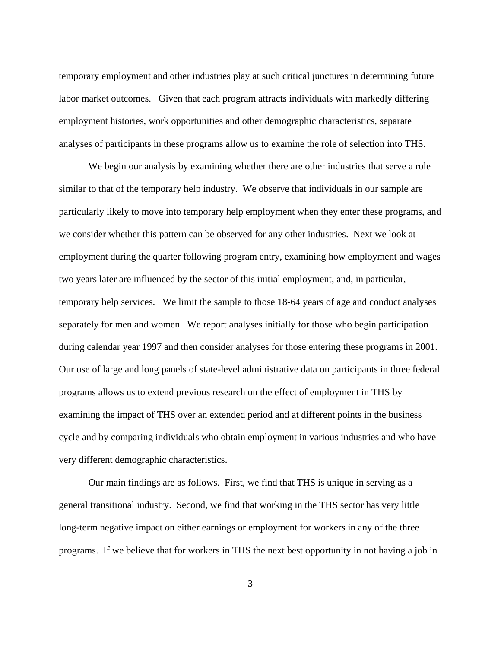temporary employment and other industries play at such critical junctures in determining future labor market outcomes. Given that each program attracts individuals with markedly differing employment histories, work opportunities and other demographic characteristics, separate analyses of participants in these programs allow us to examine the role of selection into THS.

 We begin our analysis by examining whether there are other industries that serve a role similar to that of the temporary help industry. We observe that individuals in our sample are particularly likely to move into temporary help employment when they enter these programs, and we consider whether this pattern can be observed for any other industries. Next we look at employment during the quarter following program entry, examining how employment and wages two years later are influenced by the sector of this initial employment, and, in particular, temporary help services. We limit the sample to those 18-64 years of age and conduct analyses separately for men and women. We report analyses initially for those who begin participation during calendar year 1997 and then consider analyses for those entering these programs in 2001. Our use of large and long panels of state-level administrative data on participants in three federal programs allows us to extend previous research on the effect of employment in THS by examining the impact of THS over an extended period and at different points in the business cycle and by comparing individuals who obtain employment in various industries and who have very different demographic characteristics.

 Our main findings are as follows. First, we find that THS is unique in serving as a general transitional industry. Second, we find that working in the THS sector has very little long-term negative impact on either earnings or employment for workers in any of the three programs. If we believe that for workers in THS the next best opportunity in not having a job in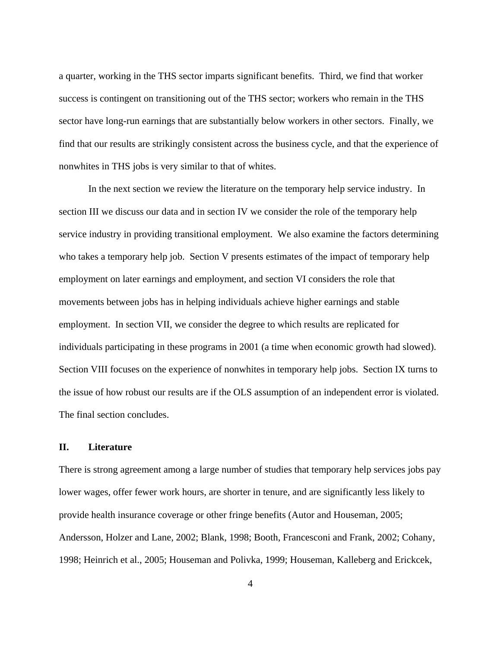a quarter, working in the THS sector imparts significant benefits. Third, we find that worker success is contingent on transitioning out of the THS sector; workers who remain in the THS sector have long-run earnings that are substantially below workers in other sectors. Finally, we find that our results are strikingly consistent across the business cycle, and that the experience of nonwhites in THS jobs is very similar to that of whites.

 In the next section we review the literature on the temporary help service industry. In section III we discuss our data and in section IV we consider the role of the temporary help service industry in providing transitional employment. We also examine the factors determining who takes a temporary help job. Section V presents estimates of the impact of temporary help employment on later earnings and employment, and section VI considers the role that movements between jobs has in helping individuals achieve higher earnings and stable employment. In section VII, we consider the degree to which results are replicated for individuals participating in these programs in 2001 (a time when economic growth had slowed). Section VIII focuses on the experience of nonwhites in temporary help jobs. Section IX turns to the issue of how robust our results are if the OLS assumption of an independent error is violated. The final section concludes.

# **II. Literature**

There is strong agreement among a large number of studies that temporary help services jobs pay lower wages, offer fewer work hours, are shorter in tenure, and are significantly less likely to provide health insurance coverage or other fringe benefits (Autor and Houseman, 2005; Andersson, Holzer and Lane, 2002; Blank, 1998; Booth, Francesconi and Frank, 2002; Cohany, 1998; Heinrich et al., 2005; Houseman and Polivka, 1999; Houseman, Kalleberg and Erickcek,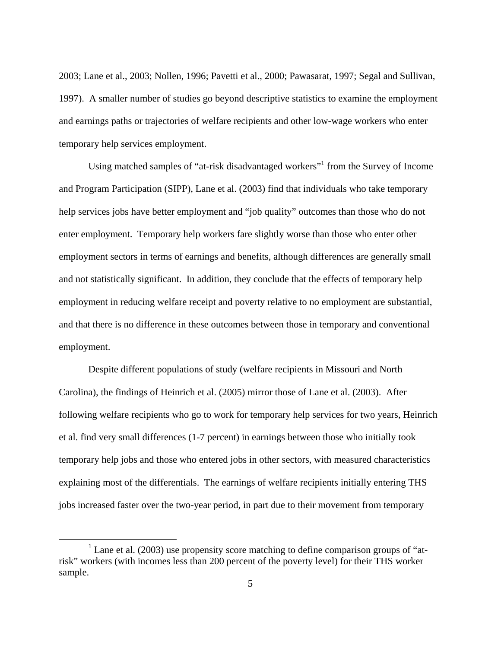2003; Lane et al., 2003; Nollen, 1996; Pavetti et al., 2000; Pawasarat, 1997; Segal and Sullivan, 1997). A smaller number of studies go beyond descriptive statistics to examine the employment and earnings paths or trajectories of welfare recipients and other low-wage workers who enter temporary help services employment.

Using matched samples of "at-risk disadvantaged workers"<sup>1</sup> from the Survey of Income and Program Participation (SIPP), Lane et al. (2003) find that individuals who take temporary help services jobs have better employment and "job quality" outcomes than those who do not enter employment. Temporary help workers fare slightly worse than those who enter other employment sectors in terms of earnings and benefits, although differences are generally small and not statistically significant. In addition, they conclude that the effects of temporary help employment in reducing welfare receipt and poverty relative to no employment are substantial, and that there is no difference in these outcomes between those in temporary and conventional employment.

 Despite different populations of study (welfare recipients in Missouri and North Carolina), the findings of Heinrich et al. (2005) mirror those of Lane et al. (2003). After following welfare recipients who go to work for temporary help services for two years, Heinrich et al. find very small differences (1-7 percent) in earnings between those who initially took temporary help jobs and those who entered jobs in other sectors, with measured characteristics explaining most of the differentials. The earnings of welfare recipients initially entering THS jobs increased faster over the two-year period, in part due to their movement from temporary

<sup>&</sup>lt;u>1</u>  $^1$  Lane et al. (2003) use propensity score matching to define comparison groups of "atrisk" workers (with incomes less than 200 percent of the poverty level) for their THS worker sample.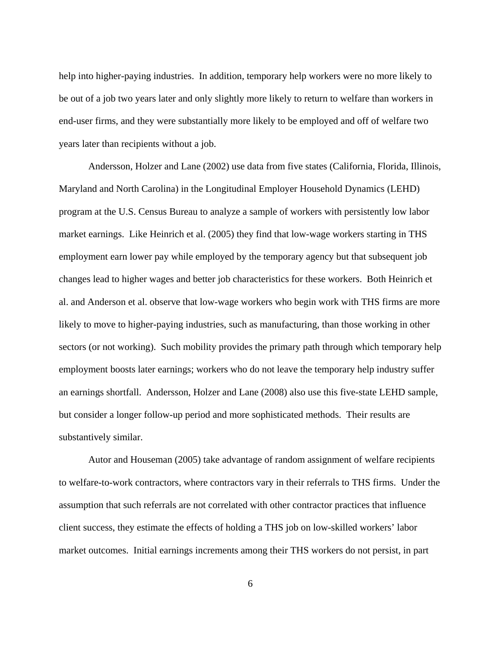help into higher-paying industries. In addition, temporary help workers were no more likely to be out of a job two years later and only slightly more likely to return to welfare than workers in end-user firms, and they were substantially more likely to be employed and off of welfare two years later than recipients without a job.

 Andersson, Holzer and Lane (2002) use data from five states (California, Florida, Illinois, Maryland and North Carolina) in the Longitudinal Employer Household Dynamics (LEHD) program at the U.S. Census Bureau to analyze a sample of workers with persistently low labor market earnings. Like Heinrich et al. (2005) they find that low-wage workers starting in THS employment earn lower pay while employed by the temporary agency but that subsequent job changes lead to higher wages and better job characteristics for these workers. Both Heinrich et al. and Anderson et al. observe that low-wage workers who begin work with THS firms are more likely to move to higher-paying industries, such as manufacturing, than those working in other sectors (or not working). Such mobility provides the primary path through which temporary help employment boosts later earnings; workers who do not leave the temporary help industry suffer an earnings shortfall. Andersson, Holzer and Lane (2008) also use this five-state LEHD sample, but consider a longer follow-up period and more sophisticated methods. Their results are substantively similar.

Autor and Houseman (2005) take advantage of random assignment of welfare recipients to welfare-to-work contractors, where contractors vary in their referrals to THS firms. Under the assumption that such referrals are not correlated with other contractor practices that influence client success, they estimate the effects of holding a THS job on low-skilled workers' labor market outcomes. Initial earnings increments among their THS workers do not persist, in part

6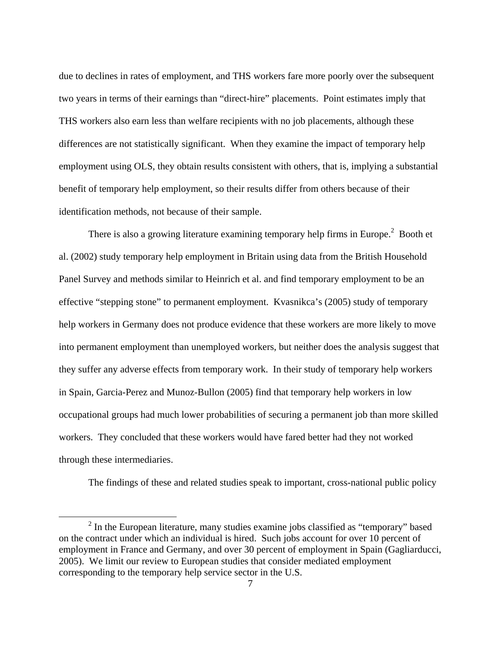due to declines in rates of employment, and THS workers fare more poorly over the subsequent two years in terms of their earnings than "direct-hire" placements. Point estimates imply that THS workers also earn less than welfare recipients with no job placements, although these differences are not statistically significant. When they examine the impact of temporary help employment using OLS, they obtain results consistent with others, that is, implying a substantial benefit of temporary help employment, so their results differ from others because of their identification methods, not because of their sample.

There is also a growing literature examining temporary help firms in Europe.<sup>2</sup> Booth et al. (2002) study temporary help employment in Britain using data from the British Household Panel Survey and methods similar to Heinrich et al. and find temporary employment to be an effective "stepping stone" to permanent employment. Kvasnikca's (2005) study of temporary help workers in Germany does not produce evidence that these workers are more likely to move into permanent employment than unemployed workers, but neither does the analysis suggest that they suffer any adverse effects from temporary work. In their study of temporary help workers in Spain, Garcia-Perez and Munoz-Bullon (2005) find that temporary help workers in low occupational groups had much lower probabilities of securing a permanent job than more skilled workers. They concluded that these workers would have fared better had they not worked through these intermediaries.

The findings of these and related studies speak to important, cross-national public policy

 <sup>2</sup>  $<sup>2</sup>$  In the European literature, many studies examine jobs classified as "temporary" based</sup> on the contract under which an individual is hired. Such jobs account for over 10 percent of employment in France and Germany, and over 30 percent of employment in Spain (Gagliarducci, 2005). We limit our review to European studies that consider mediated employment corresponding to the temporary help service sector in the U.S.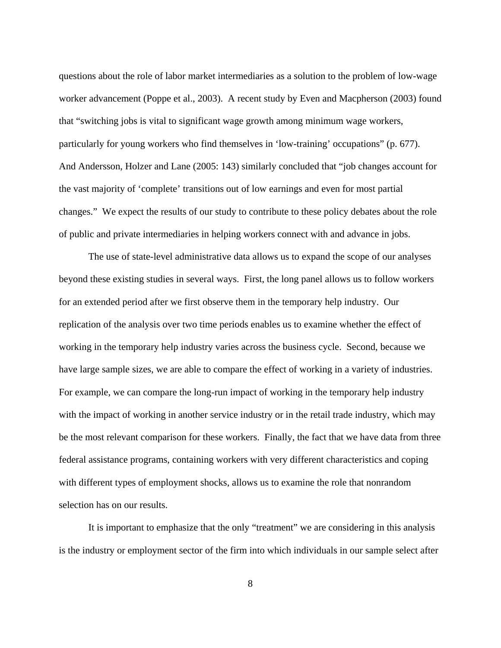questions about the role of labor market intermediaries as a solution to the problem of low-wage worker advancement (Poppe et al., 2003). A recent study by Even and Macpherson (2003) found that "switching jobs is vital to significant wage growth among minimum wage workers, particularly for young workers who find themselves in 'low-training' occupations" (p. 677). And Andersson, Holzer and Lane (2005: 143) similarly concluded that "job changes account for the vast majority of 'complete' transitions out of low earnings and even for most partial changes." We expect the results of our study to contribute to these policy debates about the role of public and private intermediaries in helping workers connect with and advance in jobs.

The use of state-level administrative data allows us to expand the scope of our analyses beyond these existing studies in several ways. First, the long panel allows us to follow workers for an extended period after we first observe them in the temporary help industry. Our replication of the analysis over two time periods enables us to examine whether the effect of working in the temporary help industry varies across the business cycle. Second, because we have large sample sizes, we are able to compare the effect of working in a variety of industries. For example, we can compare the long-run impact of working in the temporary help industry with the impact of working in another service industry or in the retail trade industry, which may be the most relevant comparison for these workers. Finally, the fact that we have data from three federal assistance programs, containing workers with very different characteristics and coping with different types of employment shocks, allows us to examine the role that nonrandom selection has on our results.

It is important to emphasize that the only "treatment" we are considering in this analysis is the industry or employment sector of the firm into which individuals in our sample select after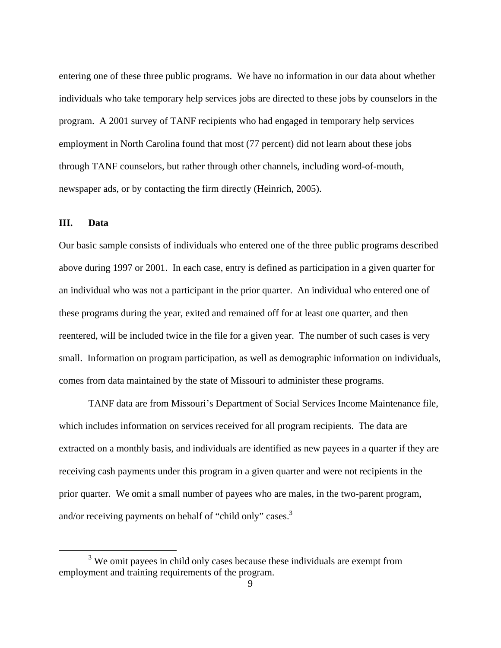entering one of these three public programs. We have no information in our data about whether individuals who take temporary help services jobs are directed to these jobs by counselors in the program. A 2001 survey of TANF recipients who had engaged in temporary help services employment in North Carolina found that most (77 percent) did not learn about these jobs through TANF counselors, but rather through other channels, including word-of-mouth, newspaper ads, or by contacting the firm directly (Heinrich, 2005).

# **III. Data**

Our basic sample consists of individuals who entered one of the three public programs described above during 1997 or 2001. In each case, entry is defined as participation in a given quarter for an individual who was not a participant in the prior quarter. An individual who entered one of these programs during the year, exited and remained off for at least one quarter, and then reentered, will be included twice in the file for a given year. The number of such cases is very small. Information on program participation, as well as demographic information on individuals, comes from data maintained by the state of Missouri to administer these programs.

TANF data are from Missouri's Department of Social Services Income Maintenance file, which includes information on services received for all program recipients. The data are extracted on a monthly basis, and individuals are identified as new payees in a quarter if they are receiving cash payments under this program in a given quarter and were not recipients in the prior quarter. We omit a small number of payees who are males, in the two-parent program, and/or receiving payments on behalf of "child only" cases.<sup>3</sup>

 $\frac{1}{3}$  $3$  We omit payees in child only cases because these individuals are exempt from employment and training requirements of the program.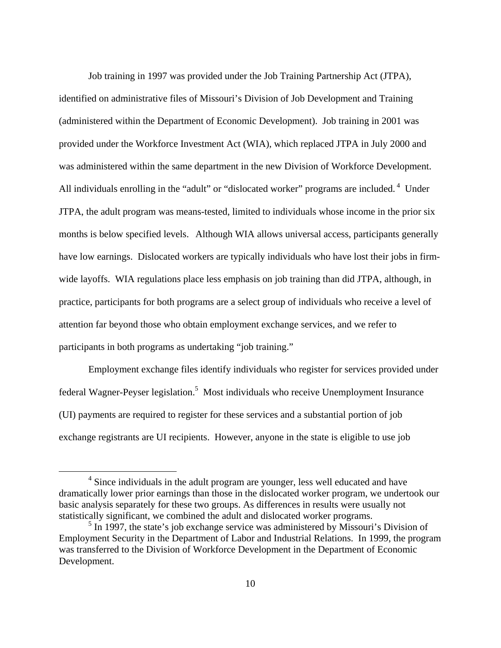Job training in 1997 was provided under the Job Training Partnership Act (JTPA), identified on administrative files of Missouri's Division of Job Development and Training (administered within the Department of Economic Development). Job training in 2001 was provided under the Workforce Investment Act (WIA), which replaced JTPA in July 2000 and was administered within the same department in the new Division of Workforce Development. All individuals enrolling in the "adult" or "dislocated worker" programs are included.<sup>4</sup> Under JTPA, the adult program was means-tested, limited to individuals whose income in the prior six months is below specified levels. Although WIA allows universal access, participants generally have low earnings. Dislocated workers are typically individuals who have lost their jobs in firmwide layoffs. WIA regulations place less emphasis on job training than did JTPA, although, in practice, participants for both programs are a select group of individuals who receive a level of attention far beyond those who obtain employment exchange services, and we refer to participants in both programs as undertaking "job training."

Employment exchange files identify individuals who register for services provided under federal Wagner-Peyser legislation.<sup>5</sup> Most individuals who receive Unemployment Insurance (UI) payments are required to register for these services and a substantial portion of job exchange registrants are UI recipients. However, anyone in the state is eligible to use job

 $\overline{\phantom{a}}$ <sup>4</sup> Since individuals in the adult program are younger, less well educated and have dramatically lower prior earnings than those in the dislocated worker program, we undertook our basic analysis separately for these two groups. As differences in results were usually not statistically significant, we combined the adult and dislocated worker programs.

 $<sup>5</sup>$  In 1997, the state's job exchange service was administered by Missouri's Division of</sup> Employment Security in the Department of Labor and Industrial Relations. In 1999, the program was transferred to the Division of Workforce Development in the Department of Economic Development.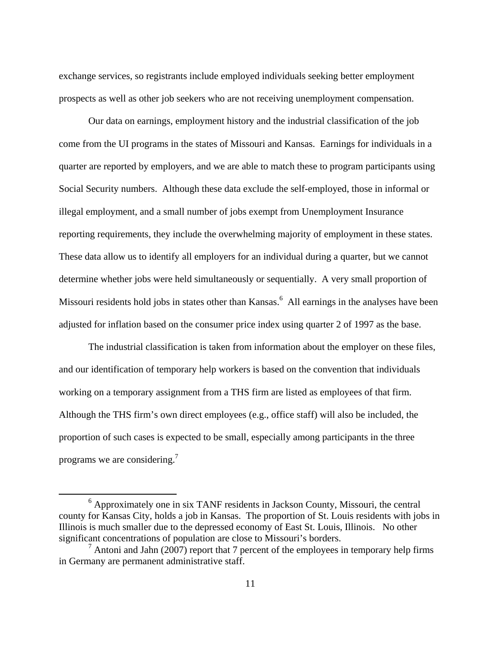exchange services, so registrants include employed individuals seeking better employment prospects as well as other job seekers who are not receiving unemployment compensation.

 Our data on earnings, employment history and the industrial classification of the job come from the UI programs in the states of Missouri and Kansas. Earnings for individuals in a quarter are reported by employers, and we are able to match these to program participants using Social Security numbers. Although these data exclude the self-employed, those in informal or illegal employment, and a small number of jobs exempt from Unemployment Insurance reporting requirements, they include the overwhelming majority of employment in these states. These data allow us to identify all employers for an individual during a quarter, but we cannot determine whether jobs were held simultaneously or sequentially. A very small proportion of Missouri residents hold jobs in states other than Kansas.<sup>6</sup> All earnings in the analyses have been adjusted for inflation based on the consumer price index using quarter 2 of 1997 as the base.

The industrial classification is taken from information about the employer on these files, and our identification of temporary help workers is based on the convention that individuals working on a temporary assignment from a THS firm are listed as employees of that firm. Although the THS firm's own direct employees (e.g., office staff) will also be included, the proportion of such cases is expected to be small, especially among participants in the three programs we are considering.<sup>7</sup>

 <sup>6</sup>  $6$  Approximately one in six TANF residents in Jackson County, Missouri, the central county for Kansas City, holds a job in Kansas. The proportion of St. Louis residents with jobs in Illinois is much smaller due to the depressed economy of East St. Louis, Illinois. No other significant concentrations of population are close to Missouri's borders.

 $7$  Antoni and Jahn (2007) report that 7 percent of the employees in temporary help firms in Germany are permanent administrative staff.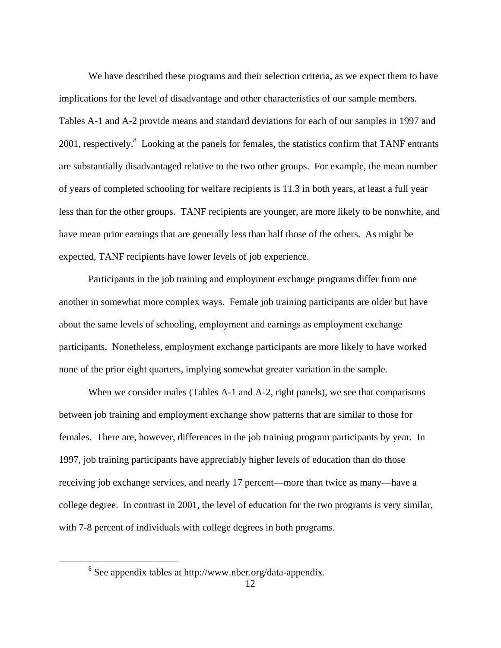We have described these programs and their selection criteria, as we expect them to have implications for the level of disadvantage and other characteristics of our sample members. Tables A-1 and A-2 provide means and standard deviations for each of our samples in 1997 and 2001, respectively.<sup>8</sup> Looking at the panels for females, the statistics confirm that TANF entrants are substantially disadvantaged relative to the two other groups. For example, the mean number of years of completed schooling for welfare recipients is 11.3 in both years, at least a full year less than for the other groups. TANF recipients are younger, are more likely to be nonwhite, and have mean prior earnings that are generally less than half those of the others. As might be expected, TANF recipients have lower levels of job experience.

Participants in the job training and employment exchange programs differ from one another in somewhat more complex ways. Female job training participants are older but have about the same levels of schooling, employment and earnings as employment exchange participants. Nonetheless, employment exchange participants are more likely to have worked none of the prior eight quarters, implying somewhat greater variation in the sample.

When we consider males (Tables A-1 and A-2, right panels), we see that comparisons between job training and employment exchange show patterns that are similar to those for females. There are, however, differences in the job training program participants by year. In 1997, job training participants have appreciably higher levels of education than do those receiving job exchange services, and nearly 17 percent—more than twice as many—have a college degree. In contrast in 2001, the level of education for the two programs is very similar, with 7-8 percent of individuals with college degrees in both programs.

 <sup>8</sup> See appendix tables at http://www.nber.org/data-appendix.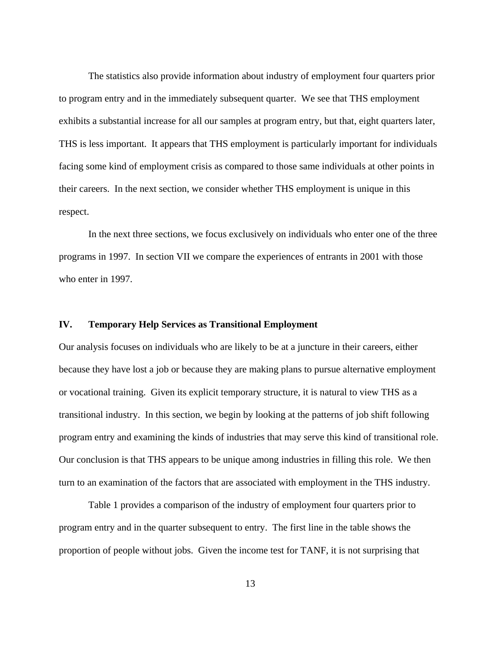The statistics also provide information about industry of employment four quarters prior to program entry and in the immediately subsequent quarter. We see that THS employment exhibits a substantial increase for all our samples at program entry, but that, eight quarters later, THS is less important. It appears that THS employment is particularly important for individuals facing some kind of employment crisis as compared to those same individuals at other points in their careers. In the next section, we consider whether THS employment is unique in this respect.

In the next three sections, we focus exclusively on individuals who enter one of the three programs in 1997. In section VII we compare the experiences of entrants in 2001 with those who enter in 1997.

# **IV. Temporary Help Services as Transitional Employment**

Our analysis focuses on individuals who are likely to be at a juncture in their careers, either because they have lost a job or because they are making plans to pursue alternative employment or vocational training. Given its explicit temporary structure, it is natural to view THS as a transitional industry. In this section, we begin by looking at the patterns of job shift following program entry and examining the kinds of industries that may serve this kind of transitional role. Our conclusion is that THS appears to be unique among industries in filling this role. We then turn to an examination of the factors that are associated with employment in the THS industry.

Table 1 provides a comparison of the industry of employment four quarters prior to program entry and in the quarter subsequent to entry. The first line in the table shows the proportion of people without jobs. Given the income test for TANF, it is not surprising that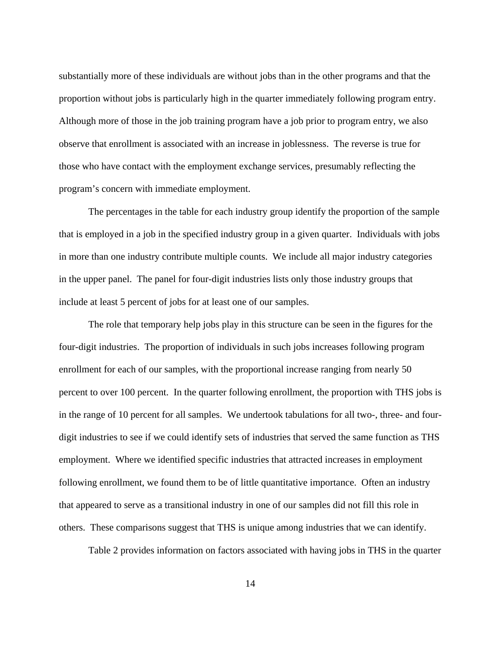substantially more of these individuals are without jobs than in the other programs and that the proportion without jobs is particularly high in the quarter immediately following program entry. Although more of those in the job training program have a job prior to program entry, we also observe that enrollment is associated with an increase in joblessness. The reverse is true for those who have contact with the employment exchange services, presumably reflecting the program's concern with immediate employment.

The percentages in the table for each industry group identify the proportion of the sample that is employed in a job in the specified industry group in a given quarter. Individuals with jobs in more than one industry contribute multiple counts. We include all major industry categories in the upper panel. The panel for four-digit industries lists only those industry groups that include at least 5 percent of jobs for at least one of our samples.

The role that temporary help jobs play in this structure can be seen in the figures for the four-digit industries. The proportion of individuals in such jobs increases following program enrollment for each of our samples, with the proportional increase ranging from nearly 50 percent to over 100 percent. In the quarter following enrollment, the proportion with THS jobs is in the range of 10 percent for all samples. We undertook tabulations for all two-, three- and fourdigit industries to see if we could identify sets of industries that served the same function as THS employment. Where we identified specific industries that attracted increases in employment following enrollment, we found them to be of little quantitative importance. Often an industry that appeared to serve as a transitional industry in one of our samples did not fill this role in others. These comparisons suggest that THS is unique among industries that we can identify.

Table 2 provides information on factors associated with having jobs in THS in the quarter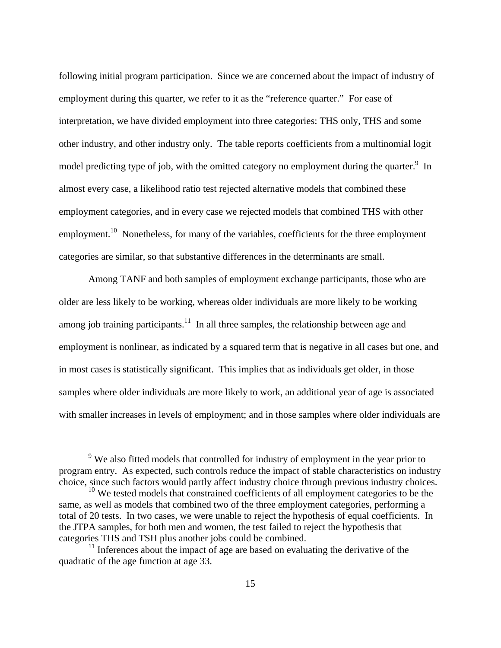following initial program participation. Since we are concerned about the impact of industry of employment during this quarter, we refer to it as the "reference quarter." For ease of interpretation, we have divided employment into three categories: THS only, THS and some other industry, and other industry only. The table reports coefficients from a multinomial logit model predicting type of job, with the omitted category no employment during the quarter.  $9\text{ In}$ almost every case, a likelihood ratio test rejected alternative models that combined these employment categories, and in every case we rejected models that combined THS with other employment.<sup>10</sup> Nonetheless, for many of the variables, coefficients for the three employment categories are similar, so that substantive differences in the determinants are small.

 Among TANF and both samples of employment exchange participants, those who are older are less likely to be working, whereas older individuals are more likely to be working among job training participants.<sup>11</sup> In all three samples, the relationship between age and employment is nonlinear, as indicated by a squared term that is negative in all cases but one, and in most cases is statistically significant. This implies that as individuals get older, in those samples where older individuals are more likely to work, an additional year of age is associated with smaller increases in levels of employment; and in those samples where older individuals are

 $\frac{1}{\sqrt{9}}$ <sup>9</sup> We also fitted models that controlled for industry of employment in the year prior to program entry. As expected, such controls reduce the impact of stable characteristics on industry choice, since such factors would partly affect industry choice through previous industry choices.

 $10$  We tested models that constrained coefficients of all employment categories to be the same, as well as models that combined two of the three employment categories, performing a total of 20 tests. In two cases, we were unable to reject the hypothesis of equal coefficients. In the JTPA samples, for both men and women, the test failed to reject the hypothesis that categories THS and TSH plus another jobs could be combined.

 $11$  Inferences about the impact of age are based on evaluating the derivative of the quadratic of the age function at age 33.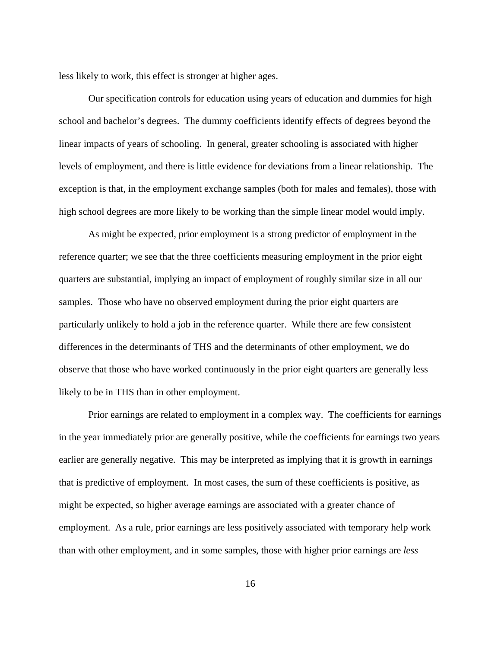less likely to work, this effect is stronger at higher ages.

 Our specification controls for education using years of education and dummies for high school and bachelor's degrees. The dummy coefficients identify effects of degrees beyond the linear impacts of years of schooling. In general, greater schooling is associated with higher levels of employment, and there is little evidence for deviations from a linear relationship. The exception is that, in the employment exchange samples (both for males and females), those with high school degrees are more likely to be working than the simple linear model would imply.

 As might be expected, prior employment is a strong predictor of employment in the reference quarter; we see that the three coefficients measuring employment in the prior eight quarters are substantial, implying an impact of employment of roughly similar size in all our samples. Those who have no observed employment during the prior eight quarters are particularly unlikely to hold a job in the reference quarter. While there are few consistent differences in the determinants of THS and the determinants of other employment, we do observe that those who have worked continuously in the prior eight quarters are generally less likely to be in THS than in other employment.

 Prior earnings are related to employment in a complex way. The coefficients for earnings in the year immediately prior are generally positive, while the coefficients for earnings two years earlier are generally negative. This may be interpreted as implying that it is growth in earnings that is predictive of employment. In most cases, the sum of these coefficients is positive, as might be expected, so higher average earnings are associated with a greater chance of employment. As a rule, prior earnings are less positively associated with temporary help work than with other employment, and in some samples, those with higher prior earnings are *less*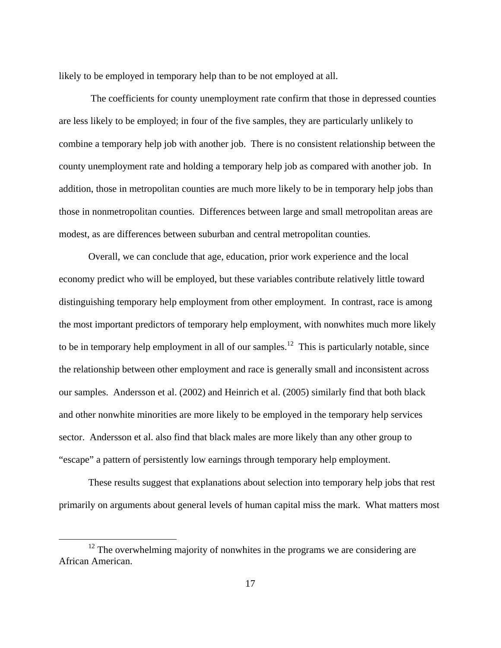likely to be employed in temporary help than to be not employed at all.

 The coefficients for county unemployment rate confirm that those in depressed counties are less likely to be employed; in four of the five samples, they are particularly unlikely to combine a temporary help job with another job. There is no consistent relationship between the county unemployment rate and holding a temporary help job as compared with another job. In addition, those in metropolitan counties are much more likely to be in temporary help jobs than those in nonmetropolitan counties. Differences between large and small metropolitan areas are modest, as are differences between suburban and central metropolitan counties.

 Overall, we can conclude that age, education, prior work experience and the local economy predict who will be employed, but these variables contribute relatively little toward distinguishing temporary help employment from other employment. In contrast, race is among the most important predictors of temporary help employment, with nonwhites much more likely to be in temporary help employment in all of our samples.<sup>12</sup> This is particularly notable, since the relationship between other employment and race is generally small and inconsistent across our samples. Andersson et al. (2002) and Heinrich et al. (2005) similarly find that both black and other nonwhite minorities are more likely to be employed in the temporary help services sector. Andersson et al. also find that black males are more likely than any other group to "escape" a pattern of persistently low earnings through temporary help employment.

 These results suggest that explanations about selection into temporary help jobs that rest primarily on arguments about general levels of human capital miss the mark. What matters most

<sup>&</sup>lt;sup>12</sup> The overwhelming majority of nonwhites in the programs we are considering are African American.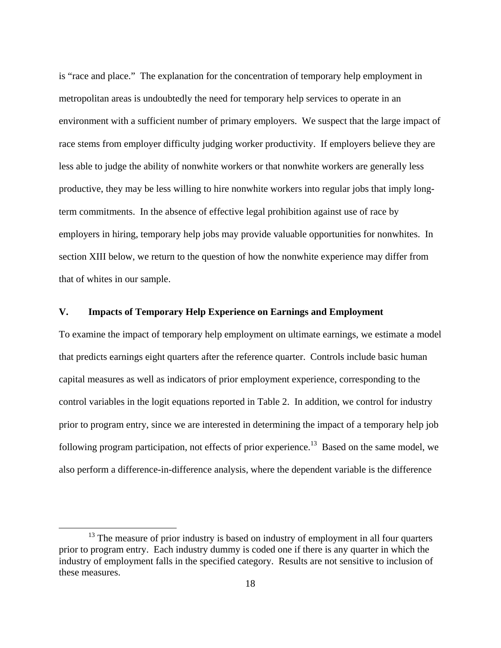is "race and place." The explanation for the concentration of temporary help employment in metropolitan areas is undoubtedly the need for temporary help services to operate in an environment with a sufficient number of primary employers. We suspect that the large impact of race stems from employer difficulty judging worker productivity. If employers believe they are less able to judge the ability of nonwhite workers or that nonwhite workers are generally less productive, they may be less willing to hire nonwhite workers into regular jobs that imply longterm commitments. In the absence of effective legal prohibition against use of race by employers in hiring, temporary help jobs may provide valuable opportunities for nonwhites. In section XIII below, we return to the question of how the nonwhite experience may differ from that of whites in our sample.

# **V. Impacts of Temporary Help Experience on Earnings and Employment**

To examine the impact of temporary help employment on ultimate earnings, we estimate a model that predicts earnings eight quarters after the reference quarter. Controls include basic human capital measures as well as indicators of prior employment experience, corresponding to the control variables in the logit equations reported in Table 2. In addition, we control for industry prior to program entry, since we are interested in determining the impact of a temporary help job following program participation, not effects of prior experience.<sup>13</sup> Based on the same model, we also perform a difference-in-difference analysis, where the dependent variable is the difference

<sup>&</sup>lt;sup>13</sup> The measure of prior industry is based on industry of employment in all four quarters prior to program entry. Each industry dummy is coded one if there is any quarter in which the industry of employment falls in the specified category. Results are not sensitive to inclusion of these measures.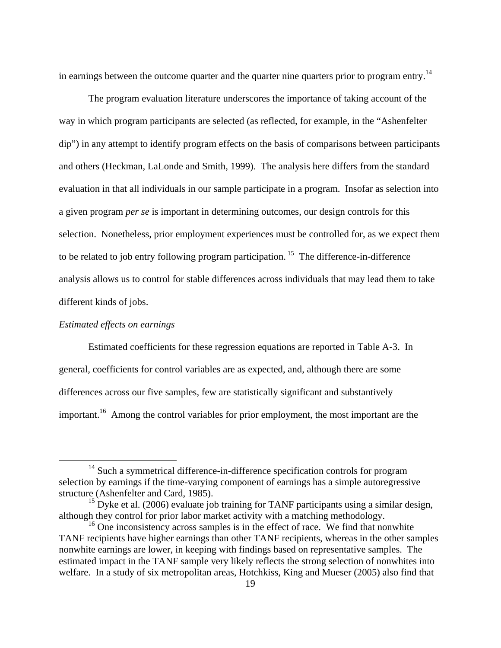in earnings between the outcome quarter and the quarter nine quarters prior to program entry.<sup>14</sup>

 The program evaluation literature underscores the importance of taking account of the way in which program participants are selected (as reflected, for example, in the "Ashenfelter dip") in any attempt to identify program effects on the basis of comparisons between participants and others (Heckman, LaLonde and Smith, 1999). The analysis here differs from the standard evaluation in that all individuals in our sample participate in a program. Insofar as selection into a given program *per se* is important in determining outcomes, our design controls for this selection. Nonetheless, prior employment experiences must be controlled for, as we expect them to be related to job entry following program participation.<sup>15</sup> The difference-in-difference analysis allows us to control for stable differences across individuals that may lead them to take different kinds of jobs.

# *Estimated effects on earnings*

 Estimated coefficients for these regression equations are reported in Table A-3. In general, coefficients for control variables are as expected, and, although there are some differences across our five samples, few are statistically significant and substantively important.<sup>16</sup> Among the control variables for prior employment, the most important are the

<sup>&</sup>lt;sup>14</sup> Such a symmetrical difference-in-difference specification controls for program selection by earnings if the time-varying component of earnings has a simple autoregressive structure (Ashenfelter and Card, 1985).

<sup>&</sup>lt;sup>15</sup> Dyke et al. (2006) evaluate job training for TANF participants using a similar design, although they control for prior labor market activity with a matching methodology.

 $16$  One inconsistency across samples is in the effect of race. We find that nonwhite TANF recipients have higher earnings than other TANF recipients, whereas in the other samples nonwhite earnings are lower, in keeping with findings based on representative samples. The estimated impact in the TANF sample very likely reflects the strong selection of nonwhites into welfare. In a study of six metropolitan areas, Hotchkiss, King and Mueser (2005) also find that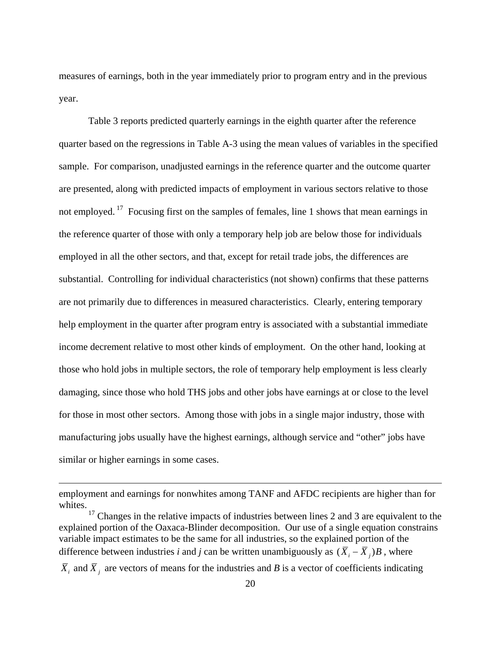measures of earnings, both in the year immediately prior to program entry and in the previous year.

 Table 3 reports predicted quarterly earnings in the eighth quarter after the reference quarter based on the regressions in Table A-3 using the mean values of variables in the specified sample. For comparison, unadjusted earnings in the reference quarter and the outcome quarter are presented, along with predicted impacts of employment in various sectors relative to those not employed.<sup>17</sup> Focusing first on the samples of females, line 1 shows that mean earnings in the reference quarter of those with only a temporary help job are below those for individuals employed in all the other sectors, and that, except for retail trade jobs, the differences are substantial. Controlling for individual characteristics (not shown) confirms that these patterns are not primarily due to differences in measured characteristics. Clearly, entering temporary help employment in the quarter after program entry is associated with a substantial immediate income decrement relative to most other kinds of employment. On the other hand, looking at those who hold jobs in multiple sectors, the role of temporary help employment is less clearly damaging, since those who hold THS jobs and other jobs have earnings at or close to the level for those in most other sectors. Among those with jobs in a single major industry, those with manufacturing jobs usually have the highest earnings, although service and "other" jobs have similar or higher earnings in some cases.

 $\overline{a}$ 

employment and earnings for nonwhites among TANF and AFDC recipients are higher than for whites.

 $17$  Changes in the relative impacts of industries between lines 2 and 3 are equivalent to the explained portion of the Oaxaca-Blinder decomposition. Our use of a single equation constrains variable impact estimates to be the same for all industries, so the explained portion of the difference between industries *i* and *j* can be written unambiguously as  $(\overline{X}_i - \overline{X}_i)B$ , where

 $\overline{X}_i$  and  $\overline{X}_j$  are vectors of means for the industries and *B* is a vector of coefficients indicating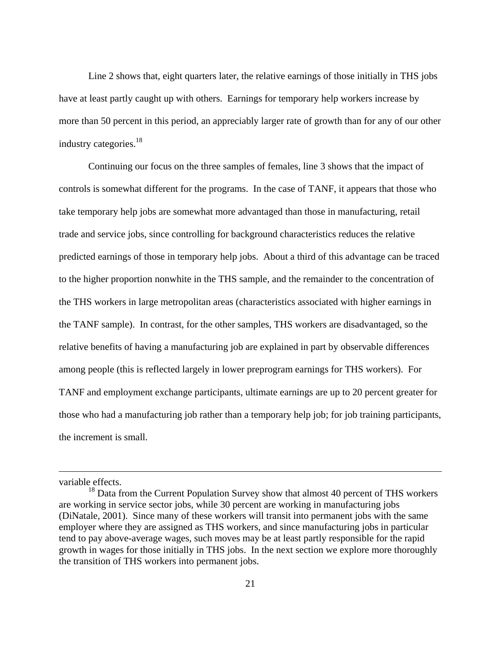Line 2 shows that, eight quarters later, the relative earnings of those initially in THS jobs have at least partly caught up with others. Earnings for temporary help workers increase by more than 50 percent in this period, an appreciably larger rate of growth than for any of our other industry categories.<sup>18</sup>

 Continuing our focus on the three samples of females, line 3 shows that the impact of controls is somewhat different for the programs. In the case of TANF, it appears that those who take temporary help jobs are somewhat more advantaged than those in manufacturing, retail trade and service jobs, since controlling for background characteristics reduces the relative predicted earnings of those in temporary help jobs. About a third of this advantage can be traced to the higher proportion nonwhite in the THS sample, and the remainder to the concentration of the THS workers in large metropolitan areas (characteristics associated with higher earnings in the TANF sample). In contrast, for the other samples, THS workers are disadvantaged, so the relative benefits of having a manufacturing job are explained in part by observable differences among people (this is reflected largely in lower preprogram earnings for THS workers). For TANF and employment exchange participants, ultimate earnings are up to 20 percent greater for those who had a manufacturing job rather than a temporary help job; for job training participants, the increment is small.

variable effects.

 $\overline{a}$ 

<sup>&</sup>lt;sup>18</sup> Data from the Current Population Survey show that almost 40 percent of THS workers are working in service sector jobs, while 30 percent are working in manufacturing jobs (DiNatale, 2001). Since many of these workers will transit into permanent jobs with the same employer where they are assigned as THS workers, and since manufacturing jobs in particular tend to pay above-average wages, such moves may be at least partly responsible for the rapid growth in wages for those initially in THS jobs. In the next section we explore more thoroughly the transition of THS workers into permanent jobs.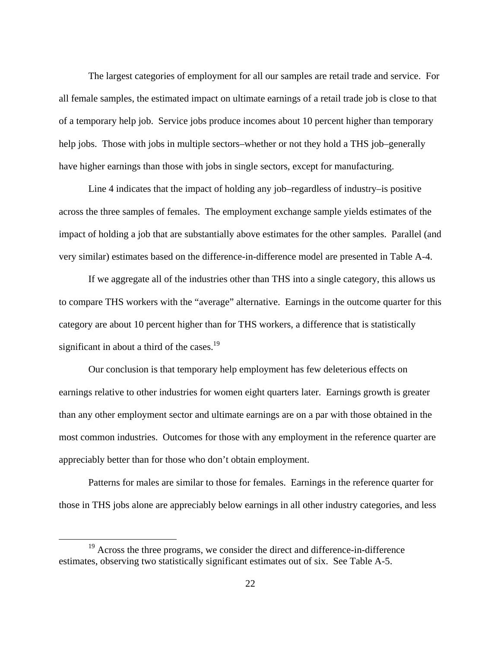The largest categories of employment for all our samples are retail trade and service. For all female samples, the estimated impact on ultimate earnings of a retail trade job is close to that of a temporary help job. Service jobs produce incomes about 10 percent higher than temporary help jobs. Those with jobs in multiple sectors–whether or not they hold a THS job–generally have higher earnings than those with jobs in single sectors, except for manufacturing.

 Line 4 indicates that the impact of holding any job–regardless of industry–is positive across the three samples of females. The employment exchange sample yields estimates of the impact of holding a job that are substantially above estimates for the other samples. Parallel (and very similar) estimates based on the difference-in-difference model are presented in Table A-4.

 If we aggregate all of the industries other than THS into a single category, this allows us to compare THS workers with the "average" alternative. Earnings in the outcome quarter for this category are about 10 percent higher than for THS workers, a difference that is statistically significant in about a third of the cases.<sup>19</sup>

 Our conclusion is that temporary help employment has few deleterious effects on earnings relative to other industries for women eight quarters later. Earnings growth is greater than any other employment sector and ultimate earnings are on a par with those obtained in the most common industries. Outcomes for those with any employment in the reference quarter are appreciably better than for those who don't obtain employment.

 Patterns for males are similar to those for females. Earnings in the reference quarter for those in THS jobs alone are appreciably below earnings in all other industry categories, and less

<sup>&</sup>lt;sup>19</sup> Across the three programs, we consider the direct and difference-in-difference estimates, observing two statistically significant estimates out of six. See Table A-5.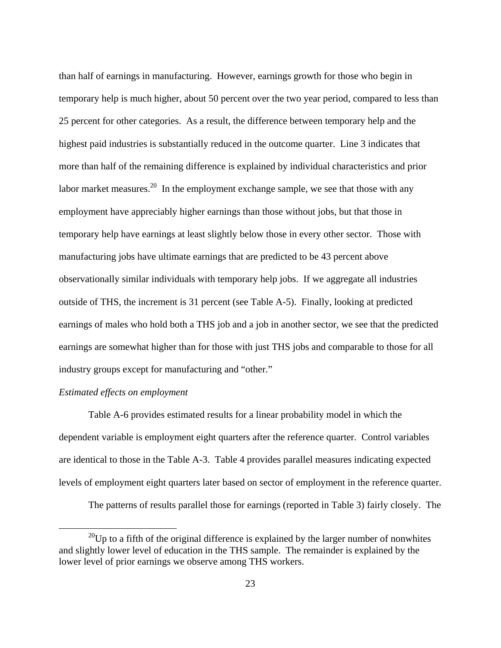than half of earnings in manufacturing. However, earnings growth for those who begin in temporary help is much higher, about 50 percent over the two year period, compared to less than 25 percent for other categories. As a result, the difference between temporary help and the highest paid industries is substantially reduced in the outcome quarter. Line 3 indicates that more than half of the remaining difference is explained by individual characteristics and prior labor market measures.<sup>20</sup> In the employment exchange sample, we see that those with any employment have appreciably higher earnings than those without jobs, but that those in temporary help have earnings at least slightly below those in every other sector. Those with manufacturing jobs have ultimate earnings that are predicted to be 43 percent above observationally similar individuals with temporary help jobs. If we aggregate all industries outside of THS, the increment is 31 percent (see Table A-5). Finally, looking at predicted earnings of males who hold both a THS job and a job in another sector, we see that the predicted earnings are somewhat higher than for those with just THS jobs and comparable to those for all industry groups except for manufacturing and "other."

## *Estimated effects on employment*

 Table A-6 provides estimated results for a linear probability model in which the dependent variable is employment eight quarters after the reference quarter. Control variables are identical to those in the Table A-3. Table 4 provides parallel measures indicating expected levels of employment eight quarters later based on sector of employment in the reference quarter.

The patterns of results parallel those for earnings (reported in Table 3) fairly closely. The

 $^{20}$ Up to a fifth of the original difference is explained by the larger number of nonwhites and slightly lower level of education in the THS sample. The remainder is explained by the lower level of prior earnings we observe among THS workers.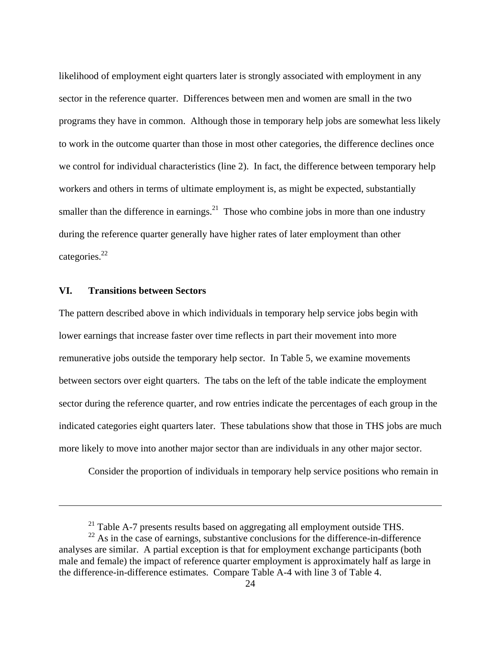likelihood of employment eight quarters later is strongly associated with employment in any sector in the reference quarter. Differences between men and women are small in the two programs they have in common. Although those in temporary help jobs are somewhat less likely to work in the outcome quarter than those in most other categories, the difference declines once we control for individual characteristics (line 2). In fact, the difference between temporary help workers and others in terms of ultimate employment is, as might be expected, substantially smaller than the difference in earnings.<sup>21</sup> Those who combine jobs in more than one industry during the reference quarter generally have higher rates of later employment than other categories.<sup>22</sup>

## **VI. Transitions between Sectors**

 $\overline{a}$ 

The pattern described above in which individuals in temporary help service jobs begin with lower earnings that increase faster over time reflects in part their movement into more remunerative jobs outside the temporary help sector. In Table 5, we examine movements between sectors over eight quarters. The tabs on the left of the table indicate the employment sector during the reference quarter, and row entries indicate the percentages of each group in the indicated categories eight quarters later. These tabulations show that those in THS jobs are much more likely to move into another major sector than are individuals in any other major sector.

Consider the proportion of individuals in temporary help service positions who remain in

 $^{21}$  Table A-7 presents results based on aggregating all employment outside THS.

 $22$  As in the case of earnings, substantive conclusions for the difference-in-difference analyses are similar. A partial exception is that for employment exchange participants (both male and female) the impact of reference quarter employment is approximately half as large in the difference-in-difference estimates. Compare Table A-4 with line 3 of Table 4.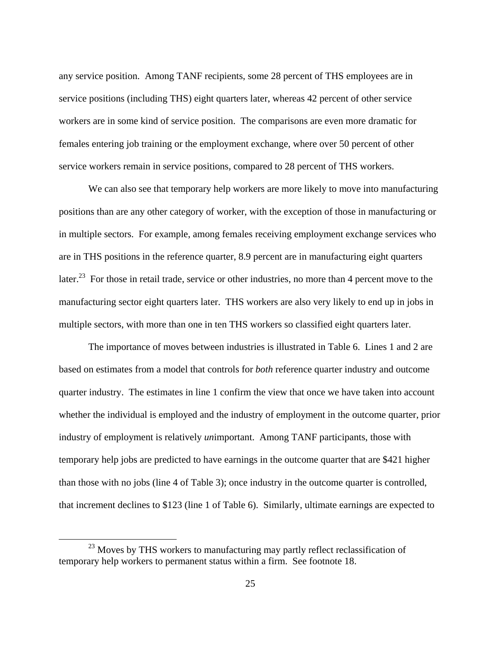any service position. Among TANF recipients, some 28 percent of THS employees are in service positions (including THS) eight quarters later, whereas 42 percent of other service workers are in some kind of service position. The comparisons are even more dramatic for females entering job training or the employment exchange, where over 50 percent of other service workers remain in service positions, compared to 28 percent of THS workers.

 We can also see that temporary help workers are more likely to move into manufacturing positions than are any other category of worker, with the exception of those in manufacturing or in multiple sectors. For example, among females receiving employment exchange services who are in THS positions in the reference quarter, 8.9 percent are in manufacturing eight quarters later.<sup>23</sup> For those in retail trade, service or other industries, no more than 4 percent move to the manufacturing sector eight quarters later. THS workers are also very likely to end up in jobs in multiple sectors, with more than one in ten THS workers so classified eight quarters later.

 The importance of moves between industries is illustrated in Table 6. Lines 1 and 2 are based on estimates from a model that controls for *both* reference quarter industry and outcome quarter industry. The estimates in line 1 confirm the view that once we have taken into account whether the individual is employed and the industry of employment in the outcome quarter, prior industry of employment is relatively *un*important. Among TANF participants, those with temporary help jobs are predicted to have earnings in the outcome quarter that are \$421 higher than those with no jobs (line 4 of Table 3); once industry in the outcome quarter is controlled, that increment declines to \$123 (line 1 of Table 6). Similarly, ultimate earnings are expected to

<sup>&</sup>lt;sup>23</sup> Moves by THS workers to manufacturing may partly reflect reclassification of temporary help workers to permanent status within a firm. See footnote 18.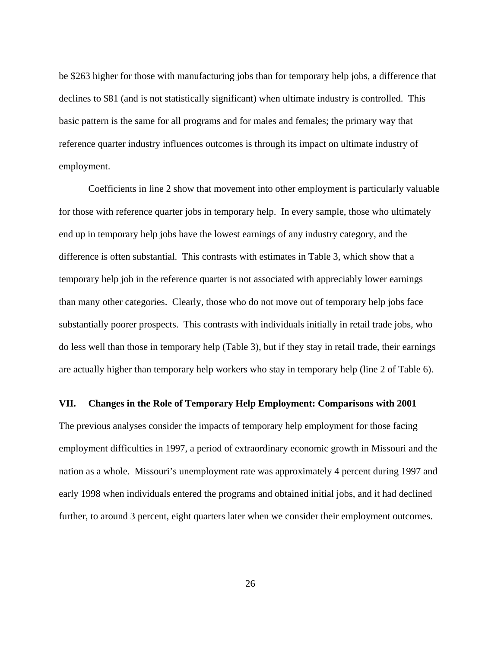be \$263 higher for those with manufacturing jobs than for temporary help jobs, a difference that declines to \$81 (and is not statistically significant) when ultimate industry is controlled. This basic pattern is the same for all programs and for males and females; the primary way that reference quarter industry influences outcomes is through its impact on ultimate industry of employment.

Coefficients in line 2 show that movement into other employment is particularly valuable for those with reference quarter jobs in temporary help. In every sample, those who ultimately end up in temporary help jobs have the lowest earnings of any industry category, and the difference is often substantial. This contrasts with estimates in Table 3, which show that a temporary help job in the reference quarter is not associated with appreciably lower earnings than many other categories. Clearly, those who do not move out of temporary help jobs face substantially poorer prospects. This contrasts with individuals initially in retail trade jobs, who do less well than those in temporary help (Table 3), but if they stay in retail trade, their earnings are actually higher than temporary help workers who stay in temporary help (line 2 of Table 6).

## **VII. Changes in the Role of Temporary Help Employment: Comparisons with 2001**

The previous analyses consider the impacts of temporary help employment for those facing employment difficulties in 1997, a period of extraordinary economic growth in Missouri and the nation as a whole. Missouri's unemployment rate was approximately 4 percent during 1997 and early 1998 when individuals entered the programs and obtained initial jobs, and it had declined further, to around 3 percent, eight quarters later when we consider their employment outcomes.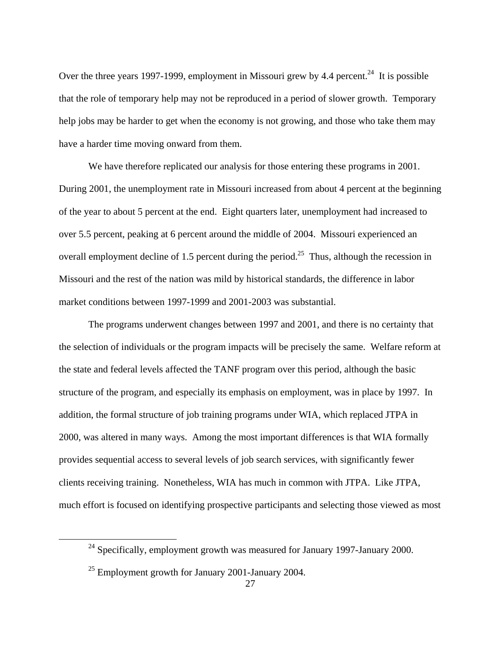Over the three years 1997-1999, employment in Missouri grew by 4.4 percent.<sup>24</sup> It is possible that the role of temporary help may not be reproduced in a period of slower growth. Temporary help jobs may be harder to get when the economy is not growing, and those who take them may have a harder time moving onward from them.

We have therefore replicated our analysis for those entering these programs in 2001. During 2001, the unemployment rate in Missouri increased from about 4 percent at the beginning of the year to about 5 percent at the end. Eight quarters later, unemployment had increased to over 5.5 percent, peaking at 6 percent around the middle of 2004. Missouri experienced an overall employment decline of 1.5 percent during the period.<sup>25</sup> Thus, although the recession in Missouri and the rest of the nation was mild by historical standards, the difference in labor market conditions between 1997-1999 and 2001-2003 was substantial.

The programs underwent changes between 1997 and 2001, and there is no certainty that the selection of individuals or the program impacts will be precisely the same. Welfare reform at the state and federal levels affected the TANF program over this period, although the basic structure of the program, and especially its emphasis on employment, was in place by 1997. In addition, the formal structure of job training programs under WIA, which replaced JTPA in 2000, was altered in many ways. Among the most important differences is that WIA formally provides sequential access to several levels of job search services, with significantly fewer clients receiving training. Nonetheless, WIA has much in common with JTPA. Like JTPA, much effort is focused on identifying prospective participants and selecting those viewed as most

 $24$  Specifically, employment growth was measured for January 1997-January 2000.

 $^{25}$  Employment growth for January 2001-January 2004.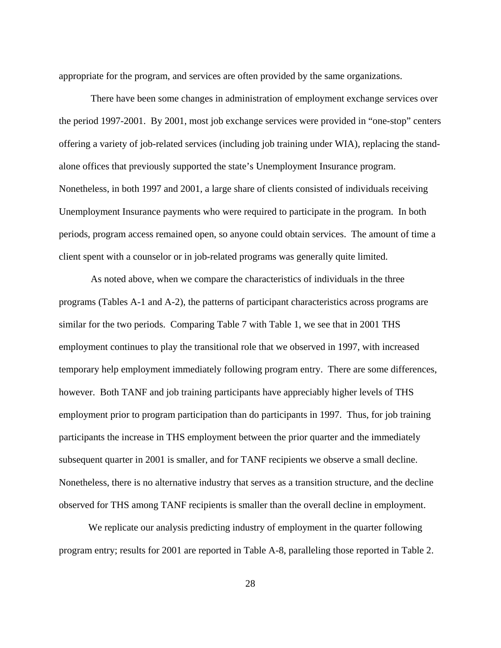appropriate for the program, and services are often provided by the same organizations.

 There have been some changes in administration of employment exchange services over the period 1997-2001. By 2001, most job exchange services were provided in "one-stop" centers offering a variety of job-related services (including job training under WIA), replacing the standalone offices that previously supported the state's Unemployment Insurance program. Nonetheless, in both 1997 and 2001, a large share of clients consisted of individuals receiving Unemployment Insurance payments who were required to participate in the program. In both periods, program access remained open, so anyone could obtain services. The amount of time a client spent with a counselor or in job-related programs was generally quite limited.

 As noted above, when we compare the characteristics of individuals in the three programs (Tables A-1 and A-2), the patterns of participant characteristics across programs are similar for the two periods. Comparing Table 7 with Table 1, we see that in 2001 THS employment continues to play the transitional role that we observed in 1997, with increased temporary help employment immediately following program entry. There are some differences, however. Both TANF and job training participants have appreciably higher levels of THS employment prior to program participation than do participants in 1997. Thus, for job training participants the increase in THS employment between the prior quarter and the immediately subsequent quarter in 2001 is smaller, and for TANF recipients we observe a small decline. Nonetheless, there is no alternative industry that serves as a transition structure, and the decline observed for THS among TANF recipients is smaller than the overall decline in employment.

We replicate our analysis predicting industry of employment in the quarter following program entry; results for 2001 are reported in Table A-8, paralleling those reported in Table 2.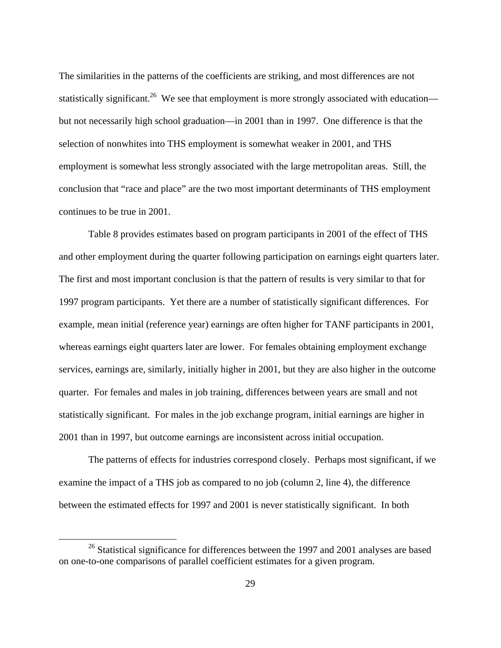The similarities in the patterns of the coefficients are striking, and most differences are not statistically significant.<sup>26</sup> We see that employment is more strongly associated with education but not necessarily high school graduation—in 2001 than in 1997. One difference is that the selection of nonwhites into THS employment is somewhat weaker in 2001, and THS employment is somewhat less strongly associated with the large metropolitan areas. Still, the conclusion that "race and place" are the two most important determinants of THS employment continues to be true in 2001.

Table 8 provides estimates based on program participants in 2001 of the effect of THS and other employment during the quarter following participation on earnings eight quarters later. The first and most important conclusion is that the pattern of results is very similar to that for 1997 program participants. Yet there are a number of statistically significant differences. For example, mean initial (reference year) earnings are often higher for TANF participants in 2001, whereas earnings eight quarters later are lower. For females obtaining employment exchange services, earnings are, similarly, initially higher in 2001, but they are also higher in the outcome quarter. For females and males in job training, differences between years are small and not statistically significant. For males in the job exchange program, initial earnings are higher in 2001 than in 1997, but outcome earnings are inconsistent across initial occupation.

The patterns of effects for industries correspond closely. Perhaps most significant, if we examine the impact of a THS job as compared to no job (column 2, line 4), the difference between the estimated effects for 1997 and 2001 is never statistically significant. In both

<sup>&</sup>lt;sup>26</sup> Statistical significance for differences between the 1997 and 2001 analyses are based on one-to-one comparisons of parallel coefficient estimates for a given program.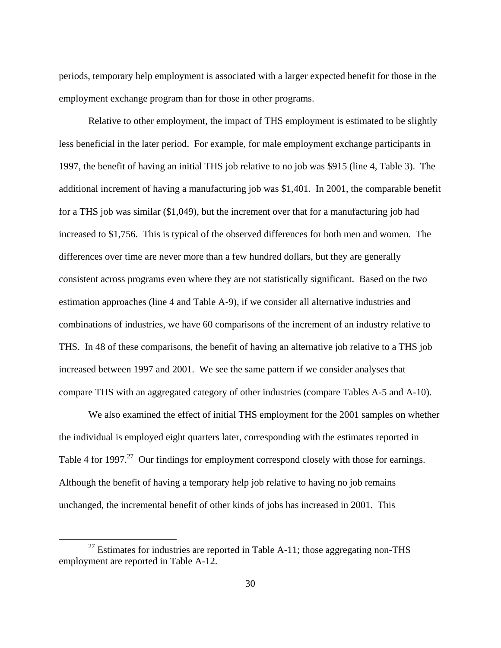periods, temporary help employment is associated with a larger expected benefit for those in the employment exchange program than for those in other programs.

Relative to other employment, the impact of THS employment is estimated to be slightly less beneficial in the later period. For example, for male employment exchange participants in 1997, the benefit of having an initial THS job relative to no job was \$915 (line 4, Table 3). The additional increment of having a manufacturing job was \$1,401. In 2001, the comparable benefit for a THS job was similar (\$1,049), but the increment over that for a manufacturing job had increased to \$1,756. This is typical of the observed differences for both men and women. The differences over time are never more than a few hundred dollars, but they are generally consistent across programs even where they are not statistically significant. Based on the two estimation approaches (line 4 and Table A-9), if we consider all alternative industries and combinations of industries, we have 60 comparisons of the increment of an industry relative to THS. In 48 of these comparisons, the benefit of having an alternative job relative to a THS job increased between 1997 and 2001. We see the same pattern if we consider analyses that compare THS with an aggregated category of other industries (compare Tables A-5 and A-10).

We also examined the effect of initial THS employment for the 2001 samples on whether the individual is employed eight quarters later, corresponding with the estimates reported in Table 4 for 1997.<sup>27</sup> Our findings for employment correspond closely with those for earnings. Although the benefit of having a temporary help job relative to having no job remains unchanged, the incremental benefit of other kinds of jobs has increased in 2001. This

 $27$  Estimates for industries are reported in Table A-11; those aggregating non-THS employment are reported in Table A-12.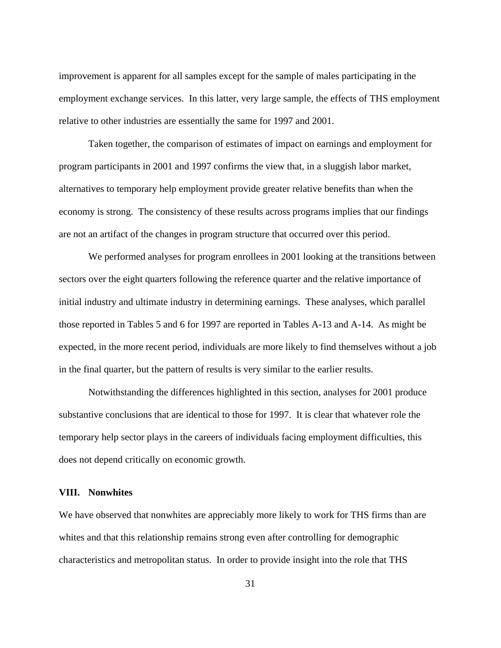improvement is apparent for all samples except for the sample of males participating in the employment exchange services. In this latter, very large sample, the effects of THS employment relative to other industries are essentially the same for 1997 and 2001.

Taken together, the comparison of estimates of impact on earnings and employment for program participants in 2001 and 1997 confirms the view that, in a sluggish labor market, alternatives to temporary help employment provide greater relative benefits than when the economy is strong. The consistency of these results across programs implies that our findings are not an artifact of the changes in program structure that occurred over this period.

We performed analyses for program enrollees in 2001 looking at the transitions between sectors over the eight quarters following the reference quarter and the relative importance of initial industry and ultimate industry in determining earnings. These analyses, which parallel those reported in Tables 5 and 6 for 1997 are reported in Tables A-13 and A-14. As might be expected, in the more recent period, individuals are more likely to find themselves without a job in the final quarter, but the pattern of results is very similar to the earlier results.

Notwithstanding the differences highlighted in this section, analyses for 2001 produce substantive conclusions that are identical to those for 1997. It is clear that whatever role the temporary help sector plays in the careers of individuals facing employment difficulties, this does not depend critically on economic growth.

## **VIII. Nonwhites**

We have observed that nonwhites are appreciably more likely to work for THS firms than are whites and that this relationship remains strong even after controlling for demographic characteristics and metropolitan status. In order to provide insight into the role that THS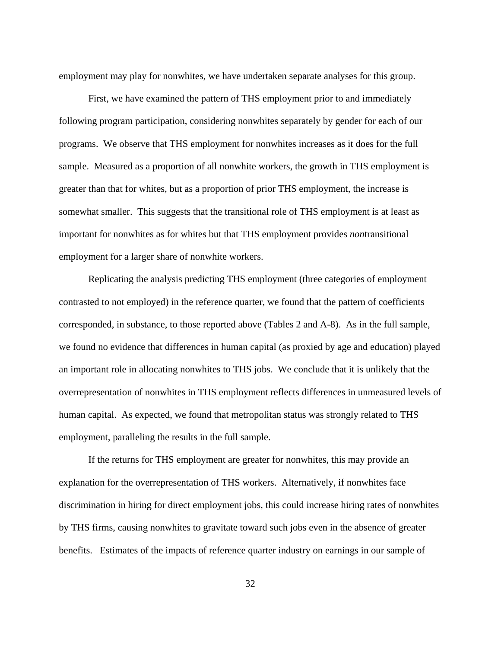employment may play for nonwhites, we have undertaken separate analyses for this group.

 First, we have examined the pattern of THS employment prior to and immediately following program participation, considering nonwhites separately by gender for each of our programs. We observe that THS employment for nonwhites increases as it does for the full sample. Measured as a proportion of all nonwhite workers, the growth in THS employment is greater than that for whites, but as a proportion of prior THS employment, the increase is somewhat smaller. This suggests that the transitional role of THS employment is at least as important for nonwhites as for whites but that THS employment provides *non*transitional employment for a larger share of nonwhite workers.

 Replicating the analysis predicting THS employment (three categories of employment contrasted to not employed) in the reference quarter, we found that the pattern of coefficients corresponded, in substance, to those reported above (Tables 2 and A-8). As in the full sample, we found no evidence that differences in human capital (as proxied by age and education) played an important role in allocating nonwhites to THS jobs. We conclude that it is unlikely that the overrepresentation of nonwhites in THS employment reflects differences in unmeasured levels of human capital. As expected, we found that metropolitan status was strongly related to THS employment, paralleling the results in the full sample.

 If the returns for THS employment are greater for nonwhites, this may provide an explanation for the overrepresentation of THS workers. Alternatively, if nonwhites face discrimination in hiring for direct employment jobs, this could increase hiring rates of nonwhites by THS firms, causing nonwhites to gravitate toward such jobs even in the absence of greater benefits. Estimates of the impacts of reference quarter industry on earnings in our sample of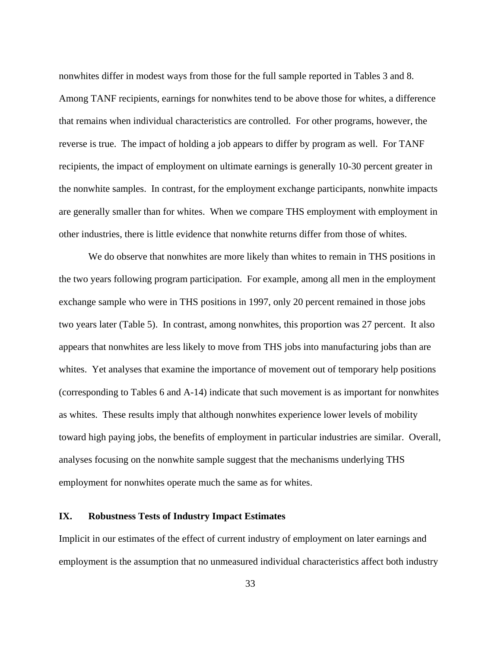nonwhites differ in modest ways from those for the full sample reported in Tables 3 and 8. Among TANF recipients, earnings for nonwhites tend to be above those for whites, a difference that remains when individual characteristics are controlled. For other programs, however, the reverse is true. The impact of holding a job appears to differ by program as well. For TANF recipients, the impact of employment on ultimate earnings is generally 10-30 percent greater in the nonwhite samples. In contrast, for the employment exchange participants, nonwhite impacts are generally smaller than for whites. When we compare THS employment with employment in other industries, there is little evidence that nonwhite returns differ from those of whites.

 We do observe that nonwhites are more likely than whites to remain in THS positions in the two years following program participation. For example, among all men in the employment exchange sample who were in THS positions in 1997, only 20 percent remained in those jobs two years later (Table 5). In contrast, among nonwhites, this proportion was 27 percent. It also appears that nonwhites are less likely to move from THS jobs into manufacturing jobs than are whites. Yet analyses that examine the importance of movement out of temporary help positions (corresponding to Tables 6 and A-14) indicate that such movement is as important for nonwhites as whites. These results imply that although nonwhites experience lower levels of mobility toward high paying jobs, the benefits of employment in particular industries are similar. Overall, analyses focusing on the nonwhite sample suggest that the mechanisms underlying THS employment for nonwhites operate much the same as for whites.

## **IX. Robustness Tests of Industry Impact Estimates**

Implicit in our estimates of the effect of current industry of employment on later earnings and employment is the assumption that no unmeasured individual characteristics affect both industry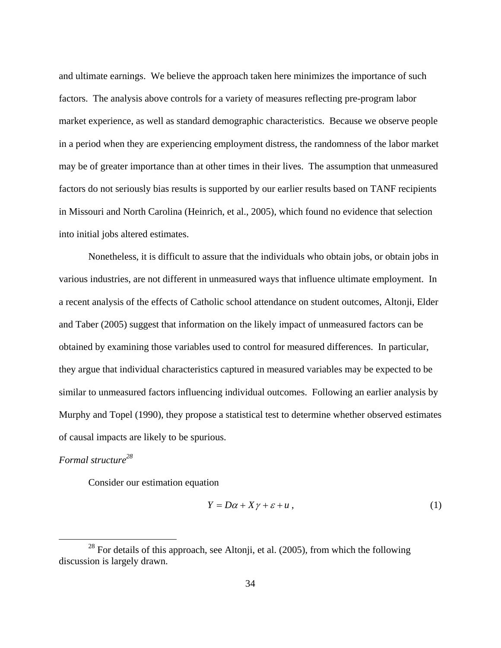and ultimate earnings. We believe the approach taken here minimizes the importance of such factors. The analysis above controls for a variety of measures reflecting pre-program labor market experience, as well as standard demographic characteristics. Because we observe people in a period when they are experiencing employment distress, the randomness of the labor market may be of greater importance than at other times in their lives. The assumption that unmeasured factors do not seriously bias results is supported by our earlier results based on TANF recipients in Missouri and North Carolina (Heinrich, et al., 2005), which found no evidence that selection into initial jobs altered estimates.

Nonetheless, it is difficult to assure that the individuals who obtain jobs, or obtain jobs in various industries, are not different in unmeasured ways that influence ultimate employment. In a recent analysis of the effects of Catholic school attendance on student outcomes, Altonji, Elder and Taber (2005) suggest that information on the likely impact of unmeasured factors can be obtained by examining those variables used to control for measured differences. In particular, they argue that individual characteristics captured in measured variables may be expected to be similar to unmeasured factors influencing individual outcomes. Following an earlier analysis by Murphy and Topel (1990), they propose a statistical test to determine whether observed estimates of causal impacts are likely to be spurious.

# *Formal structure28*

Consider our estimation equation

$$
Y = D\alpha + X\gamma + \varepsilon + u\,,\tag{1}
$$

 $28$  For details of this approach, see Altonji, et al. (2005), from which the following discussion is largely drawn.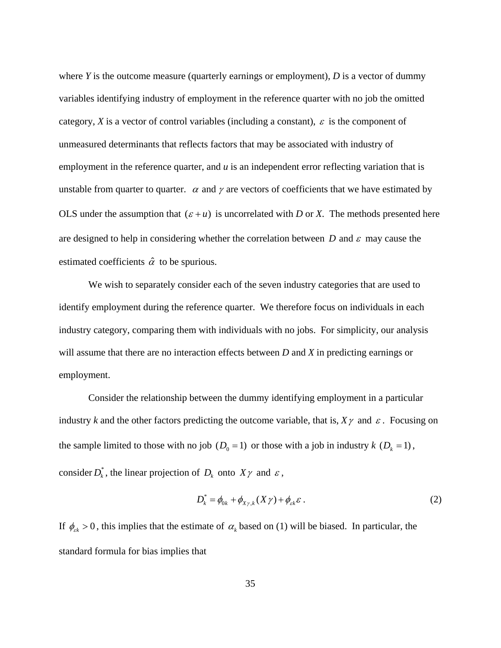where *Y* is the outcome measure (quarterly earnings or employment), *D* is a vector of dummy variables identifying industry of employment in the reference quarter with no job the omitted category, *X* is a vector of control variables (including a constant),  $\varepsilon$  is the component of unmeasured determinants that reflects factors that may be associated with industry of employment in the reference quarter, and *u* is an independent error reflecting variation that is unstable from quarter to quarter.  $\alpha$  and  $\gamma$  are vectors of coefficients that we have estimated by OLS under the assumption that  $(\varepsilon + u)$  is uncorrelated with *D* or *X*. The methods presented here are designed to help in considering whether the correlation between  $D$  and  $\varepsilon$  may cause the estimated coefficients  $\hat{\alpha}$  to be spurious.

We wish to separately consider each of the seven industry categories that are used to identify employment during the reference quarter. We therefore focus on individuals in each industry category, comparing them with individuals with no jobs. For simplicity, our analysis will assume that there are no interaction effects between *D* and *X* in predicting earnings or employment.

Consider the relationship between the dummy identifying employment in a particular industry *k* and the other factors predicting the outcome variable, that is,  $X\gamma$  and  $\varepsilon$ . Focusing on the sample limited to those with no job  $(D_0 = 1)$  or those with a job in industry  $k$   $(D_k = 1)$ , consider  $D_k^*$ , the linear projection of  $D_k$  onto  $X\gamma$  and  $\varepsilon$ ,

$$
D_k^* = \phi_{0k} + \phi_{X\gamma,k}(X\gamma) + \phi_{\varepsilon k}\varepsilon.
$$
 (2)

If  $\phi_{\varepsilon k} > 0$ , this implies that the estimate of  $\alpha_k$  based on (1) will be biased. In particular, the standard formula for bias implies that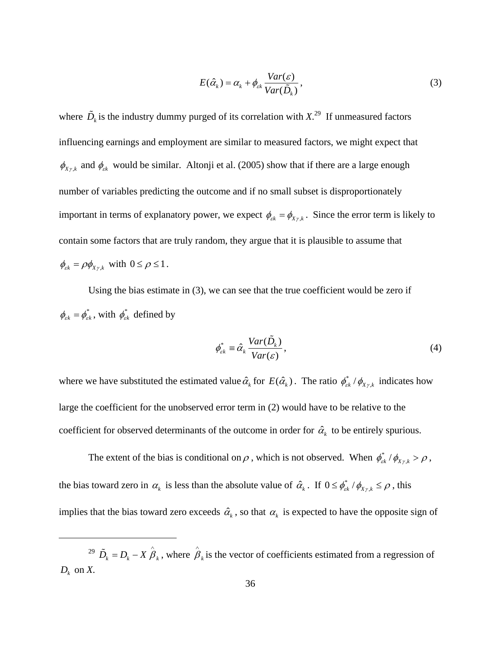$$
E(\hat{\alpha}_k) = \alpha_k + \phi_{\scriptscriptstyle \varepsilon k} \frac{Var(\varepsilon)}{Var(\tilde{D}_k)},
$$
\n(3)

where  $\tilde{D}_k$  is the industry dummy purged of its correlation with  $X$ .<sup>29</sup> If unmeasured factors influencing earnings and employment are similar to measured factors, we might expect that  $\phi_{X\gamma,k}$  and  $\phi_{\varepsilon k}$  would be similar. Altonji et al. (2005) show that if there are a large enough number of variables predicting the outcome and if no small subset is disproportionately important in terms of explanatory power, we expect  $\phi_{\varepsilon k} = \phi_{X \gamma, k}$ . Since the error term is likely to contain some factors that are truly random, they argue that it is plausible to assume that  $\phi_{\varepsilon k} = \rho \phi_{X \gamma, k}$  with  $0 \le \rho \le 1$ .

Using the bias estimate in (3), we can see that the true coefficient would be zero if  $\phi_{\varepsilon k} = \phi_{\varepsilon k}^*$ , with  $\phi_{\varepsilon k}^*$  defined by

$$
\phi_{\varepsilon k}^* \equiv \hat{\alpha}_k \frac{Var(\tilde{D}_k)}{Var(\varepsilon)},
$$
\n(4)

where we have substituted the estimated value  $\hat{\alpha}_k$  for  $E(\hat{\alpha}_k)$ . The ratio  $\phi_{\alpha k}^* / \phi_{X\gamma,k}$  indicates how large the coefficient for the unobserved error term in (2) would have to be relative to the coefficient for observed determinants of the outcome in order for  $\hat{\alpha}_k$  to be entirely spurious.

The extent of the bias is conditional on  $\rho$ , which is not observed. When  $\phi_{\varepsilon k}^* / \phi_{X\gamma,k} > \rho$ , the bias toward zero in  $\alpha_k$  is less than the absolute value of  $\hat{\alpha}_k$ . If  $0 \le \phi_{\varepsilon k}^* / \phi_{X \gamma, k} \le \rho$ , this implies that the bias toward zero exceeds  $\hat{\alpha}_k$ , so that  $\alpha_k$  is expected to have the opposite sign of

1

<sup>&</sup>lt;sup>29</sup>  $\tilde{D}_k = D_k - X \hat{B}_k$ , where  $\hat{B}_k$  is the vector of coefficients estimated from a regression of  $D_k$  on  $X$ .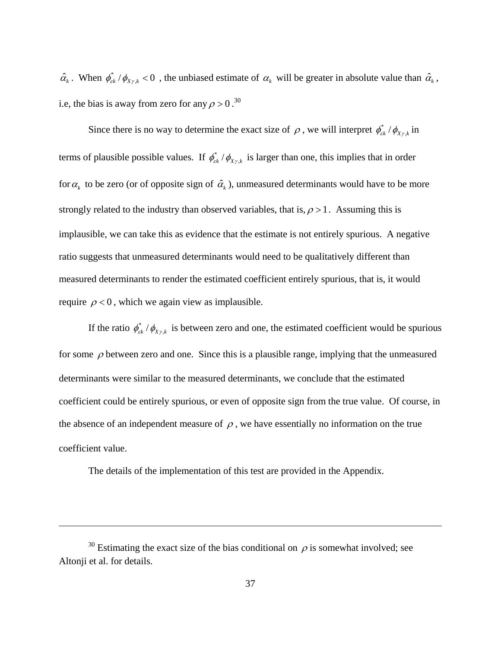$\hat{\alpha}_k$ . When  $\phi_{ck}^* / \phi_{X \gamma, k} < 0$ , the unbiased estimate of  $\alpha_k$  will be greater in absolute value than  $\hat{\alpha}_k$ , i.e, the bias is away from zero for any  $\rho > 0$ .<sup>30</sup>

Since there is no way to determine the exact size of  $\rho$ , we will interpret  $\phi_{ck}^* / \phi_{X\gamma,k}$  in terms of plausible possible values. If  $\phi_{\alpha k}^* / \phi_{X \gamma, k}$  is larger than one, this implies that in order for  $\alpha_k$  to be zero (or of opposite sign of  $\hat{\alpha}_k$ ), unmeasured determinants would have to be more strongly related to the industry than observed variables, that is,  $\rho > 1$ . Assuming this is implausible, we can take this as evidence that the estimate is not entirely spurious. A negative ratio suggests that unmeasured determinants would need to be qualitatively different than measured determinants to render the estimated coefficient entirely spurious, that is, it would require  $\rho < 0$ , which we again view as implausible.

If the ratio  $\phi_{\varepsilon k}^* / \phi_{X \gamma, k}$  is between zero and one, the estimated coefficient would be spurious for some  $\rho$  between zero and one. Since this is a plausible range, implying that the unmeasured determinants were similar to the measured determinants, we conclude that the estimated coefficient could be entirely spurious, or even of opposite sign from the true value. Of course, in the absence of an independent measure of  $\rho$ , we have essentially no information on the true coefficient value.

The details of the implementation of this test are provided in the Appendix.

 $\overline{a}$ 

<sup>&</sup>lt;sup>30</sup> Estimating the exact size of the bias conditional on  $\rho$  is somewhat involved; see Altonji et al. for details.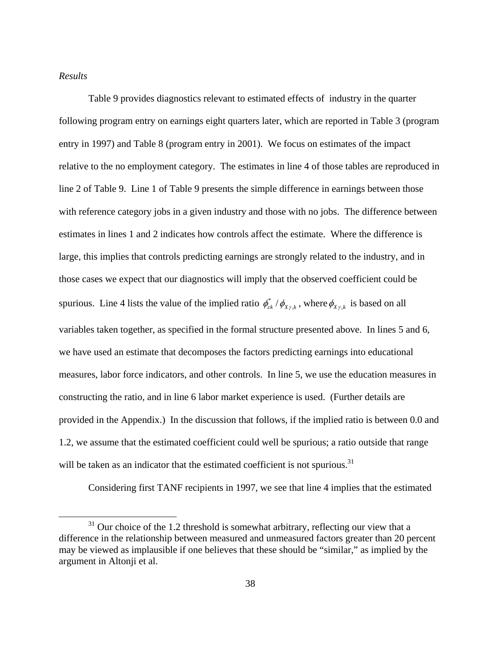# *Results*

Table 9 provides diagnostics relevant to estimated effects of industry in the quarter following program entry on earnings eight quarters later, which are reported in Table 3 (program entry in 1997) and Table 8 (program entry in 2001). We focus on estimates of the impact relative to the no employment category. The estimates in line 4 of those tables are reproduced in line 2 of Table 9. Line 1 of Table 9 presents the simple difference in earnings between those with reference category jobs in a given industry and those with no jobs. The difference between estimates in lines 1 and 2 indicates how controls affect the estimate. Where the difference is large, this implies that controls predicting earnings are strongly related to the industry, and in those cases we expect that our diagnostics will imply that the observed coefficient could be spurious. Line 4 lists the value of the implied ratio  $\phi_{ck}^* / \phi_{X\gamma,k}$ , where  $\phi_{X\gamma,k}$  is based on all variables taken together, as specified in the formal structure presented above. In lines 5 and 6, we have used an estimate that decomposes the factors predicting earnings into educational measures, labor force indicators, and other controls. In line 5, we use the education measures in constructing the ratio, and in line 6 labor market experience is used. (Further details are provided in the Appendix.) In the discussion that follows, if the implied ratio is between 0.0 and 1.2, we assume that the estimated coefficient could well be spurious; a ratio outside that range will be taken as an indicator that the estimated coefficient is not spurious.<sup>31</sup>

Considering first TANF recipients in 1997, we see that line 4 implies that the estimated

 $31$  Our choice of the 1.2 threshold is somewhat arbitrary, reflecting our view that a difference in the relationship between measured and unmeasured factors greater than 20 percent may be viewed as implausible if one believes that these should be "similar," as implied by the argument in Altonji et al.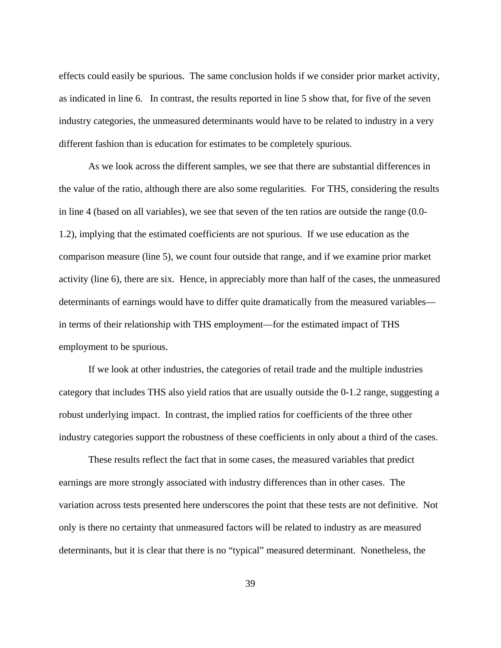effects could easily be spurious. The same conclusion holds if we consider prior market activity, as indicated in line 6. In contrast, the results reported in line 5 show that, for five of the seven industry categories, the unmeasured determinants would have to be related to industry in a very different fashion than is education for estimates to be completely spurious.

As we look across the different samples, we see that there are substantial differences in the value of the ratio, although there are also some regularities. For THS, considering the results in line 4 (based on all variables), we see that seven of the ten ratios are outside the range (0.0- 1.2), implying that the estimated coefficients are not spurious. If we use education as the comparison measure (line 5), we count four outside that range, and if we examine prior market activity (line 6), there are six. Hence, in appreciably more than half of the cases, the unmeasured determinants of earnings would have to differ quite dramatically from the measured variables in terms of their relationship with THS employment—for the estimated impact of THS employment to be spurious.

If we look at other industries, the categories of retail trade and the multiple industries category that includes THS also yield ratios that are usually outside the 0-1.2 range, suggesting a robust underlying impact. In contrast, the implied ratios for coefficients of the three other industry categories support the robustness of these coefficients in only about a third of the cases.

These results reflect the fact that in some cases, the measured variables that predict earnings are more strongly associated with industry differences than in other cases. The variation across tests presented here underscores the point that these tests are not definitive. Not only is there no certainty that unmeasured factors will be related to industry as are measured determinants, but it is clear that there is no "typical" measured determinant. Nonetheless, the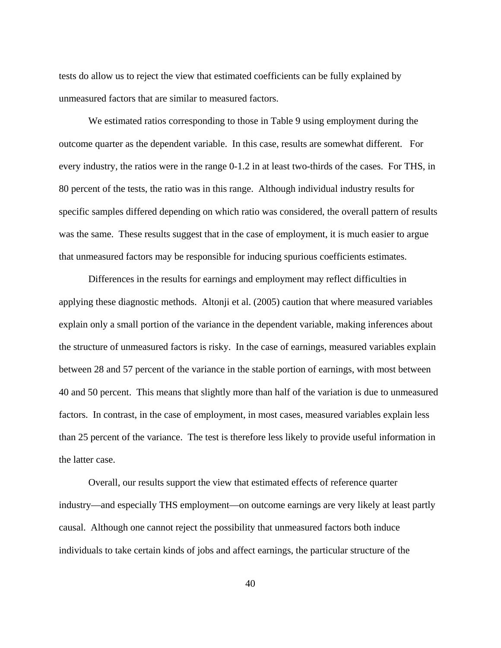tests do allow us to reject the view that estimated coefficients can be fully explained by unmeasured factors that are similar to measured factors.

We estimated ratios corresponding to those in Table 9 using employment during the outcome quarter as the dependent variable. In this case, results are somewhat different. For every industry, the ratios were in the range 0-1.2 in at least two-thirds of the cases. For THS, in 80 percent of the tests, the ratio was in this range. Although individual industry results for specific samples differed depending on which ratio was considered, the overall pattern of results was the same. These results suggest that in the case of employment, it is much easier to argue that unmeasured factors may be responsible for inducing spurious coefficients estimates.

Differences in the results for earnings and employment may reflect difficulties in applying these diagnostic methods. Altonji et al. (2005) caution that where measured variables explain only a small portion of the variance in the dependent variable, making inferences about the structure of unmeasured factors is risky. In the case of earnings, measured variables explain between 28 and 57 percent of the variance in the stable portion of earnings, with most between 40 and 50 percent. This means that slightly more than half of the variation is due to unmeasured factors. In contrast, in the case of employment, in most cases, measured variables explain less than 25 percent of the variance. The test is therefore less likely to provide useful information in the latter case.

Overall, our results support the view that estimated effects of reference quarter industry—and especially THS employment—on outcome earnings are very likely at least partly causal. Although one cannot reject the possibility that unmeasured factors both induce individuals to take certain kinds of jobs and affect earnings, the particular structure of the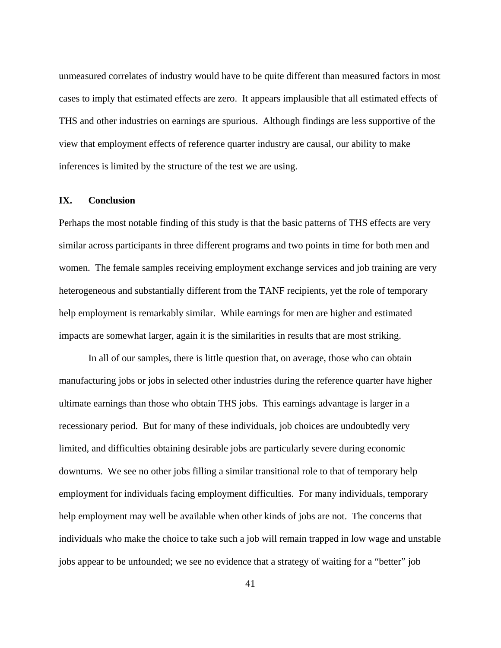unmeasured correlates of industry would have to be quite different than measured factors in most cases to imply that estimated effects are zero. It appears implausible that all estimated effects of THS and other industries on earnings are spurious. Although findings are less supportive of the view that employment effects of reference quarter industry are causal, our ability to make inferences is limited by the structure of the test we are using.

# **IX. Conclusion**

Perhaps the most notable finding of this study is that the basic patterns of THS effects are very similar across participants in three different programs and two points in time for both men and women. The female samples receiving employment exchange services and job training are very heterogeneous and substantially different from the TANF recipients, yet the role of temporary help employment is remarkably similar. While earnings for men are higher and estimated impacts are somewhat larger, again it is the similarities in results that are most striking.

 In all of our samples, there is little question that, on average, those who can obtain manufacturing jobs or jobs in selected other industries during the reference quarter have higher ultimate earnings than those who obtain THS jobs. This earnings advantage is larger in a recessionary period. But for many of these individuals, job choices are undoubtedly very limited, and difficulties obtaining desirable jobs are particularly severe during economic downturns. We see no other jobs filling a similar transitional role to that of temporary help employment for individuals facing employment difficulties. For many individuals, temporary help employment may well be available when other kinds of jobs are not. The concerns that individuals who make the choice to take such a job will remain trapped in low wage and unstable jobs appear to be unfounded; we see no evidence that a strategy of waiting for a "better" job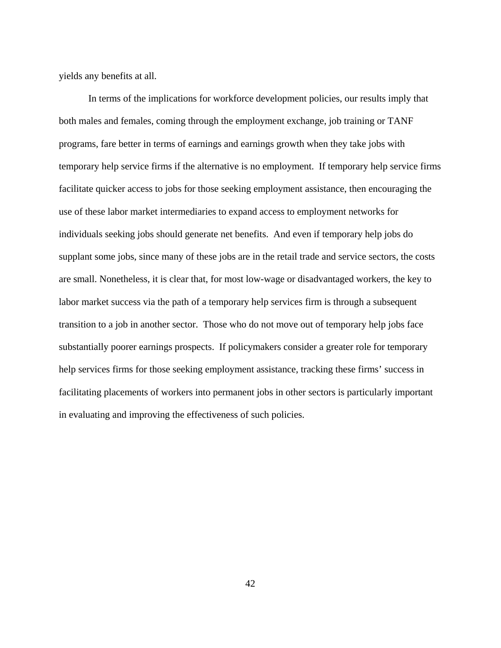yields any benefits at all.

 In terms of the implications for workforce development policies, our results imply that both males and females, coming through the employment exchange, job training or TANF programs, fare better in terms of earnings and earnings growth when they take jobs with temporary help service firms if the alternative is no employment. If temporary help service firms facilitate quicker access to jobs for those seeking employment assistance, then encouraging the use of these labor market intermediaries to expand access to employment networks for individuals seeking jobs should generate net benefits. And even if temporary help jobs do supplant some jobs, since many of these jobs are in the retail trade and service sectors, the costs are small. Nonetheless, it is clear that, for most low-wage or disadvantaged workers, the key to labor market success via the path of a temporary help services firm is through a subsequent transition to a job in another sector. Those who do not move out of temporary help jobs face substantially poorer earnings prospects. If policymakers consider a greater role for temporary help services firms for those seeking employment assistance, tracking these firms' success in facilitating placements of workers into permanent jobs in other sectors is particularly important in evaluating and improving the effectiveness of such policies.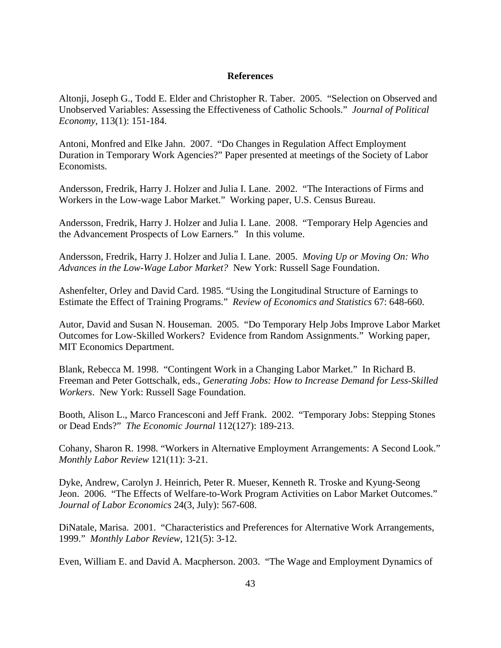## **References**

Altonji, Joseph G., Todd E. Elder and Christopher R. Taber. 2005. "Selection on Observed and Unobserved Variables: Assessing the Effectiveness of Catholic Schools." *Journal of Political Economy*, 113(1): 151-184.

Antoni, Monfred and Elke Jahn. 2007. "Do Changes in Regulation Affect Employment Duration in Temporary Work Agencies?" Paper presented at meetings of the Society of Labor Economists.

Andersson, Fredrik, Harry J. Holzer and Julia I. Lane. 2002. "The Interactions of Firms and Workers in the Low-wage Labor Market." Working paper, U.S. Census Bureau.

Andersson, Fredrik, Harry J. Holzer and Julia I. Lane. 2008. "Temporary Help Agencies and the Advancement Prospects of Low Earners." In this volume.

Andersson, Fredrik, Harry J. Holzer and Julia I. Lane. 2005. *Moving Up or Moving On: Who Advances in the Low-Wage Labor Market?* New York: Russell Sage Foundation.

Ashenfelter, Orley and David Card. 1985. "Using the Longitudinal Structure of Earnings to Estimate the Effect of Training Programs." *Review of Economics and Statistics* 67: 648-660.

Autor, David and Susan N. Houseman. 2005. "Do Temporary Help Jobs Improve Labor Market Outcomes for Low-Skilled Workers? Evidence from Random Assignments." Working paper, MIT Economics Department.

Blank, Rebecca M. 1998. "Contingent Work in a Changing Labor Market." In Richard B. Freeman and Peter Gottschalk, eds., *Generating Jobs: How to Increase Demand for Less-Skilled Workers*. New York: Russell Sage Foundation.

Booth, Alison L., Marco Francesconi and Jeff Frank. 2002. "Temporary Jobs: Stepping Stones or Dead Ends?" *The Economic Journal* 112(127): 189-213.

Cohany, Sharon R. 1998. "Workers in Alternative Employment Arrangements: A Second Look." *Monthly Labor Review* 121(11): 3-21.

Dyke, Andrew, Carolyn J. Heinrich, Peter R. Mueser, Kenneth R. Troske and Kyung-Seong Jeon. 2006. "The Effects of Welfare-to-Work Program Activities on Labor Market Outcomes." *Journal of Labor Economics* 24(3, July): 567-608.

DiNatale, Marisa. 2001. "Characteristics and Preferences for Alternative Work Arrangements, 1999." *Monthly Labor Review*, 121(5): 3-12.

Even, William E. and David A. Macpherson. 2003. "The Wage and Employment Dynamics of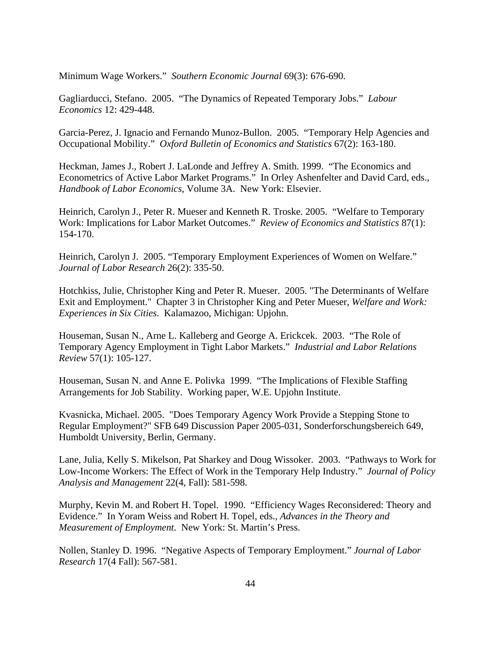Minimum Wage Workers." *Southern Economic Journal* 69(3): 676-690.

Gagliarducci, Stefano. 2005. "The Dynamics of Repeated Temporary Jobs." *Labour Economics* 12: 429-448.

Garcia-Perez, J. Ignacio and Fernando Munoz-Bullon. 2005. "Temporary Help Agencies and Occupational Mobility." *Oxford Bulletin of Economics and Statistics* 67(2): 163-180.

Heckman, James J., Robert J. LaLonde and Jeffrey A. Smith. 1999. "The Economics and Econometrics of Active Labor Market Programs." In Orley Ashenfelter and David Card, eds., *Handbook of Labor Economics*, Volume 3A. New York: Elsevier.

Heinrich, Carolyn J., Peter R. Mueser and Kenneth R. Troske. 2005. "Welfare to Temporary Work: Implications for Labor Market Outcomes." *Review of Economics and Statistics* 87(1): 154-170.

Heinrich, Carolyn J. 2005. "Temporary Employment Experiences of Women on Welfare." *Journal of Labor Research* 26(2): 335-50.

Hotchkiss, Julie, Christopher King and Peter R. Mueser. 2005. "The Determinants of Welfare Exit and Employment." Chapter 3 in Christopher King and Peter Mueser, *Welfare and Work: Experiences in Six Cities*. Kalamazoo, Michigan: Upjohn.

Houseman, Susan N., Arne L. Kalleberg and George A. Erickcek. 2003. "The Role of Temporary Agency Employment in Tight Labor Markets." *Industrial and Labor Relations Review* 57(1): 105-127.

Houseman, Susan N. and Anne E. Polivka 1999. "The Implications of Flexible Staffing Arrangements for Job Stability. Working paper, W.E. Upjohn Institute.

Kvasnicka, Michael. 2005. "Does Temporary Agency Work Provide a Stepping Stone to Regular Employment?" SFB 649 Discussion Paper 2005-031, Sonderforschungsbereich 649, Humboldt University, Berlin, Germany.

Lane, Julia, Kelly S. Mikelson, Pat Sharkey and Doug Wissoker. 2003. "Pathways to Work for Low-Income Workers: The Effect of Work in the Temporary Help Industry." *Journal of Policy Analysis and Management* 22(4, Fall): 581-598.

Murphy, Kevin M. and Robert H. Topel. 1990. "Efficiency Wages Reconsidered: Theory and Evidence." In Yoram Weiss and Robert H. Topel, eds., *Advances in the Theory and Measurement of Employment*. New York: St. Martin's Press.

Nollen, Stanley D. 1996. "Negative Aspects of Temporary Employment." *Journal of Labor Research* 17(4 Fall): 567-581.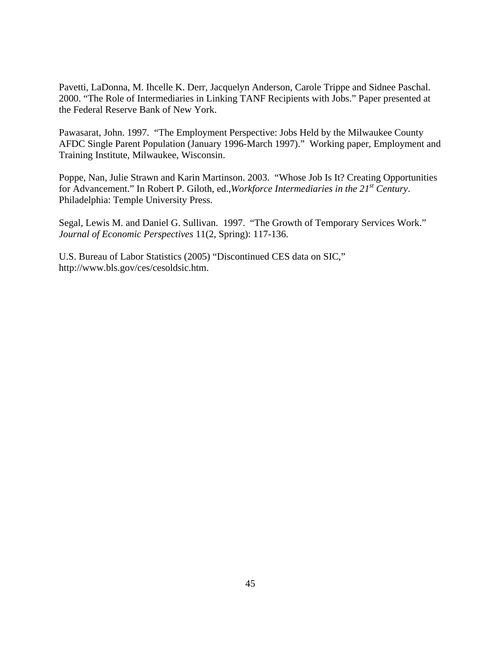Pavetti, LaDonna, M. Ihcelle K. Derr, Jacquelyn Anderson, Carole Trippe and Sidnee Paschal. 2000. "The Role of Intermediaries in Linking TANF Recipients with Jobs." Paper presented at the Federal Reserve Bank of New York.

Pawasarat, John. 1997. "The Employment Perspective: Jobs Held by the Milwaukee County AFDC Single Parent Population (January 1996-March 1997)." Working paper, Employment and Training Institute, Milwaukee, Wisconsin.

Poppe, Nan, Julie Strawn and Karin Martinson. 2003. "Whose Job Is It? Creating Opportunities for Advancement." In Robert P. Giloth, ed.,*Workforce Intermediaries in the 21st Century*. Philadelphia: Temple University Press.

Segal, Lewis M. and Daniel G. Sullivan. 1997. "The Growth of Temporary Services Work." *Journal of Economic Perspectives* 11(2, Spring): 117-136.

U.S. Bureau of Labor Statistics (2005) "Discontinued CES data on SIC," http://www.bls.gov/ces/cesoldsic.htm.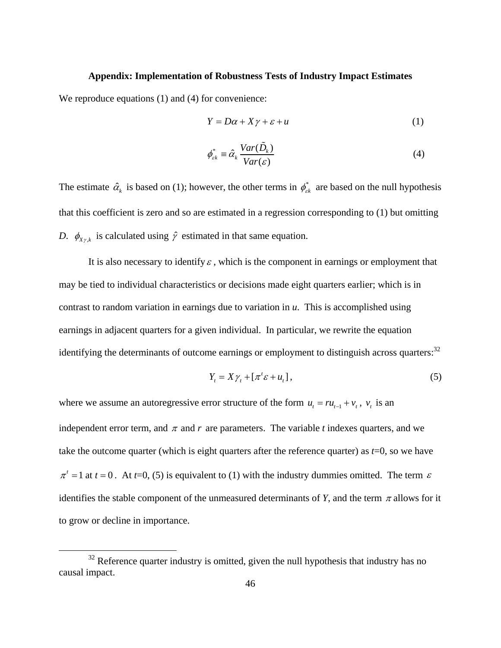## **Appendix: Implementation of Robustness Tests of Industry Impact Estimates**

We reproduce equations (1) and (4) for convenience:

$$
Y = D\alpha + X\gamma + \varepsilon + u \tag{1}
$$

$$
\phi_{\varepsilon k}^* \equiv \hat{\alpha}_k \frac{Var(\tilde{D}_k)}{Var(\varepsilon)}
$$
(4)

The estimate  $\hat{\alpha}_k$  is based on (1); however, the other terms in  $\phi_{\varepsilon k}^*$  are based on the null hypothesis that this coefficient is zero and so are estimated in a regression corresponding to (1) but omitting *D.*  $\phi_{X\gamma,k}$  is calculated using  $\hat{\gamma}$  estimated in that same equation.

It is also necessary to identify  $\varepsilon$ , which is the component in earnings or employment that may be tied to individual characteristics or decisions made eight quarters earlier; which is in contrast to random variation in earnings due to variation in *u*. This is accomplished using earnings in adjacent quarters for a given individual. In particular, we rewrite the equation identifying the determinants of outcome earnings or employment to distinguish across quarters:<sup>32</sup>

$$
Y_t = X\gamma_t + [\pi^t \varepsilon + u_t],\tag{5}
$$

where we assume an autoregressive error structure of the form  $u_t = ru_{t-1} + v_t$ ,  $v_t$  is an independent error term, and  $\pi$  and  $r$  are parameters. The variable  $t$  indexes quarters, and we take the outcome quarter (which is eight quarters after the reference quarter) as *t*=0, so we have  $\pi^{t} = 1$  at  $t = 0$ . At  $t = 0$ , (5) is equivalent to (1) with the industry dummies omitted. The term  $\varepsilon$ identifies the stable component of the unmeasured determinants of *Y*, and the term  $\pi$  allows for it to grow or decline in importance.

 $32$  Reference quarter industry is omitted, given the null hypothesis that industry has no causal impact.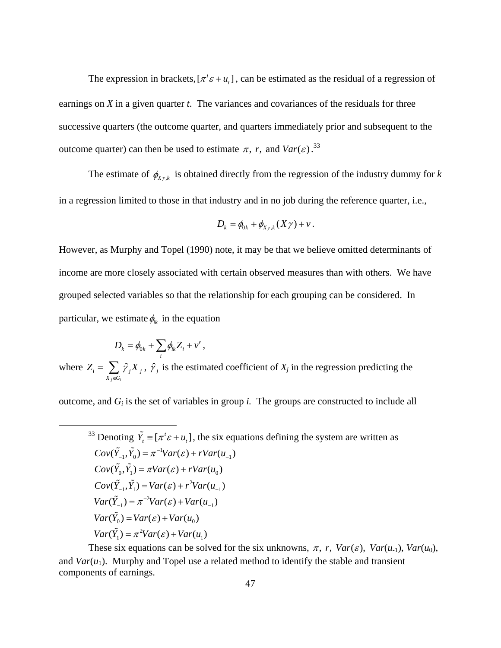The expression in brackets,  $[\pi^t \varepsilon + u_t]$ , can be estimated as the residual of a regression of earnings on *X* in a given quarter *t*. The variances and covariances of the residuals for three successive quarters (the outcome quarter, and quarters immediately prior and subsequent to the outcome quarter) can then be used to estimate  $\pi$ , r, and  $Var(\varepsilon)$ .<sup>33</sup>

The estimate of  $\phi_{X_{\gamma,k}}$  is obtained directly from the regression of the industry dummy for *k* in a regression limited to those in that industry and in no job during the reference quarter, i.e.,

$$
D_k = \phi_{0k} + \phi_{X\gamma,k}(X\gamma) + v.
$$

However, as Murphy and Topel (1990) note, it may be that we believe omitted determinants of income are more closely associated with certain observed measures than with others. We have grouped selected variables so that the relationship for each grouping can be considered. In particular, we estimate  $\phi_{ik}$  in the equation

$$
D_k = \phi_{0k} + \sum_i \phi_{ik} Z_i + v'
$$

where  $Z_i = \sum_i \hat{\gamma}$  $i \in \mathcal{a}$  $i = \sum f_j \Lambda_j$  $X_i \in G$  $Z_i = \sum_i \hat{\gamma}_i X$  $=\sum_{X_i\in G_i} \hat{\gamma}_j X_j$ ,  $\hat{\gamma}_j$  is the estimated coefficient of  $X_j$  in the regression predicting the

outcome, and *Gi* is the set of variables in group *i.* The groups are constructed to include all

<sup>33</sup> Denoting  $\tilde{Y}_t = [\pi^t \varepsilon + u_t]$ , the six equations defining the system are written as 1  $Cov(\tilde{Y}_{-1}, \tilde{Y}_0) = \pi^{-1}Var(\varepsilon) + rVar(u_{-1})$  $Cov(\tilde{Y}_0, \tilde{Y}_1) = \pi Var(\varepsilon) + rVar(u_0)$ 2  $Cov(\tilde{Y}_{-1}, \tilde{Y}_1) = Var(\varepsilon) + r^2Var(u_{-1})$ 2  $Var(\tilde{Y}_{-1}) = \pi^{-2}Var(\varepsilon) + Var(u_{-1})$  $Var(\tilde{Y}_0) = Var(\varepsilon) + Var(u_0)$ 2  $Var(\tilde{Y}_1) = \pi^2 Var(\varepsilon) + Var(u_1)$  $(\tilde{Y}_{-1}, \tilde{Y}_{0}) = \pi^{-1}Var(\varepsilon) + rVar(u_{-1})$  $(\tilde{Y}_{-1}) = \pi^{-2}Var(\varepsilon) + Var(u)$ 

These six equations can be solved for the six unknowns,  $\pi$ , r,  $Var(\varepsilon)$ ,  $Var(u_1)$ ,  $Var(u_0)$ , and  $Var(u_1)$ . Murphy and Topel use a related method to identify the stable and transient components of earnings.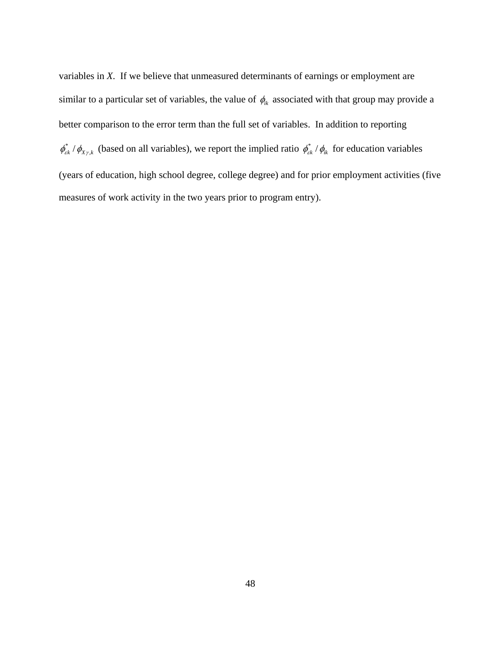variables in *X*. If we believe that unmeasured determinants of earnings or employment are similar to a particular set of variables, the value of  $\phi_{ik}$  associated with that group may provide a better comparison to the error term than the full set of variables. In addition to reporting  $\phi_{\varepsilon k}^* / \phi_{X\gamma,k}$  (based on all variables), we report the implied ratio  $\phi_{\varepsilon k}^* / \phi_{ik}$  for education variables (years of education, high school degree, college degree) and for prior employment activities (five measures of work activity in the two years prior to program entry).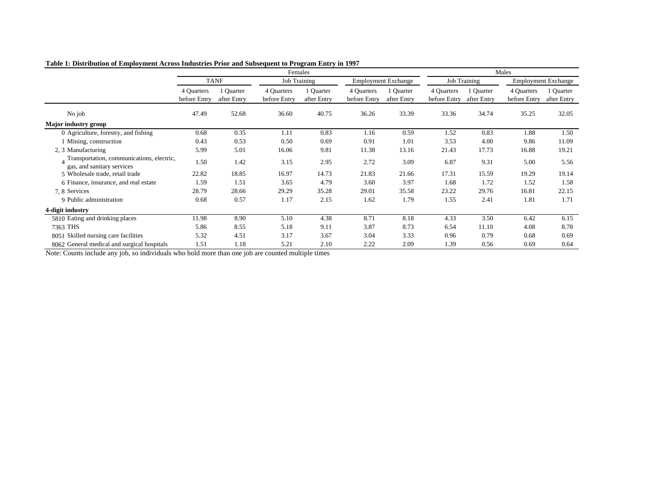|                                                                         |                            |                          |                            | $\epsilon$<br>Females    |                            |                            |                            |                          | Males                      |                            |
|-------------------------------------------------------------------------|----------------------------|--------------------------|----------------------------|--------------------------|----------------------------|----------------------------|----------------------------|--------------------------|----------------------------|----------------------------|
|                                                                         |                            | <b>TANF</b>              |                            | <b>Job Training</b>      |                            | <b>Employment Exchange</b> |                            | <b>Job Training</b>      |                            | <b>Employment Exchange</b> |
|                                                                         | 4 Quarters<br>before Entry | 1 Quarter<br>after Entry | 4 Quarters<br>before Entry | 1 Quarter<br>after Entry | 4 Quarters<br>before Entry | l Quarter<br>after Entry   | 4 Quarters<br>before Entry | 1 Quarter<br>after Entry | 4 Quarters<br>before Entry | Quarter<br>after Entry     |
| No job                                                                  | 47.49                      | 52.68                    | 36.60                      | 40.75                    | 36.26                      | 33.39                      | 33.36                      | 34.74                    | 35.25                      | 32.05                      |
| Major industry group                                                    |                            |                          |                            |                          |                            |                            |                            |                          |                            |                            |
| 0 Agriculture, forestry, and fishing                                    | 0.68                       | 0.35                     | 1.11                       | 0.83                     | 1.16                       | 0.59                       | 1.52                       | 0.83                     | 1.88                       | 1.50                       |
| 1 Mining, construction                                                  | 0.43                       | 0.53                     | 0.50                       | 0.69                     | 0.91                       | 1.01                       | 3.53                       | 4.00                     | 9.86                       | 11.09                      |
| 2, 3 Manufacturing                                                      | 5.99                       | 5.01                     | 16.06                      | 9.81                     | 11.38                      | 13.16                      | 21.43                      | 17.73                    | 16.88                      | 19.21                      |
| Transportation, communications, electric,<br>gas, and sanitary services | 1.50                       | 1.42                     | 3.15                       | 2.95                     | 2.72                       | 3.09                       | 6.87                       | 9.31                     | 5.00                       | 5.56                       |
| 5 Wholesale trade, retail trade                                         | 22.82                      | 18.85                    | 16.97                      | 14.73                    | 21.83                      | 21.66                      | 17.31                      | 15.59                    | 19.29                      | 19.14                      |
| 6 Finance, insurance, and real estate                                   | 1.59                       | 1.51                     | 3.65                       | 4.79                     | 3.60                       | 3.97                       | 1.68                       | 1.72                     | 1.52                       | 1.58                       |
| 7, 8 Services                                                           | 28.79                      | 28.66                    | 29.29                      | 35.28                    | 29.01                      | 35.58                      | 23.22                      | 29.76                    | 16.81                      | 22.15                      |
| 9 Public administration                                                 | 0.68                       | 0.57                     | 1.17                       | 2.15                     | 1.62                       | 1.79                       | 1.55                       | 2.41                     | 1.81                       | 1.71                       |
| 4-digit industry                                                        |                            |                          |                            |                          |                            |                            |                            |                          |                            |                            |
| 5810 Eating and drinking places                                         | 11.98                      | 8.90                     | 5.10                       | 4.38                     | 8.71                       | 8.18                       | 4.33                       | 3.50                     | 6.42                       | 6.15                       |
| 7363 THS                                                                | 5.86                       | 8.55                     | 5.18                       | 9.11                     | 3.87                       | 8.73                       | 6.54                       | 11.10                    | 4.08                       | 8.78                       |
| 8051 Skilled nursing care facilities                                    | 5.32                       | 4.51                     | 3.17                       | 3.67                     | 3.04                       | 3.33                       | 0.96                       | 0.79                     | 0.68                       | 0.69                       |
| 8062 General medical and surgical hospitals                             | 1.51                       | 1.18                     | 5.21                       | 2.10                     | 2.22                       | 2.09                       | 1.39                       | 0.56                     | 0.69                       | 0.64                       |

**Table 1: Distribution of Employment Across Industries Prior and Subsequent to Program Entry in 1997**

Note: Counts include any job, so individuals who hold more than one job are counted multiple times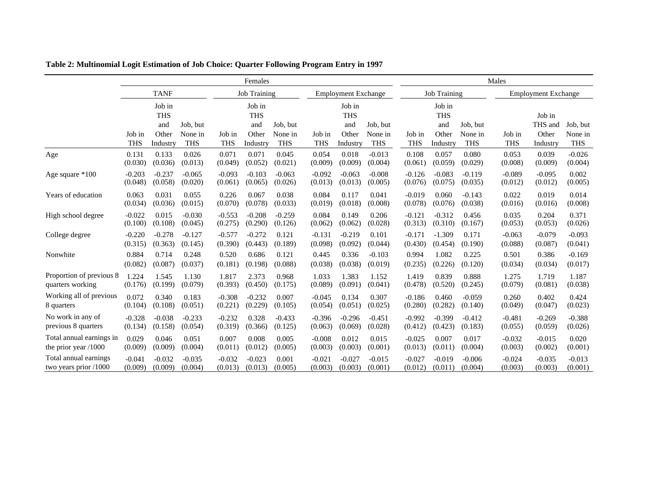|                          | Females    |                                      |                     |            |                                      |                     |            | Males                                |                     |            |                                      |                     |            |                            |                     |
|--------------------------|------------|--------------------------------------|---------------------|------------|--------------------------------------|---------------------|------------|--------------------------------------|---------------------|------------|--------------------------------------|---------------------|------------|----------------------------|---------------------|
|                          |            | <b>TANF</b>                          |                     |            | <b>Job Training</b>                  |                     |            | <b>Employment Exchange</b>           |                     |            | <b>Job Training</b>                  |                     |            | <b>Employment Exchange</b> |                     |
|                          | Job in     | Job in<br><b>THS</b><br>and<br>Other | Job, but<br>None in | Job in     | Job in<br><b>THS</b><br>and<br>Other | Job, but<br>None in | Job in     | Job in<br><b>THS</b><br>and<br>Other | Job, but<br>None in | Job in     | Job in<br><b>THS</b><br>and<br>Other | Job, but<br>None in | Job in     | Job in<br>THS and<br>Other | Job, but<br>None in |
| Age                      | <b>THS</b> | Industry                             | <b>THS</b>          | <b>THS</b> | Industry                             | <b>THS</b>          | <b>THS</b> | Industry                             | <b>THS</b>          | <b>THS</b> | Industry                             | <b>THS</b>          | <b>THS</b> | Industry                   | <b>THS</b>          |
|                          | 0.131      | 0.133                                | 0.026               | 0.071      | 0.071                                | 0.045               | 0.054      | 0.018                                | $-0.013$            | 0.108      | 0.057                                | 0.080               | 0.053      | 0.039                      | $-0.026$            |
|                          | (0.030)    | (0.036)                              | (0.013)             | (0.049)    | (0.052)                              | (0.021)             | (0.009)    | (0.009)                              | (0.004)             | (0.061)    | (0.059)                              | (0.029)             | (0.008)    | (0.009)                    | (0.004)             |
| Age square *100          | $-0.203$   | $-0.237$                             | $-0.065$            | $-0.093$   | $-0.103$                             | $-0.063$            | $-0.092$   | $-0.063$                             | $-0.008$            | $-0.126$   | $-0.083$                             | $-0.119$            | $-0.089$   | $-0.095$                   | 0.002               |
|                          | (0.048)    | (0.058)                              | (0.020)             | (0.061)    | (0.065)                              | (0.026)             | (0.013)    | (0.013)                              | (0.005)             | (0.076)    | (0.075)                              | (0.035)             | (0.012)    | (0.012)                    | (0.005)             |
| Years of education       | 0.063      | 0.031                                | 0.055               | 0.226      | 0.067                                | 0.038               | 0.084      | 0.117                                | 0.041               | $-0.019$   | 0.060                                | $-0.143$            | 0.022      | 0.019                      | 0.014               |
|                          | (0.034)    | (0.036)                              | (0.015)             | (0.070)    | (0.078)                              | (0.033)             | (0.019)    | (0.018)                              | (0.008)             | (0.078)    | (0.076)                              | (0.038)             | (0.016)    | (0.016)                    | (0.008)             |
| High school degree       | $-0.022$   | 0.015                                | $-0.030$            | $-0.553$   | $-0.208$                             | $-0.259$            | 0.084      | 0.149                                | 0.206               | $-0.121$   | $-0.312$                             | 0.456               | 0.035      | 0.204                      | 0.371               |
|                          | (0.100)    | (0.108)                              | (0.045)             | (0.275)    | (0.290)                              | (0.126)             | (0.062)    | (0.062)                              | (0.028)             | (0.313)    | (0.310)                              | (0.167)             | (0.053)    | (0.053)                    | (0.026)             |
| College degree           | $-0.220$   | $-0.278$                             | $-0.127$            | $-0.577$   | $-0.272$                             | 0.121               | $-0.131$   | $-0.219$                             | 0.101               | $-0.171$   | $-1.309$                             | 0.171               | $-0.063$   | $-0.079$                   | $-0.093$            |
|                          | (0.315)    | (0.363)                              | (0.145)             | (0.390)    | (0.443)                              | (0.189)             | (0.098)    | (0.092)                              | (0.044)             | (0.430)    | (0.454)                              | (0.190)             | (0.088)    | (0.087)                    | (0.041)             |
| Nonwhite                 | 0.884      | 0.714                                | 0.248               | 0.520      | 0.686                                | 0.121               | 0.445      | 0.336                                | $-0.103$            | 0.994      | 1.082                                | 0.225               | 0.501      | 0.386                      | $-0.169$            |
|                          | (0.082)    | (0.087)                              | (0.037)             | (0.181)    | (0.198)                              | (0.088)             | (0.038)    | (0.038)                              | (0.019)             | (0.235)    | (0.226)                              | (0.120)             | (0.034)    | (0.034)                    | (0.017)             |
| Proportion of previous 8 | 1.224      | 1.545                                | 1.130               | 1.817      | 2.373                                | 0.968               | 1.033      | 1.383                                | 1.152               | 1.419      | 0.839                                | 0.888               | 1.275      | 1.719                      | 1.187               |
| quarters working         | (0.176)    | (0.199)                              | (0.079)             | (0.393)    | (0.450)                              | (0.175)             | (0.089)    | (0.091)                              | (0.041)             | (0.478)    | (0.520)                              | (0.245)             | (0.079)    | (0.081)                    | (0.038)             |
| Working all of previous  | 0.072      | 0.340                                | 0.183               | $-0.308$   | $-0.232$                             | 0.007               | $-0.045$   | 0.134                                | 0.307               | $-0.186$   | 0.460                                | $-0.059$            | 0.260      | 0.402                      | 0.424               |
| 8 quarters               | (0.104)    | (0.108)                              | (0.051)             | (0.221)    | (0.229)                              | (0.105)             | (0.054)    | (0.051)                              | (0.025)             | (0.280)    | (0.282)                              | (0.140)             | (0.049)    | (0.047)                    | (0.023)             |
| No work in any of        | $-0.328$   | $-0.038$                             | $-0.233$            | $-0.232$   | 0.328                                | $-0.433$            | $-0.396$   | $-0.296$                             | $-0.451$            | $-0.992$   | $-0.399$                             | $-0.412$            | $-0.481$   | $-0.269$                   | $-0.388$            |
| previous 8 quarters      | (0.134)    | (0.158)                              | (0.054)             | (0.319)    | (0.366)                              | (0.125)             | (0.063)    | (0.069)                              | (0.028)             | (0.412)    | (0.423)                              | (0.183)             | (0.055)    | (0.059)                    | (0.026)             |
| Total annual earnings in | 0.029      | 0.046                                | 0.051               | 0.007      | 0.008                                | 0.005               | $-0.008$   | 0.012                                | 0.015               | $-0.025$   | 0.007                                | 0.017               | $-0.032$   | $-0.015$                   | 0.020               |
| the prior year $/1000$   | (0.009)    | (0.009)                              | (0.004)             | (0.011)    | (0.012)                              | (0.005)             | (0.003)    | (0.003)                              | (0.001)             | (0.013)    | (0.011)                              | (0.004)             | (0.003)    | (0.002)                    | (0.001)             |
| Total annual earnings    | $-0.041$   | $-0.032$                             | $-0.035$            | $-0.032$   | $-0.023$                             | 0.001               | $-0.021$   | $-0.027$                             | $-0.015$            | $-0.027$   | $-0.019$                             | $-0.006$            | $-0.024$   | $-0.035$                   | $-0.013$            |
| two years prior /1000    | (0.009)    | (0.009)                              | (0.004)             | (0.013)    | (0.013)                              | (0.005)             | (0.003)    | (0.003)                              | (0.001)             | (0.012)    | (0.011)                              | (0.004)             | (0.003)    | (0.003)                    | (0.001)             |

**Table 2: Multinomial Logit Estimation of Job Choice: Quarter Following Program Entry in 1997**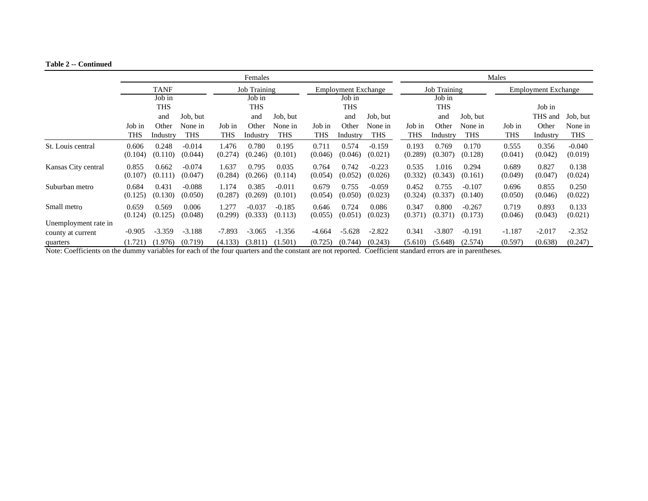#### **Table 2 -- Continued**

|                                                                                                                                                                    |                  | Females          |                     |                  |                     |                     |                  |                            |                     |                                                   | Males            |                     |                  |                  |                     |  |  |
|--------------------------------------------------------------------------------------------------------------------------------------------------------------------|------------------|------------------|---------------------|------------------|---------------------|---------------------|------------------|----------------------------|---------------------|---------------------------------------------------|------------------|---------------------|------------------|------------------|---------------------|--|--|
|                                                                                                                                                                    |                  | <b>TANF</b>      |                     |                  | <b>Job Training</b> |                     |                  | <b>Employment Exchange</b> |                     | <b>Job Training</b><br><b>Employment Exchange</b> |                  |                     |                  |                  |                     |  |  |
|                                                                                                                                                                    |                  | Job in           |                     |                  | Job in              |                     |                  | Job in                     |                     |                                                   | Job in           |                     |                  |                  |                     |  |  |
|                                                                                                                                                                    |                  | <b>THS</b>       |                     |                  | THS                 |                     |                  | <b>THS</b>                 |                     |                                                   | THS              |                     |                  | Job in           |                     |  |  |
|                                                                                                                                                                    |                  | and              | Job, but            |                  | and                 | Job, but            |                  | and                        | Job, but            |                                                   | and              | Job, but            |                  | THS and          | Job, but            |  |  |
|                                                                                                                                                                    | Job in           | Other            | None in             | Job in           | Other               | None in             | Job in           | Other                      | None in             | Job in                                            | Other            | None in             | Job in           | Other            | None in             |  |  |
|                                                                                                                                                                    | <b>THS</b>       | Industry         | <b>THS</b>          | THS              | Industry            | <b>THS</b>          | <b>THS</b>       | Industry                   | <b>THS</b>          | THS                                               | Industry         | THS                 | THS              | Industry         | <b>THS</b>          |  |  |
| St. Louis central                                                                                                                                                  | 0.606<br>(0.104) | 0.248<br>(0.110) | $-0.014$<br>(0.044) | 1.476<br>(0.274) | 0.780<br>(0.246)    | 0.195<br>(0.101)    | 0.711<br>(0.046) | 0.574<br>(0.046)           | $-0.159$<br>(0.021) | 0.193<br>(0.289)                                  | 0.769<br>(0.307) | 0.170<br>(0.128)    | 0.555<br>(0.041) | 0.356<br>(0.042) | $-0.040$<br>(0.019) |  |  |
| Kansas City central                                                                                                                                                | 0.855<br>(0.107) | 0.662<br>(0.111) | $-0.074$<br>(0.047) | 1.637<br>(0.284) | 0.795<br>(0.266)    | 0.035<br>(0.114)    | 0.764<br>(0.054) | 0.742<br>(0.052)           | $-0.223$<br>(0.026) | 0.535<br>(0.332)                                  | 1.016<br>(0.343) | 0.294<br>(0.161)    | 0.689<br>(0.049) | 0.827<br>(0.047) | 0.138<br>(0.024)    |  |  |
| Suburban metro                                                                                                                                                     | 0.684<br>(0.125) | 0.431<br>(0.130) | $-0.088$<br>(0.050) | 1.174<br>(0.287) | 0.385<br>(0.269)    | $-0.011$<br>(0.101) | 0.679<br>(0.054) | 0.755<br>(0.050)           | $-0.059$<br>(0.023) | 0.452<br>(0.324)                                  | 0.755<br>(0.337) | $-0.107$<br>(0.140) | 0.696<br>(0.050) | 0.855<br>(0.046) | 0.250<br>(0.022)    |  |  |
| Small metro                                                                                                                                                        | 0.659<br>(0.124) | 0.569<br>(0.125) | 0.006<br>(0.048)    | 1.277<br>(0.299) | $-0.037$<br>(0.333) | $-0.185$<br>(0.113) | 0.646<br>(0.055) | 0.724<br>(0.051)           | 0.086<br>(0.023)    | 0.347<br>(0.371)                                  | 0.800<br>(0.371) | $-0.267$<br>(0.173) | 0.719<br>(0.046) | 0.893<br>(0.043) | 0.133<br>(0.021)    |  |  |
| Unemployment rate in                                                                                                                                               |                  |                  |                     |                  |                     |                     |                  |                            |                     |                                                   |                  |                     |                  |                  |                     |  |  |
| county at current                                                                                                                                                  | $-0.905$         | $-3.359$         | $-3.188$            | $-7.893$         | $-3.065$            | $-1.356$            | -4.664           | $-5.628$                   | $-2.822$            | 0.341                                             | $-3.807$         | $-0.191$            | $-1.187$         | $-2.017$         | $-2.352$            |  |  |
| quarters<br>Note Coefficients on the dympy variables for soch of the four quarters and the constant are not reported. Coefficient standard arrow are in negatheres | (1.721)          | (1.976)          | (0.719)             | (4.133)          | (3.811)             | (1.501)             | (0.725)          | (0.744)                    | (0.243)             | (5.610)                                           | (5.648)          | (2.574)             | (0.597)          | (0.638)          | (0.247)             |  |  |

Note: Coefficients on the dummy variables for each of the four quarters and the constant are not reported. Coefficient standard errors are in parentheses.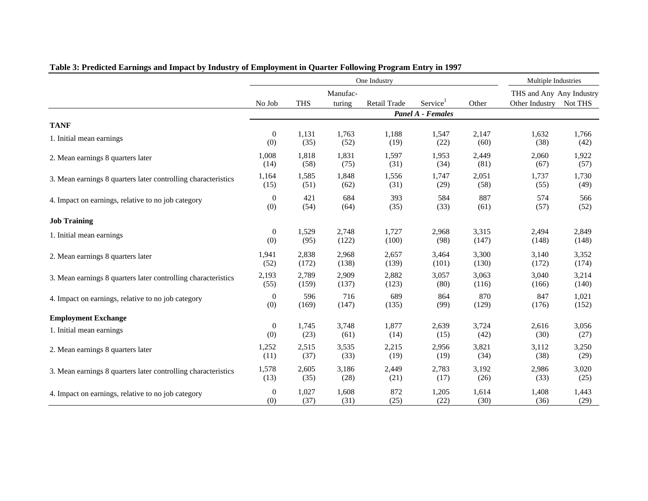|                                                               |                  |            |                    | One Industry |                          |       | Multiple Industries                                |       |
|---------------------------------------------------------------|------------------|------------|--------------------|--------------|--------------------------|-------|----------------------------------------------------|-------|
|                                                               | No Job           | <b>THS</b> | Manufac-<br>turing | Retail Trade | Service <sup>1</sup>     | Other | THS and Any Any Industry<br>Other Industry Not THS |       |
|                                                               |                  |            |                    |              | <b>Panel A - Females</b> |       |                                                    |       |
| <b>TANF</b>                                                   |                  |            |                    |              |                          |       |                                                    |       |
| 1. Initial mean earnings                                      | $\boldsymbol{0}$ | 1,131      | 1,763              | 1,188        | 1,547                    | 2,147 | 1,632                                              | 1,766 |
|                                                               | (0)              | (35)       | (52)               | (19)         | (22)                     | (60)  | (38)                                               | (42)  |
| 2. Mean earnings 8 quarters later                             | 1,008            | 1,818      | 1,831              | 1,597        | 1,953                    | 2,449 | 2,060                                              | 1,922 |
|                                                               | (14)             | (58)       | (75)               | (31)         | (34)                     | (81)  | (67)                                               | (57)  |
| 3. Mean earnings 8 quarters later controlling characteristics | 1,164            | 1,585      | 1,848              | 1,556        | 1,747                    | 2,051 | 1,737                                              | 1,730 |
|                                                               | (15)             | (51)       | (62)               | (31)         | (29)                     | (58)  | (55)                                               | (49)  |
| 4. Impact on earnings, relative to no job category            | $\theta$         | 421        | 684                | 393          | 584                      | 887   | 574                                                | 566   |
|                                                               | (0)              | (54)       | (64)               | (35)         | (33)                     | (61)  | (57)                                               | (52)  |
| <b>Job Training</b>                                           |                  |            |                    |              |                          |       |                                                    |       |
| 1. Initial mean earnings                                      | $\boldsymbol{0}$ | 1,529      | 2,748              | 1,727        | 2,968                    | 3,315 | 2,494                                              | 2,849 |
|                                                               | (0)              | (95)       | (122)              | (100)        | (98)                     | (147) | (148)                                              | (148) |
| 2. Mean earnings 8 quarters later                             | 1,941            | 2,838      | 2,968              | 2,657        | 3,464                    | 3,300 | 3,140                                              | 3,352 |
|                                                               | (52)             | (172)      | (138)              | (139)        | (101)                    | (130) | (172)                                              | (174) |
| 3. Mean earnings 8 quarters later controlling characteristics | 2,193            | 2,789      | 2,909              | 2,882        | 3,057                    | 3,063 | 3,040                                              | 3,214 |
|                                                               | (55)             | (159)      | (137)              | (123)        | (80)                     | (116) | (166)                                              | (140) |
| 4. Impact on earnings, relative to no job category            | $\theta$         | 596        | 716                | 689          | 864                      | 870   | 847                                                | 1,021 |
|                                                               | (0)              | (169)      | (147)              | (135)        | (99)                     | (129) | (176)                                              | (152) |
| <b>Employment Exchange</b>                                    |                  |            |                    |              |                          |       |                                                    |       |
| 1. Initial mean earnings                                      | $\boldsymbol{0}$ | 1,745      | 3,748              | 1,877        | 2,639                    | 3,724 | 2,616                                              | 3,056 |
|                                                               | (0)              | (23)       | (61)               | (14)         | (15)                     | (42)  | (30)                                               | (27)  |
| 2. Mean earnings 8 quarters later                             | 1,252            | 2,515      | 3,535              | 2,215        | 2,956                    | 3,821 | 3,112                                              | 3,250 |
|                                                               | (11)             | (37)       | (33)               | (19)         | (19)                     | (34)  | (38)                                               | (29)  |
| 3. Mean earnings 8 quarters later controlling characteristics | 1,578            | 2,605      | 3,186              | 2,449        | 2,783                    | 3,192 | 2,986                                              | 3,020 |
|                                                               | (13)             | (35)       | (28)               | (21)         | (17)                     | (26)  | (33)                                               | (25)  |
| 4. Impact on earnings, relative to no job category            | $\overline{0}$   | 1,027      | 1,608              | 872          | 1,205                    | 1,614 | 1,408                                              | 1,443 |
|                                                               | (0)              | (37)       | (31)               | (25)         | (22)                     | (30)  | (36)                                               | (29)  |

# **Table 3: Predicted Earnings and Impact by Industry of Employment in Quarter Following Program Entry in 1997**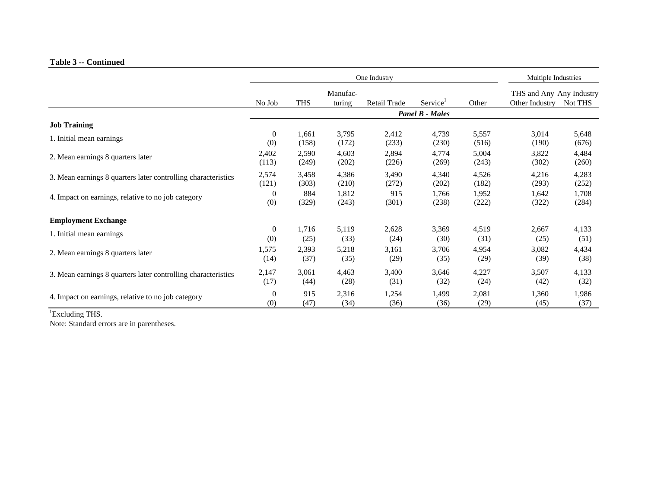### **Table 3 -- Continued**

|                                                               |                |            | One Industry       |              | Multiple Industries    |       |                                            |         |
|---------------------------------------------------------------|----------------|------------|--------------------|--------------|------------------------|-------|--------------------------------------------|---------|
|                                                               | No Job         | <b>THS</b> | Manufac-<br>turing | Retail Trade | Service <sup>1</sup>   | Other | THS and Any Any Industry<br>Other Industry | Not THS |
|                                                               |                |            |                    |              | <b>Panel B - Males</b> |       |                                            |         |
| <b>Job Training</b>                                           |                |            |                    |              |                        |       |                                            |         |
| 1. Initial mean earnings                                      | $\overline{0}$ | 1,661      | 3,795              | 2,412        | 4,739                  | 5,557 | 3,014                                      | 5,648   |
|                                                               | (0)            | (158)      | (172)              | (233)        | (230)                  | (516) | (190)                                      | (676)   |
| 2. Mean earnings 8 quarters later                             | 2,402          | 2,590      | 4,603              | 2,894        | 4,774                  | 5,004 | 3,822                                      | 4,484   |
|                                                               | (113)          | (249)      | (202)              | (226)        | (269)                  | (243) | (302)                                      | (260)   |
| 3. Mean earnings 8 quarters later controlling characteristics | 2,574          | 3,458      | 4,386              | 3,490        | 4,340                  | 4,526 | 4,216                                      | 4,283   |
|                                                               | (121)          | (303)      | (210)              | (272)        | (202)                  | (182) | (293)                                      | (252)   |
| 4. Impact on earnings, relative to no job category            | $\mathbf{0}$   | 884        | 1,812              | 915          | 1,766                  | 1,952 | 1,642                                      | 1,708   |
|                                                               | (0)            | (329)      | (243)              | (301)        | (238)                  | (222) | (322)                                      | (284)   |
| <b>Employment Exchange</b>                                    |                |            |                    |              |                        |       |                                            |         |
| 1. Initial mean earnings                                      | $\overline{0}$ | 1,716      | 5,119              | 2,628        | 3,369                  | 4,519 | 2,667                                      | 4,133   |
|                                                               | (0)            | (25)       | (33)               | (24)         | (30)                   | (31)  | (25)                                       | (51)    |
| 2. Mean earnings 8 quarters later                             | 1,575          | 2,393      | 5,218              | 3,161        | 3,706                  | 4,954 | 3,082                                      | 4,434   |
|                                                               | (14)           | (37)       | (35)               | (29)         | (35)                   | (29)  | (39)                                       | (38)    |
| 3. Mean earnings 8 quarters later controlling characteristics | 2,147          | 3,061      | 4,463              | 3,400        | 3,646                  | 4,227 | 3,507                                      | 4,133   |
|                                                               | (17)           | (44)       | (28)               | (31)         | (32)                   | (24)  | (42)                                       | (32)    |
| 4. Impact on earnings, relative to no job category            | $\mathbf{0}$   | 915        | 2,316              | 1,254        | 1,499                  | 2,081 | 1,360                                      | 1,986   |
|                                                               | (0)            | (47)       | (34)               | (36)         | (36)                   | (29)  | (45)                                       | (37)    |

<sup>1</sup>Excluding THS.

Note: Standard errors are in parentheses.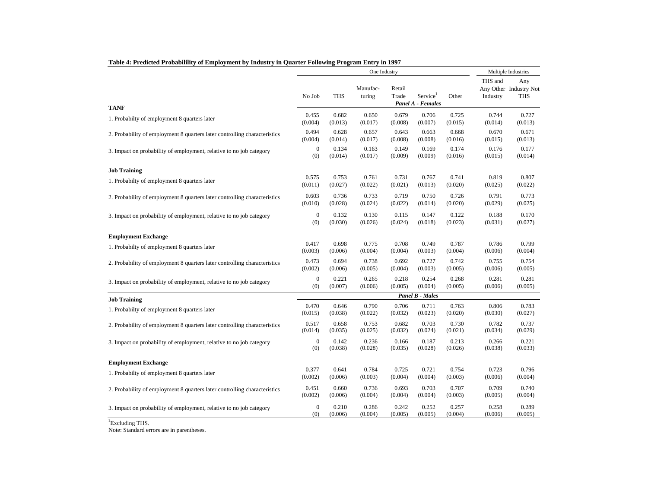|                                                                           |                  |            | One Industry       |                 |                        |         |                     | Multiple Industries                         |
|---------------------------------------------------------------------------|------------------|------------|--------------------|-----------------|------------------------|---------|---------------------|---------------------------------------------|
|                                                                           | No Job           | <b>THS</b> | Manufac-<br>turing | Retail<br>Trade | Service <sup>1</sup>   | Other   | THS and<br>Industry | Any<br>Any Other Industry Not<br><b>THS</b> |
| <b>TANF</b>                                                               |                  |            |                    |                 | Panel A - Females      |         |                     |                                             |
| 1. Probabilty of employment 8 quarters later                              | 0.455            | 0.682      | 0.650              | 0.679           | 0.706                  | 0.725   | 0.744               | 0.727                                       |
|                                                                           | (0.004)          | (0.013)    | (0.017)            | (0.008)         | (0.007)                | (0.015) | (0.014)             | (0.013)                                     |
| 2. Probability of employment 8 quarters later controlling characteristics | 0.494            | 0.628      | 0.657              | 0.643           | 0.663                  | 0.668   | 0.670               | 0.671                                       |
|                                                                           | (0.004)          | (0.014)    | (0.017)            | (0.008)         | (0.008)                | (0.016) | (0.015)             | (0.013)                                     |
| 3. Impact on probability of employment, relative to no job category       | $\mathbf{0}$     | 0.134      | 0.163              | 0.149           | 0.169                  | 0.174   | 0.176               | 0.177                                       |
|                                                                           | (0)              | (0.014)    | (0.017)            | (0.009)         | (0.009)                | (0.016) | (0.015)             | (0.014)                                     |
| <b>Job Training</b>                                                       |                  |            |                    |                 |                        |         |                     |                                             |
| 1. Probabilty of employment 8 quarters later                              | 0.575            | 0.753      | 0.761              | 0.731           | 0.767                  | 0.741   | 0.819               | 0.807                                       |
|                                                                           | (0.011)          | (0.027)    | (0.022)            | (0.021)         | (0.013)                | (0.020) | (0.025)             | (0.022)                                     |
| 2. Probability of employment 8 quarters later controlling characteristics | 0.603            | 0.736      | 0.733              | 0.719           | 0.750                  | 0.726   | 0.791               | 0.773                                       |
|                                                                           | (0.010)          | (0.028)    | (0.024)            | (0.022)         | (0.014)                | (0.020) | (0.029)             | (0.025)                                     |
| 3. Impact on probability of employment, relative to no job category       | $\mathbf{0}$     | 0.132      | 0.130              | 0.115           | 0.147                  | 0.122   | 0.188               | 0.170                                       |
|                                                                           | (0)              | (0.030)    | (0.026)            | (0.024)         | (0.018)                | (0.023) | (0.031)             | (0.027)                                     |
| <b>Employment Exchange</b>                                                |                  |            |                    |                 |                        |         |                     |                                             |
| 1. Probabilty of employment 8 quarters later                              | 0.417            | 0.698      | 0.775              | 0.708           | 0.749                  | 0.787   | 0.786               | 0.799                                       |
|                                                                           | (0.003)          | (0.006)    | (0.004)            | (0.004)         | (0.003)                | (0.004) | (0.006)             | (0.004)                                     |
| 2. Probability of employment 8 quarters later controlling characteristics | 0.473            | 0.694      | 0.738              | 0.692           | 0.727                  | 0.742   | 0.755               | 0.754                                       |
|                                                                           | (0.002)          | (0.006)    | (0.005)            | (0.004)         | (0.003)                | (0.005) | (0.006)             | (0.005)                                     |
| 3. Impact on probability of employment, relative to no job category       | $\boldsymbol{0}$ | 0.221      | 0.265              | 0.218           | 0.254                  | 0.268   | 0.281               | 0.281                                       |
|                                                                           | (0)              | (0.007)    | (0.006)            | (0.005)         | (0.004)                | (0.005) | (0.006)             | (0.005)                                     |
| <b>Job Training</b>                                                       |                  |            |                    |                 | <b>Panel B - Males</b> |         |                     |                                             |
| 1. Probabilty of employment 8 quarters later                              | 0.470            | 0.646      | 0.790              | 0.706           | 0.711                  | 0.763   | 0.806               | 0.783                                       |
|                                                                           | (0.015)          | (0.038)    | (0.022)            | (0.032)         | (0.023)                | (0.020) | (0.030)             | (0.027)                                     |
| 2. Probability of employment 8 quarters later controlling characteristics | 0.517            | 0.658      | 0.753              | 0.682           | 0.703                  | 0.730   | 0.782               | 0.737                                       |
|                                                                           | (0.014)          | (0.035)    | (0.025)            | (0.032)         | (0.024)                | (0.021) | (0.034)             | (0.029)                                     |
| 3. Impact on probability of employment, relative to no job category       | $\theta$         | 0.142      | 0.236              | 0.166           | 0.187                  | 0.213   | 0.266               | 0.221                                       |
|                                                                           | (0)              | (0.038)    | (0.028)            | (0.035)         | (0.028)                | (0.026) | (0.038)             | (0.033)                                     |
| <b>Employment Exchange</b>                                                |                  |            |                    |                 |                        |         |                     |                                             |
| 1. Probabilty of employment 8 quarters later                              | 0.377            | 0.641      | 0.784              | 0.725           | 0.721                  | 0.754   | 0.723               | 0.796                                       |
|                                                                           | (0.002)          | (0.006)    | (0.003)            | (0.004)         | (0.004)                | (0.003) | (0.006)             | (0.004)                                     |
| 2. Probability of employment 8 quarters later controlling characteristics | 0.451            | 0.660      | 0.736              | 0.693           | 0.703                  | 0.707   | 0.709               | 0.740                                       |
|                                                                           | (0.002)          | (0.006)    | (0.004)            | (0.004)         | (0.004)                | (0.003) | (0.005)             | (0.004)                                     |
| 3. Impact on probability of employment, relative to no job category       | $\mathbf{0}$     | 0.210      | 0.286              | 0.242           | 0.252                  | 0.257   | 0.258               | 0.289                                       |
|                                                                           | (0)              | (0.006)    | (0.004)            | (0.005)         | (0.005)                | (0.004) | (0.006)             | (0.005)                                     |

### **Table 4: Predicted Probabilility of Employment by Industry in Quarter Following Program Entry in 1997**

<sup>1</sup>Excluding THS.

Note: Standard errors are in parentheses.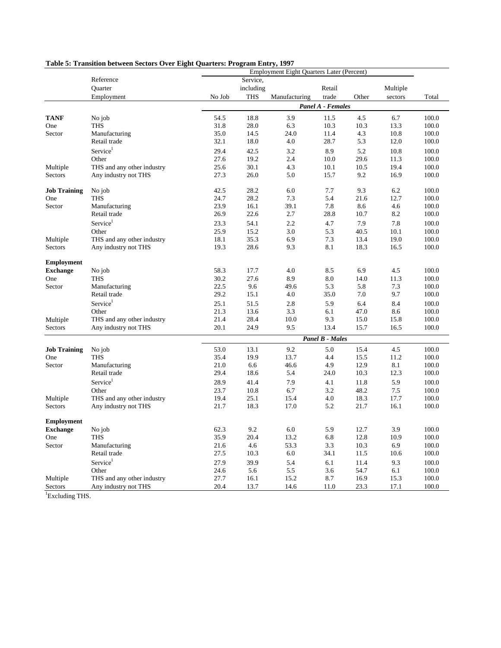|                                      |                               | <b>Employment Eight Quarters Later (Percent)</b> |             |               |                        |              |             |                |  |  |  |
|--------------------------------------|-------------------------------|--------------------------------------------------|-------------|---------------|------------------------|--------------|-------------|----------------|--|--|--|
|                                      | Reference                     |                                                  | Service,    |               |                        |              |             |                |  |  |  |
|                                      | Quarter                       |                                                  | including   |               | Retail                 |              | Multiple    |                |  |  |  |
|                                      | Employment                    | No Job                                           | <b>THS</b>  | Manufacturing | trade                  | Other        | sectors     | Total          |  |  |  |
|                                      |                               |                                                  |             |               | Panel A - Females      |              |             |                |  |  |  |
| <b>TANF</b>                          | No job                        | 54.5                                             | 18.8        | 3.9           | 11.5                   | 4.5          | 6.7         | 100.0          |  |  |  |
| One                                  | <b>THS</b>                    | 31.8                                             | 28.0        | 6.3           | 10.3                   | 10.3         | 13.3        | 100.0          |  |  |  |
| Sector                               | Manufacturing                 | 35.0                                             | 14.5        | 24.0          | 11.4                   | 4.3          | 10.8        | 100.0          |  |  |  |
|                                      | Retail trade                  | 32.1                                             | 18.0        | 4.0           | 28.7                   | 5.3          | 12.0        | 100.0          |  |  |  |
|                                      | Service <sup>1</sup>          | 29.4                                             | 42.5        | 3.2           | 8.9                    | 5.2          | 10.8        | 100.0          |  |  |  |
|                                      | Other                         | 27.6                                             | 19.2        | 2.4           | 10.0                   | 29.6         | 11.3        | 100.0          |  |  |  |
| Multiple                             | THS and any other industry    | 25.6                                             | 30.1        | 4.3           | 10.1                   | 10.5         | 19.4        | 100.0          |  |  |  |
| Sectors                              | Any industry not THS          | 27.3                                             | 26.0        | 5.0           | 15.7                   | 9.2          | 16.9        | 100.0          |  |  |  |
| <b>Job Training</b>                  | No job                        | 42.5                                             | 28.2        | 6.0           | 7.7                    | 9.3          | 6.2         | 100.0          |  |  |  |
| One                                  | <b>THS</b>                    | 24.7                                             | 28.2        | 7.3           | 5.4                    | 21.6         | 12.7        | 100.0          |  |  |  |
| Sector                               | Manufacturing                 | 23.9                                             | 16.1        | 39.1          | 7.8                    | 8.6          | 4.6         | 100.0          |  |  |  |
|                                      | Retail trade                  | 26.9                                             | 22.6        | 2.7           | 28.8                   | 10.7         | 8.2         | 100.0          |  |  |  |
|                                      | Service <sup>1</sup>          | 23.3                                             | 54.1        | 2.2           | 4.7                    | 7.9          | 7.8         | 100.0          |  |  |  |
|                                      | Other                         | 25.9                                             | 15.2        | 3.0           | 5.3                    | 40.5         | 10.1        | 100.0          |  |  |  |
| Multiple                             | THS and any other industry    | 18.1                                             | 35.3        | 6.9           | 7.3                    | 13.4         | 19.0        | 100.0          |  |  |  |
| Sectors                              | Any industry not THS          | 19.3                                             | 28.6        | 9.3           | 8.1                    | 18.3         | 16.5        | 100.0          |  |  |  |
| <b>Employment</b>                    |                               |                                                  |             |               |                        |              |             |                |  |  |  |
| <b>Exchange</b>                      | No job                        | 58.3                                             | 17.7        | 4.0           | 8.5                    | 6.9          | 4.5         | 100.0          |  |  |  |
| One                                  | <b>THS</b>                    | 30.2                                             | 27.6        | 8.9           | 8.0                    | 14.0         | 11.3        | 100.0          |  |  |  |
| Sector                               | Manufacturing                 | 22.5                                             | 9.6         | 49.6          | 5.3                    | 5.8          | 7.3         | 100.0          |  |  |  |
|                                      | Retail trade                  | 29.2                                             | 15.1        | 4.0           | 35.0                   | 7.0          | 9.7         | 100.0          |  |  |  |
|                                      | Service <sup>1</sup>          | 25.1                                             | 51.5        | 2.8           | 5.9                    | 6.4          | 8.4         | 100.0          |  |  |  |
|                                      | Other                         | 21.3                                             | 13.6        | 3.3           | 6.1                    | 47.0         | 8.6         | 100.0          |  |  |  |
| Multiple                             | THS and any other industry    | 21.4                                             | 28.4        | 10.0          | 9.3                    | 15.0         | 15.8        | 100.0          |  |  |  |
| Sectors                              | Any industry not THS          | 20.1                                             | 24.9        | 9.5           | 13.4                   | 15.7         | 16.5        | 100.0          |  |  |  |
|                                      |                               |                                                  |             |               | <b>Panel B - Males</b> |              |             |                |  |  |  |
| <b>Job Training</b>                  | No job                        | 53.0                                             | 13.1        | 9.2           | 5.0                    | 15.4         | 4.5         | 100.0          |  |  |  |
| One                                  | <b>THS</b>                    | 35.4                                             | 19.9        | 13.7          | 4.4                    | 15.5         | 11.2        | 100.0          |  |  |  |
| Sector                               | Manufacturing                 | 21.0                                             | 6.6         | 46.6          | 4.9                    | 12.9         | 8.1         | 100.0          |  |  |  |
|                                      | Retail trade                  | 29.4                                             | 18.6        | 5.4           | 24.0                   | 10.3         | 12.3        | 100.0          |  |  |  |
|                                      | Service <sup>1</sup>          | 28.9                                             | 41.4        | 7.9           | 4.1                    | 11.8         | 5.9         | 100.0          |  |  |  |
|                                      | Other                         | 23.7                                             | 10.8        | 6.7           | 3.2                    | 48.2         | 7.5         | 100.0          |  |  |  |
| Multiple                             | THS and any other industry    | 19.4                                             | 25.1        | 15.4          | 4.0                    | 18.3         | 17.7        | 100.0          |  |  |  |
| Sectors                              | Any industry not THS          | 21.7                                             | 18.3        | 17.0          | 5.2                    | 21.7         | 16.1        | 100.0          |  |  |  |
|                                      |                               |                                                  |             |               |                        |              |             |                |  |  |  |
| <b>Employment</b><br><b>Exchange</b> |                               | 62.3                                             | 9.2         | 6.0           | 5.9                    | 12.7         | 3.9         | 100.0          |  |  |  |
| One                                  | No job<br><b>THS</b>          | 35.9                                             | 20.4        | 13.2          | 6.8                    | 12.8         | 10.9        | 100.0          |  |  |  |
|                                      |                               |                                                  |             | 53.3          |                        |              | 6.9         | 100.0          |  |  |  |
| Sector                               | Manufacturing<br>Retail trade | 21.6<br>27.5                                     | 4.6<br>10.3 | 6.0           | 3.3<br>34.1            | 10.3<br>11.5 | 10.6        | 100.0          |  |  |  |
|                                      |                               |                                                  |             |               |                        |              |             |                |  |  |  |
|                                      | Service <sup>1</sup>          | 27.9                                             | 39.9        | 5.4           | 6.1                    | 11.4         | 9.3         | 100.0          |  |  |  |
|                                      | Other                         | 24.6<br>27.7                                     | 5.6         | 5.5<br>15.2   | 3.6<br>8.7             | 54.7         | 6.1<br>15.3 | 100.0<br>100.0 |  |  |  |
| Multiple                             | THS and any other industry    |                                                  | 16.1        |               |                        | 16.9         |             |                |  |  |  |
| Sectors                              | Any industry not THS          | 20.4                                             | 13.7        | 14.6          | 11.0                   | 23.3         | 17.1        | 100.0          |  |  |  |

### **Table 5: Transition between Sectors Over Eight Quarters: Program Entry, 1997**

<sup>1</sup>Excluding THS.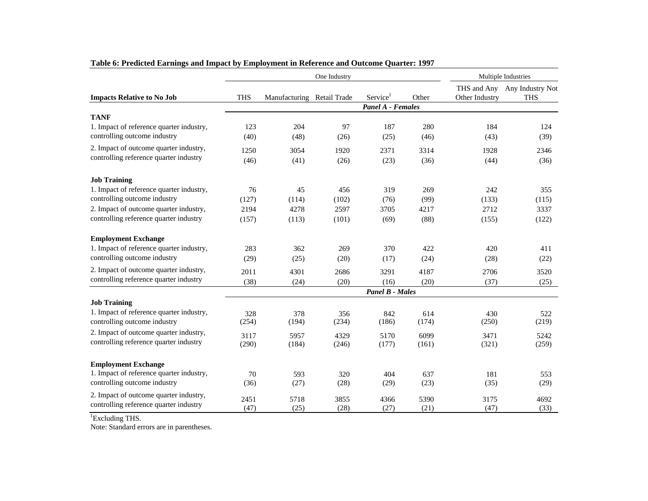|                                                                                  |              |                            | One Industry |                          |              |                | Multiple Industries                        |
|----------------------------------------------------------------------------------|--------------|----------------------------|--------------|--------------------------|--------------|----------------|--------------------------------------------|
| <b>Impacts Relative to No Job</b>                                                | <b>THS</b>   | Manufacturing Retail Trade |              | Service <sup>1</sup>     | Other        | Other Industry | THS and Any Any Industry Not<br><b>THS</b> |
|                                                                                  |              |                            |              | <b>Panel A - Females</b> |              |                |                                            |
| <b>TANF</b>                                                                      |              |                            |              |                          |              |                |                                            |
| 1. Impact of reference quarter industry,<br>controlling outcome industry         | 123<br>(40)  | 204<br>(48)                | 97<br>(26)   | 187<br>(25)              | 280<br>(46)  | 184<br>(43)    | 124<br>(39)                                |
| 2. Impact of outcome quarter industry,<br>controlling reference quarter industry | 1250<br>(46) | 3054<br>(41)               | 1920<br>(26) | 2371<br>(23)             | 3314<br>(36) | 1928<br>(44)   | 2346<br>(36)                               |
| <b>Job Training</b>                                                              |              |                            |              |                          |              |                |                                            |
| 1. Impact of reference quarter industry,                                         | 76           | 45                         | 456          | 319                      | 269          | 242            | 355                                        |
| controlling outcome industry                                                     | (127)        | (114)                      | (102)        | (76)                     | (99)         | (133)          | (115)                                      |
| 2. Impact of outcome quarter industry,                                           | 2194         | 4278                       | 2597         | 3705                     | 4217         | 2712           | 3337                                       |
| controlling reference quarter industry                                           | (157)        | (113)                      | (101)        | (69)                     | (88)         | (155)          | (122)                                      |
| <b>Employment Exchange</b>                                                       |              |                            |              |                          |              |                |                                            |
| 1. Impact of reference quarter industry,                                         | 283          | 362                        | 269          | 370                      | 422          | 420            | 411                                        |
| controlling outcome industry                                                     | (29)         | (25)                       | (20)         | (17)                     | (24)         | (28)           | (22)                                       |
| 2. Impact of outcome quarter industry,                                           | 2011         | 4301                       | 2686         | 3291                     | 4187         | 2706           | 3520                                       |
| controlling reference quarter industry                                           | (38)         | (24)                       | (20)         | (16)                     | (20)         | (37)           | (25)                                       |
|                                                                                  |              |                            |              | <b>Panel B - Males</b>   |              |                |                                            |
| <b>Job Training</b>                                                              |              |                            |              |                          |              |                |                                            |
| 1. Impact of reference quarter industry,<br>controlling outcome industry         | 328          | 378                        | 356          | 842                      | 614          | 430            | 522                                        |
|                                                                                  | (254)        | (194)                      | (234)        | (186)                    | (174)        | (250)          | (219)                                      |
| 2. Impact of outcome quarter industry,<br>controlling reference quarter industry | 3117         | 5957                       | 4329         | 5170                     | 6099         | 3471           | 5242                                       |
|                                                                                  | (290)        | (184)                      | (246)        | (177)                    | (161)        | (321)          | (259)                                      |
| <b>Employment Exchange</b>                                                       |              |                            |              |                          |              |                |                                            |
| 1. Impact of reference quarter industry,                                         | 70           | 593                        | 320          | 404                      | 637          | 181            | 553                                        |
| controlling outcome industry                                                     | (36)         | (27)                       | (28)         | (29)                     | (23)         | (35)           | (29)                                       |
| 2. Impact of outcome quarter industry,                                           | 2451         | 5718                       | 3855         | 4366                     | 5390         | 3175           | 4692                                       |
| controlling reference quarter industry                                           | (47)         | (25)                       | (28)         | (27)                     | (21)         | (47)           | (33)                                       |

# **Table 6: Predicted Earnings and Impact by Employment in Reference and Outcome Quarter: 1997**

<sup>1</sup>Excluding THS.

Note: Standard errors are in parentheses.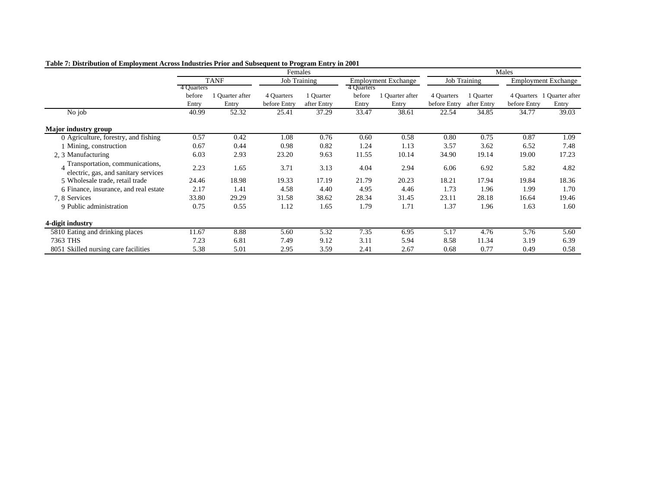|                                       |            |               | Females      |              |            |                            |              |                     | Males                      |                            |  |
|---------------------------------------|------------|---------------|--------------|--------------|------------|----------------------------|--------------|---------------------|----------------------------|----------------------------|--|
|                                       |            | <b>TANF</b>   |              | Job Training |            | <b>Employment Exchange</b> |              | <b>Job Training</b> | <b>Employment Exchange</b> |                            |  |
|                                       | 4 Quarters |               |              |              | 4 Quarters |                            |              |                     |                            |                            |  |
|                                       | before     | Quarter after | 4 Quarters   | 1 Quarter    | before     | l Quarter after            | 4 Quarters   | 1 Quarter           |                            | 4 Quarters 1 Quarter after |  |
|                                       | Entry      | Entry         | before Entry | after Entry  | Entry      | Entry                      | before Entry | after Entry         | before Entry               | Entry                      |  |
| No job                                | 40.99      | 52.32         | 25.41        | 37.29        | 33.47      | 38.61                      | 22.54        | 34.85               | 34.77                      | 39.03                      |  |
| Major industry group                  |            |               |              |              |            |                            |              |                     |                            |                            |  |
| 0 Agriculture, forestry, and fishing  | 0.57       | 0.42          | 1.08         | 0.76         | 0.60       | 0.58                       | 0.80         | 0.75                | 0.87                       | 1.09                       |  |
| 1 Mining, construction                | 0.67       | 0.44          | 0.98         | 0.82         | 1.24       | 1.13                       | 3.57         | 3.62                | 6.52                       | 7.48                       |  |
| 2, 3 Manufacturing                    | 6.03       | 2.93          | 23.20        | 9.63         | 11.55      | 10.14                      | 34.90        | 19.14               | 19.00                      | 17.23                      |  |
| Transportation, communications,       | 2.23       | 1.65          | 3.71         | 3.13         | 4.04       | 2.94                       | 6.06         | 6.92                | 5.82                       | 4.82                       |  |
| electric, gas, and sanitary services  |            |               |              |              |            |                            |              |                     |                            |                            |  |
| 5 Wholesale trade, retail trade       | 24.46      | 18.98         | 19.33        | 17.19        | 21.79      | 20.23                      | 18.21        | 17.94               | 19.84                      | 18.36                      |  |
| 6 Finance, insurance, and real estate | 2.17       | 1.41          | 4.58         | 4.40         | 4.95       | 4.46                       | 1.73         | 1.96                | 1.99                       | 1.70                       |  |
| 7.8 Services                          | 33.80      | 29.29         | 31.58        | 38.62        | 28.34      | 31.45                      | 23.11        | 28.18               | 16.64                      | 19.46                      |  |
| 9 Public administration               | 0.75       | 0.55          | 1.12         | 1.65         | 1.79       | 1.71                       | 1.37         | 1.96                | 1.63                       | 1.60                       |  |
| 4-digit industry                      |            |               |              |              |            |                            |              |                     |                            |                            |  |
| 5810 Eating and drinking places       | 11.67      | 8.88          | 5.60         | 5.32         | 7.35       | 6.95                       | 5.17         | 4.76                | 5.76                       | 5.60                       |  |
| 7363 THS                              | 7.23       | 6.81          | 7.49         | 9.12         | 3.11       | 5.94                       | 8.58         | 11.34               | 3.19                       | 6.39                       |  |
| 8051 Skilled nursing care facilities  | 5.38       | 5.01          | 2.95         | 3.59         | 2.41       | 2.67                       | 0.68         | 0.77                | 0.49                       | 0.58                       |  |

**Table 7: Distribution of Employment Across Industries Prior and Subsequent to Program Entry in 2001**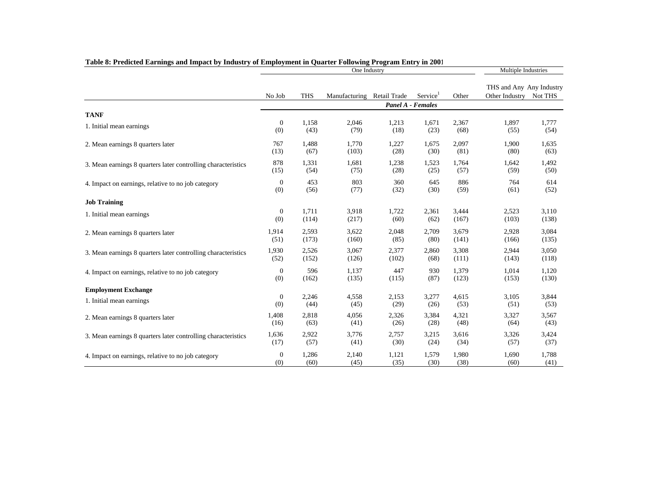|                                                               |                  |            | One Industry               |       |                      |       | Multiple Industries                                |       |
|---------------------------------------------------------------|------------------|------------|----------------------------|-------|----------------------|-------|----------------------------------------------------|-------|
|                                                               | No Job           | <b>THS</b> | Manufacturing Retail Trade |       | Service <sup>1</sup> | Other | THS and Any Any Industry<br>Other Industry Not THS |       |
|                                                               |                  |            |                            |       | Panel A - Females    |       |                                                    |       |
| <b>TANF</b>                                                   |                  |            |                            |       |                      |       |                                                    |       |
| 1. Initial mean earnings                                      | $\mathbf{0}$     | 1,158      | 2,046                      | 1,213 | 1,671                | 2,367 | 1,897                                              | 1,777 |
|                                                               | (0)              | (43)       | (79)                       | (18)  | (23)                 | (68)  | (55)                                               | (54)  |
| 2. Mean earnings 8 quarters later                             | 767              | 1,488      | 1.770                      | 1,227 | 1,675                | 2,097 | 1,900                                              | 1,635 |
|                                                               | (13)             | (67)       | (103)                      | (28)  | (30)                 | (81)  | (80)                                               | (63)  |
| 3. Mean earnings 8 quarters later controlling characteristics | 878              | 1,331      | 1,681                      | 1,238 | 1,523                | 1,764 | 1,642                                              | 1,492 |
|                                                               | (15)             | (54)       | (75)                       | (28)  | (25)                 | (57)  | (59)                                               | (50)  |
| 4. Impact on earnings, relative to no job category            | $\mathbf{0}$     | 453        | 803                        | 360   | 645                  | 886   | 764                                                | 614   |
|                                                               | (0)              | (56)       | (77)                       | (32)  | (30)                 | (59)  | (61)                                               | (52)  |
| <b>Job Training</b>                                           |                  |            |                            |       |                      |       |                                                    |       |
| 1. Initial mean earnings                                      | $\boldsymbol{0}$ | 1,711      | 3,918                      | 1,722 | 2,361                | 3,444 | 2,523                                              | 3,110 |
|                                                               | (0)              | (114)      | (217)                      | (60)  | (62)                 | (167) | (103)                                              | (138) |
| 2. Mean earnings 8 quarters later                             | 1,914            | 2,593      | 3,622                      | 2,048 | 2,709                | 3,679 | 2,928                                              | 3,084 |
|                                                               | (51)             | (173)      | (160)                      | (85)  | (80)                 | (141) | (166)                                              | (135) |
| 3. Mean earnings 8 quarters later controlling characteristics | 1,930            | 2,526      | 3,067                      | 2,377 | 2,860                | 3,308 | 2,944                                              | 3,050 |
|                                                               | (52)             | (152)      | (126)                      | (102) | (68)                 | (111) | (143)                                              | (118) |
| 4. Impact on earnings, relative to no job category            | $\mathbf{0}$     | 596        | 1,137                      | 447   | 930                  | 1,379 | 1,014                                              | 1,120 |
|                                                               | (0)              | (162)      | (135)                      | (115) | (87)                 | (123) | (153)                                              | (130) |
| <b>Employment Exchange</b>                                    |                  |            |                            |       |                      |       |                                                    |       |
| 1. Initial mean earnings                                      | $\mathbf{0}$     | 2,246      | 4,558                      | 2,153 | 3,277                | 4,615 | 3,105                                              | 3,844 |
|                                                               | (0)              | (44)       | (45)                       | (29)  | (26)                 | (53)  | (51)                                               | (53)  |
| 2. Mean earnings 8 quarters later                             | 1,408            | 2,818      | 4,056                      | 2,326 | 3,384                | 4,321 | 3,327                                              | 3,567 |
|                                                               | (16)             | (63)       | (41)                       | (26)  | (28)                 | (48)  | (64)                                               | (43)  |
| 3. Mean earnings 8 quarters later controlling characteristics | 1,636            | 2,922      | 3,776                      | 2,757 | 3,215                | 3,616 | 3,326                                              | 3,424 |
|                                                               | (17)             | (57)       | (41)                       | (30)  | (24)                 | (34)  | (57)                                               | (37)  |
| 4. Impact on earnings, relative to no job category            | $\boldsymbol{0}$ | 1,286      | 2,140                      | 1,121 | 1,579                | 1,980 | 1,690                                              | 1,788 |
|                                                               | (0)              | (60)       | (45)                       | (35)  | (30)                 | (38)  | (60)                                               | (41)  |

## **Table 8: Predicted Earnings and Impact by Industry of Employment in Quarter Following Program Entry in 2001**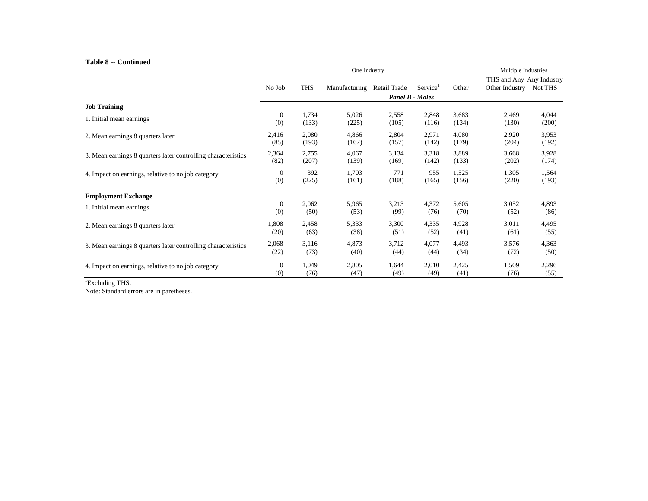#### **Table 8 -- Continued**

|                                                               |                  |            | One Industry  |                        |                      |       | Multiple Industries                        |         |
|---------------------------------------------------------------|------------------|------------|---------------|------------------------|----------------------|-------|--------------------------------------------|---------|
|                                                               |                  | <b>THS</b> |               | Retail Trade           | Service <sup>1</sup> | Other | THS and Any Any Industry<br>Other Industry | Not THS |
|                                                               | No Job           |            | Manufacturing | <b>Panel B - Males</b> |                      |       |                                            |         |
| <b>Job Training</b>                                           |                  |            |               |                        |                      |       |                                            |         |
| 1. Initial mean earnings                                      | $\boldsymbol{0}$ | 1,734      | 5,026         | 2,558                  | 2,848                | 3,683 | 2,469                                      | 4,044   |
|                                                               | (0)              | (133)      | (225)         | (105)                  | (116)                | (134) | (130)                                      | (200)   |
| 2. Mean earnings 8 quarters later                             | 2,416            | 2,080      | 4,866         | 2,804                  | 2,971                | 4,080 | 2,920                                      | 3,953   |
|                                                               | (85)             | (193)      | (167)         | (157)                  | (142)                | (179) | (204)                                      | (192)   |
| 3. Mean earnings 8 quarters later controlling characteristics | 2,364            | 2,755      | 4,067         | 3,134                  | 3,318                | 3,889 | 3,668                                      | 3,928   |
|                                                               | (82)             | (207)      | (139)         | (169)                  | (142)                | (133) | (202)                                      | (174)   |
| 4. Impact on earnings, relative to no job category            | $\mathbf{0}$     | 392        | 1,703         | 771                    | 955                  | 1,525 | 1,305                                      | 1,564   |
|                                                               | (0)              | (225)      | (161)         | (188)                  | (165)                | (156) | (220)                                      | (193)   |
| <b>Employment Exchange</b>                                    |                  |            |               |                        |                      |       |                                            |         |
| 1. Initial mean earnings                                      | $\boldsymbol{0}$ | 2,062      | 5,965         | 3,213                  | 4,372                | 5,605 | 3,052                                      | 4,893   |
|                                                               | (0)              | (50)       | (53)          | (99)                   | (76)                 | (70)  | (52)                                       | (86)    |
| 2. Mean earnings 8 quarters later                             | 1,808            | 2,458      | 5,333         | 3,300                  | 4,335                | 4,928 | 3,011                                      | 4,495   |
|                                                               | (20)             | (63)       | (38)          | (51)                   | (52)                 | (41)  | (61)                                       | (55)    |
| 3. Mean earnings 8 quarters later controlling characteristics | 2,068            | 3,116      | 4,873         | 3,712                  | 4,077                | 4,493 | 3,576                                      | 4,363   |
|                                                               | (22)             | (73)       | (40)          | (44)                   | (44)                 | (34)  | (72)                                       | (50)    |
| 4. Impact on earnings, relative to no job category            | $\mathbf{0}$     | 1,049      | 2,805         | 1,644                  | 2,010                | 2,425 | 1,509                                      | 2,296   |
|                                                               | (0)              | (76)       | (47)          | (49)                   | (49)                 | (41)  | (76)                                       | (55)    |

<sup>1</sup>Excluding THS.

Note: Standard errors are in paretheses.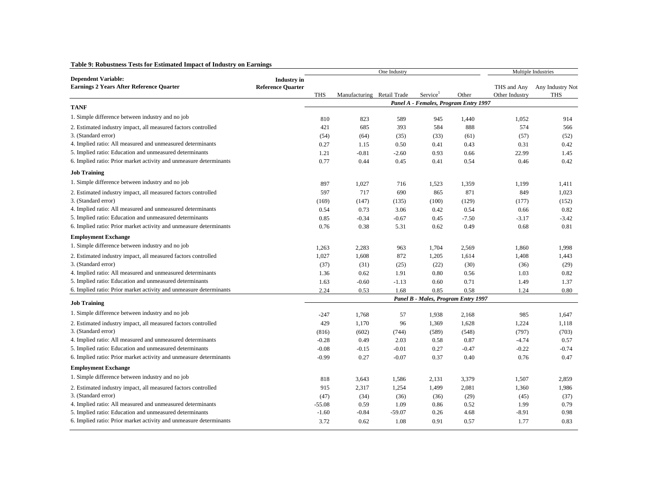### **Table 9: Robustness Tests for Estimated Impact of Industry on Earnings**

|                                                                    |                          |            |                            | One Industry |                                       |         |                | Multiple Industries |
|--------------------------------------------------------------------|--------------------------|------------|----------------------------|--------------|---------------------------------------|---------|----------------|---------------------|
| <b>Dependent Variable:</b>                                         | <b>Industry</b> in       |            |                            |              |                                       |         |                |                     |
| <b>Earnings 2 Years After Reference Quarter</b>                    | <b>Reference Quarter</b> |            |                            |              |                                       |         | THS and Any    | Any Industry Not    |
|                                                                    |                          | <b>THS</b> | Manufacturing Retail Trade |              | Service <sup>1</sup>                  | Other   | Other Industry | <b>THS</b>          |
| <b>TANF</b>                                                        |                          |            |                            |              | Panel A - Females, Program Entry 1997 |         |                |                     |
| 1. Simple difference between industry and no job                   |                          | 810        | 823                        | 589          | 945                                   | 1,440   | 1,052          | 914                 |
| 2. Estimated industry impact, all measured factors controlled      |                          | 421        | 685                        | 393          | 584                                   | 888     | 574            | 566                 |
| 3. (Standard error)                                                |                          | (54)       | (64)                       | (35)         | (33)                                  | (61)    | (57)           | (52)                |
| 4. Implied ratio: All measured and unmeasured determinants         |                          | 0.27       | 1.15                       | 0.50         | 0.41                                  | 0.43    | 0.31           | 0.42                |
| 5. Implied ratio: Education and unmeasured determinants            |                          | 1.21       | $-0.81$                    | $-2.60$      | 0.93                                  | 0.66    | 22.99          | 1.45                |
| 6. Implied ratio: Prior market activity and unmeasure determinants |                          | 0.77       | 0.44                       | 0.45         | 0.41                                  | 0.54    | 0.46           | 0.42                |
| <b>Job Training</b>                                                |                          |            |                            |              |                                       |         |                |                     |
| 1. Simple difference between industry and no job                   |                          | 897        | 1,027                      | 716          | 1,523                                 | 1,359   | 1,199          | 1,411               |
| 2. Estimated industry impact, all measured factors controlled      |                          | 597        | 717                        | 690          | 865                                   | 871     | 849            | 1,023               |
| 3. (Standard error)                                                |                          | (169)      | (147)                      | (135)        | (100)                                 | (129)   | (177)          | (152)               |
| 4. Implied ratio: All measured and unmeasured determinants         |                          | 0.54       | 0.73                       | 3.06         | 0.42                                  | 0.54    | 0.66           | 0.82                |
| 5. Implied ratio: Education and unmeasured determinants            |                          | 0.85       | $-0.34$                    | $-0.67$      | 0.45                                  | $-7.50$ | $-3.17$        | $-3.42$             |
| 6. Implied ratio: Prior market activity and unmeasure determinants |                          | 0.76       | 0.38                       | 5.31         | 0.62                                  | 0.49    | 0.68           | 0.81                |
| <b>Employment Exchange</b>                                         |                          |            |                            |              |                                       |         |                |                     |
| 1. Simple difference between industry and no job                   |                          | 1,263      | 2,283                      | 963          | 1,704                                 | 2,569   | 1,860          | 1,998               |
| 2. Estimated industry impact, all measured factors controlled      |                          | 1,027      | 1,608                      | 872          | 1,205                                 | 1,614   | 1,408          | 1,443               |
| 3. (Standard error)                                                |                          | (37)       | (31)                       | (25)         | (22)                                  | (30)    | (36)           | (29)                |
| 4. Implied ratio: All measured and unmeasured determinants         |                          | 1.36       | 0.62                       | 1.91         | 0.80                                  | 0.56    | 1.03           | 0.82                |
| 5. Implied ratio: Education and unmeasured determinants            |                          | 1.63       | $-0.60$                    | $-1.13$      | 0.60                                  | 0.71    | 1.49           | 1.37                |
| 6. Implied ratio: Prior market activity and unmeasure determinants |                          | 2.24       | 0.53                       | 1.68         | 0.85                                  | 0.58    | 1.24           | 0.80                |
| <b>Job Training</b>                                                |                          |            |                            |              | Panel B - Males, Program Entry 1997   |         |                |                     |
| 1. Simple difference between industry and no job                   |                          | $-247$     | 1,768                      | 57           | 1,938                                 | 2,168   | 985            | 1,647               |
| 2. Estimated industry impact, all measured factors controlled      |                          | 429        | 1,170                      | 96           | 1,369                                 | 1,628   | 1,224          | 1,118               |
| 3. (Standard error)                                                |                          | (816)      | (602)                      | (744)        | (589)                                 | (548)   | (797)          | (703)               |
| 4. Implied ratio: All measured and unmeasured determinants         |                          | $-0.28$    | 0.49                       | 2.03         | 0.58                                  | 0.87    | $-4.74$        | 0.57                |
| 5. Implied ratio: Education and unmeasured determinants            |                          | $-0.08$    | $-0.15$                    | $-0.01$      | 0.27                                  | $-0.47$ | $-0.22$        | $-0.74$             |
| 6. Implied ratio: Prior market activity and unmeasure determinants |                          | $-0.99$    | 0.27                       | $-0.07$      | 0.37                                  | 0.40    | 0.76           | 0.47                |
| <b>Employment Exchange</b>                                         |                          |            |                            |              |                                       |         |                |                     |
| 1. Simple difference between industry and no job                   |                          | 818        | 3,643                      | 1,586        | 2,131                                 | 3,379   | 1,507          | 2,859               |
| 2. Estimated industry impact, all measured factors controlled      |                          | 915        | 2,317                      | 1,254        | 1,499                                 | 2,081   | 1,360          | 1,986               |
| 3. (Standard error)                                                |                          | (47)       | (34)                       | (36)         | (36)                                  | (29)    | (45)           | (37)                |
| 4. Implied ratio: All measured and unmeasured determinants         |                          | $-55.08$   | 0.59                       | 1.09         | 0.86                                  | 0.52    | 1.99           | 0.79                |
| 5. Implied ratio: Education and unmeasured determinants            |                          | $-1.60$    | $-0.84$                    | $-59.07$     | 0.26                                  | 4.68    | $-8.91$        | 0.98                |
| 6. Implied ratio: Prior market activity and unmeasure determinants |                          | 3.72       | 0.62                       | 1.08         | 0.91                                  | 0.57    | 1.77           | 0.83                |
|                                                                    |                          |            |                            |              |                                       |         |                |                     |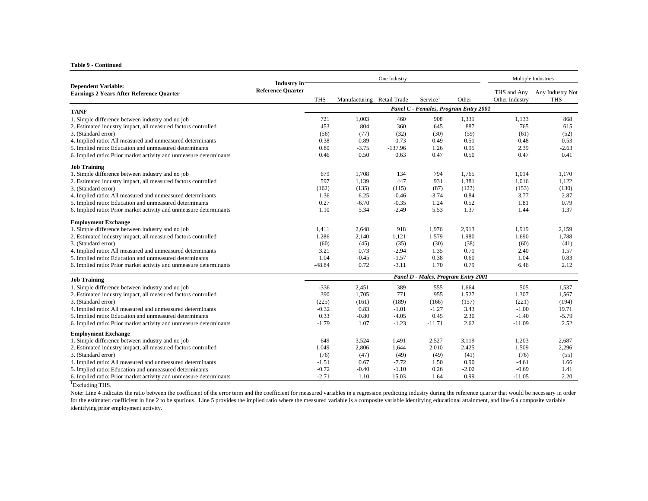#### **Table 9 - Continued**

|                                                                        | <b>Industry</b> in       |            |                            |           | Multiple Industries                   |         |                               |                                |
|------------------------------------------------------------------------|--------------------------|------------|----------------------------|-----------|---------------------------------------|---------|-------------------------------|--------------------------------|
| <b>Dependent Variable:</b><br>Earnings 2 Years After Reference Quarter | <b>Reference Ouarter</b> | <b>THS</b> | Manufacturing Retail Trade |           | Service <sup>1</sup>                  | Other   | THS and Any<br>Other Industry | Any Industry Not<br><b>THS</b> |
| <b>TANF</b>                                                            |                          |            |                            |           | Panel C - Females, Program Entry 2001 |         |                               |                                |
| 1. Simple difference between industry and no job                       |                          | 721        | 1,003                      | 460       | 908                                   | 1,331   | 1,133                         | 868                            |
| 2. Estimated industry impact, all measured factors controlled          |                          | 453        | 804                        | 360       | 645                                   | 887     | 765                           | 615                            |
| 3. (Standard error)                                                    |                          | (56)       | (77)                       | (32)      | (30)                                  | (59)    | (61)                          | (52)                           |
| 4. Implied ratio: All measured and unmeasured determinants             |                          | 0.38       | 0.89                       | 0.73      | 0.49                                  | 0.51    | 0.48                          | 0.53                           |
| 5. Implied ratio: Education and unmeasured determinants                |                          | 0.80       | $-3.75$                    | $-137.96$ | 1.26                                  | 0.95    | 2.39                          | $-2.63$                        |
| 6. Implied ratio: Prior market activity and unmeasure determinants     |                          | 0.46       | 0.50                       | 0.63      | 0.47                                  | 0.50    | 0.47                          | 0.41                           |
| <b>Job Training</b>                                                    |                          |            |                            |           |                                       |         |                               |                                |
| 1. Simple difference between industry and no job                       |                          | 679        | 1,708                      | 134       | 794                                   | 1,765   | 1,014                         | 1,170                          |
| 2. Estimated industry impact, all measured factors controlled          |                          | 597        | 1,139                      | 447       | 931                                   | 1,381   | 1,016                         | 1,122                          |
| 3. (Standard error)                                                    |                          | (162)      | (135)                      | (115)     | (87)                                  | (123)   | (153)                         | (130)                          |
| 4. Implied ratio: All measured and unmeasured determinants             |                          | 1.36       | 6.25                       | $-0.46$   | $-3.74$                               | 0.84    | 3.77                          | 2.87                           |
| 5. Implied ratio: Education and unmeasured determinants                |                          | 0.27       | $-6.70$                    | $-0.35$   | 1.24                                  | 0.52    | 1.81                          | 0.79                           |
| 6. Implied ratio: Prior market activity and unmeasure determinants     |                          | 1.10       | 5.34                       | $-2.49$   | 5.53                                  | 1.37    | 1.44                          | 1.37                           |
| <b>Employment Exchange</b>                                             |                          |            |                            |           |                                       |         |                               |                                |
| 1. Simple difference between industry and no job                       |                          | 1,411      | 2,648                      | 918       | 1,976                                 | 2,913   | 1,919                         | 2,159                          |
| 2. Estimated industry impact, all measured factors controlled          |                          | 1,286      | 2,140                      | 1,121     | 1,579                                 | 1,980   | 1,690                         | 1,788                          |
| 3. (Standard error)                                                    |                          | (60)       | (45)                       | (35)      | (30)                                  | (38)    | (60)                          | (41)                           |
| 4. Implied ratio: All measured and unmeasured determinants             |                          | 3.21       | 0.73                       | $-2.94$   | 1.35                                  | 0.71    | 2.40                          | 1.57                           |
| 5. Implied ratio: Education and unmeasured determinants                |                          | 1.04       | $-0.45$                    | $-1.57$   | 0.38                                  | 0.60    | 1.04                          | 0.83                           |
| 6. Implied ratio: Prior market activity and unmeasure determinants     |                          | $-48.84$   | 0.72                       | $-3.11$   | 1.70                                  | 0.79    | 6.46                          | 2.12                           |
| <b>Job Training</b>                                                    |                          |            |                            |           | Panel D - Males, Program Entry 2001   |         |                               |                                |
| 1. Simple difference between industry and no job                       |                          | $-336$     | 2,451                      | 389       | 555                                   | 1,664   | 505                           | 1,537                          |
| 2. Estimated industry impact, all measured factors controlled          |                          | 390        | 1,705                      | 771       | 955                                   | 1,527   | 1,307                         | 1,567                          |
| 3. (Standard error)                                                    |                          | (225)      | (161)                      | (189)     | (166)                                 | (157)   | (221)                         | (194)                          |
| 4. Implied ratio: All measured and unmeasured determinants             |                          | $-0.32$    | 0.83                       | $-1.01$   | $-1.27$                               | 3.43    | $-1.00$                       | 19.71                          |
| 5. Implied ratio: Education and unmeasured determinants                |                          | 0.33       | $-0.80$                    | $-4.05$   | 0.45                                  | 2.30    | $-1.40$                       | $-5.79$                        |
| 6. Implied ratio: Prior market activity and unmeasure determinants     |                          | $-1.79$    | 1.07                       | $-1.23$   | $-11.71$                              | 2.62    | $-11.09$                      | 2.52                           |
| <b>Employment Exchange</b>                                             |                          |            |                            |           |                                       |         |                               |                                |
| 1. Simple difference between industry and no job                       |                          | 649        | 3,524                      | 1,491     | 2,527                                 | 3,119   | 1,203                         | 2,687                          |
| 2. Estimated industry impact, all measured factors controlled          |                          | 1,049      | 2,806                      | 1,644     | 2,010                                 | 2,425   | 1,509                         | 2,296                          |
| 3. (Standard error)                                                    |                          | (76)       | (47)                       | (49)      | (49)                                  | (41)    | (76)                          | (55)                           |
| 4. Implied ratio: All measured and unmeasured determinants             |                          | $-1.51$    | 0.67                       | $-7.72$   | 1.50                                  | 0.90    | $-4.61$                       | 1.66                           |
| 5. Implied ratio: Education and unmeasured determinants                |                          | $-0.72$    | $-0.40$                    | $-1.10$   | 0.26                                  | $-2.02$ | $-0.69$                       | 1.41                           |
| 6. Implied ratio: Prior market activity and unmeasure determinants     |                          | $-2.71$    | 1.10                       | 15.03     | 1.64                                  | 0.99    | $-11.05$                      | 2.20                           |

<sup>1</sup>Excluding THS.

Note: Line 4 indicates the ratio between the coefficient of the error term and the coefficient for measured variables in a regression predicting industry during the reference quarter that would be necessary in order for the estimated coefficient in line 2 to be spurious. Line 5 provides the implied ratio where the measured variable is a composite variable identifying educational attainment, and line 6 a composite variable identifying prior employment activity.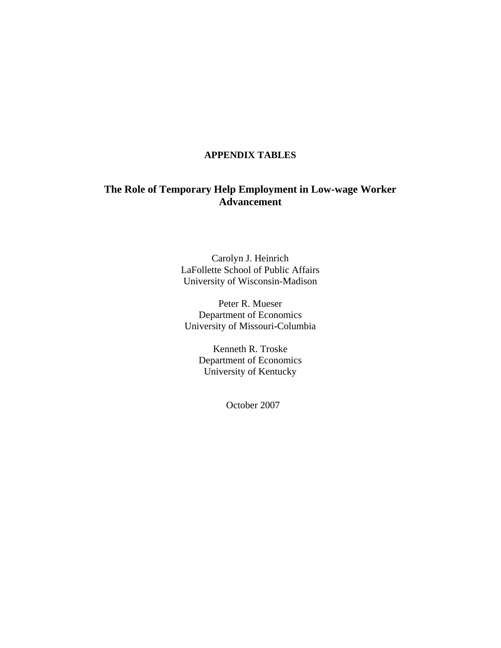# **APPENDIX TABLES**

# **The Role of Temporary Help Employment in Low-wage Worker Advancement**

Carolyn J. Heinrich LaFollette School of Public Affairs University of Wisconsin-Madison

Peter R. Mueser Department of Economics University of Missouri-Columbia

> Kenneth R. Troske Department of Economics University of Kentucky

> > October 2007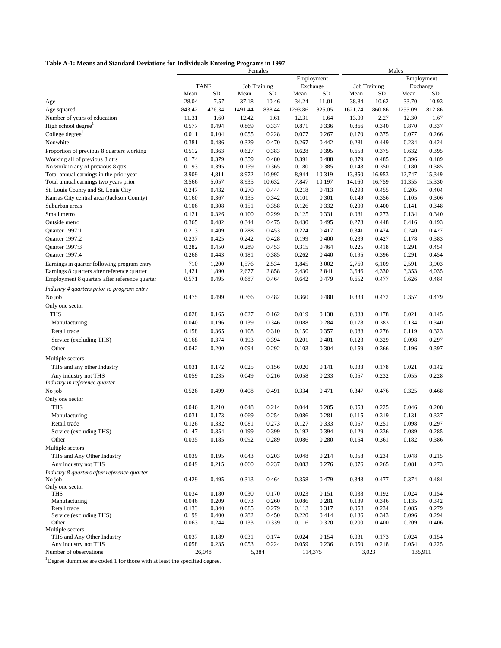| Table A-1: Means and Standard Deviations for Individuals Entering Programs in 1997 |
|------------------------------------------------------------------------------------|
|------------------------------------------------------------------------------------|

|                                                                             | Table A-1: Means and Standard Deviations for Individuals Entering Programs in 1997<br>Females |                |                     |                |                |                | Males          |                     |                |                |
|-----------------------------------------------------------------------------|-----------------------------------------------------------------------------------------------|----------------|---------------------|----------------|----------------|----------------|----------------|---------------------|----------------|----------------|
|                                                                             |                                                                                               |                |                     |                |                | Employment     |                |                     |                | Employment     |
|                                                                             |                                                                                               | <b>TANF</b>    | <b>Job Training</b> |                |                | Exchange       |                | <b>Job Training</b> |                | Exchange       |
|                                                                             | Mean                                                                                          | <b>SD</b>      | Mean                | <b>SD</b>      | Mean           | SD             | Mean           | SD                  | Mean           | <b>SD</b>      |
| Age                                                                         | 28.04                                                                                         | 7.57           | 37.18               | 10.46          | 34.24          | 11.01          | 38.84          | 10.62               | 33.70          | 10.93          |
| Age squared                                                                 | 843.42                                                                                        | 476.34         | 1491.44             | 838.44         | 1293.86        | 825.05         | 1621.74        | 860.86              | 1255.09        | 812.86         |
| Number of years of education<br>High school degree <sup>1</sup>             | 11.31                                                                                         | 1.60           | 12.42               | 1.61           | 12.31          | 1.64           | 13.00          | 2.27                | 12.30          | 1.67           |
| College degree                                                              | 0.577<br>0.011                                                                                | 0.494<br>0.104 | 0.869<br>0.055      | 0.337<br>0.228 | 0.871<br>0.077 | 0.336<br>0.267 | 0.866<br>0.170 | 0.340<br>0.375      | 0.870<br>0.077 | 0.337<br>0.266 |
| Nonwhite                                                                    | 0.381                                                                                         | 0.486          | 0.329               | 0.470          | 0.267          | 0.442          | 0.281          | 0.449               | 0.234          | 0.424          |
|                                                                             |                                                                                               |                |                     |                |                |                |                |                     |                | 0.395          |
| Proportion of previous 8 quarters working<br>Working all of previous 8 qtrs | 0.512<br>0.174                                                                                | 0.363<br>0.379 | 0.627<br>0.359      | 0.383<br>0.480 | 0.628<br>0.391 | 0.395<br>0.488 | 0.658<br>0.379 | 0.375<br>0.485      | 0.632<br>0.396 | 0.489          |
| No work in any of previous 8 qtrs                                           | 0.193                                                                                         | 0.395          | 0.159               | 0.365          | 0.180          | 0.385          | 0.143          | 0.350               | 0.180          | 0.385          |
| Total annual earnings in the prior year                                     | 3,909                                                                                         | 4,811          | 8,972               | 10,992         | 8,944          | 10,319         | 13,850         | 16,953              | 12,747         | 15,349         |
| Total annual earnings two years prior                                       | 3,566                                                                                         | 5,057          | 8,935               | 10,632         | 7,847          | 10,197         | 14,160         | 16,759              | 11,355         | 15,330         |
| St. Louis County and St. Louis City                                         | 0.247                                                                                         | 0.432          | 0.270               | 0.444          | 0.218          | 0.413          | 0.293          | 0.455               | 0.205          | 0.404          |
| Kansas City central area (Jackson County)                                   | 0.160                                                                                         | 0.367          | 0.135               | 0.342          | 0.101          | 0.301          | 0.149          | 0.356               | 0.105          | 0.306          |
| Suburban areas                                                              | 0.106                                                                                         | 0.308          | 0.151               | 0.358          | 0.126          | 0.332          | 0.200          | 0.400               | 0.141          | 0.348          |
| Small metro                                                                 | 0.121                                                                                         | 0.326          | 0.100               | 0.299          | 0.125          | 0.331          | 0.081          | 0.273               | 0.134          | 0.340          |
| Outside metro                                                               | 0.365                                                                                         | 0.482          | 0.344               | 0.475          | 0.430          | 0.495          | 0.278          | 0.448               | 0.416          | 0.493          |
| Quarter 1997:1                                                              | 0.213                                                                                         | 0.409          | 0.288               | 0.453          | 0.224          | 0.417          | 0.341          | 0.474               | 0.240          | 0.427          |
| Quarter 1997:2                                                              | 0.237                                                                                         | 0.425          | 0.242               | 0.428          | 0.199          | 0.400          | 0.239          | 0.427               | 0.178          | 0.383          |
| Quarter 1997:3                                                              | 0.282                                                                                         | 0.450          | 0.289               | 0.453          | 0.315          | 0.464          | 0.225          | 0.418               | 0.291          | 0.454          |
| Quarter 1997:4                                                              | 0.268                                                                                         | 0.443          | 0.181               | 0.385          | 0.262          | 0.440          | 0.195          | 0.396               | 0.291          | 0.454          |
| Earnings in quarter following program entry                                 | 710                                                                                           | 1,200          | 1,576               | 2,534          | 1,845          | 3,002          | 2,760          | 6,109               | 2,591          | 3,903          |
| Earnings 8 quarters after reference quarter                                 | 1,421                                                                                         | 1,890          | 2,677               | 2,858          | 2,430          | 2,841          | 3,646          | 4,330               | 3,353          | 4,035          |
| Employment 8 quarters after reference quarter                               | 0.571                                                                                         | 0.495          | 0.687               | 0.464          | 0.642          | 0.479          | 0.652          | 0.477               | 0.626          | 0.484          |
| Industry 4 quarters prior to program entry                                  |                                                                                               |                |                     |                |                |                |                |                     |                |                |
| No job                                                                      | 0.475                                                                                         | 0.499          | 0.366               | 0.482          | 0.360          | 0.480          | 0.333          | 0.472               | 0.357          | 0.479          |
| Only one sector                                                             |                                                                                               |                |                     |                |                |                |                |                     |                |                |
| <b>THS</b>                                                                  | 0.028                                                                                         | 0.165          | 0.027               | 0.162          | 0.019          | 0.138          | 0.033          | 0.178               | 0.021          | 0.145          |
| Manufacturing                                                               | 0.040                                                                                         | 0.196          | 0.139               | 0.346          | 0.088          | 0.284          | 0.178          | 0.383               | 0.134          | 0.340          |
| Retail trade                                                                | 0.158                                                                                         | 0.365          | 0.108               | 0.310          | 0.150          | 0.357          | 0.083          | 0.276               | 0.119          | 0.323          |
| Service (excluding THS)                                                     | 0.168                                                                                         | 0.374          | 0.193               | 0.394          | 0.201          | 0.401          | 0.123          | 0.329               | 0.098          | 0.297          |
| Other                                                                       | 0.042                                                                                         | 0.200          | 0.094               | 0.292          | 0.103          | 0.304          | 0.159          | 0.366               | 0.196          | 0.397          |
|                                                                             |                                                                                               |                |                     |                |                |                |                |                     |                |                |
| Multiple sectors                                                            |                                                                                               |                |                     |                |                |                |                |                     |                |                |
| THS and any other Industry                                                  | 0.031                                                                                         | 0.172          | 0.025               | 0.156          | 0.020          | 0.141          | 0.033          | 0.178               | 0.021          | 0.142          |
| Any industry not THS<br>Industry in reference quarter                       | 0.059                                                                                         | 0.235          | 0.049               | 0.216          | 0.058          | 0.233          | 0.057          | 0.232               | 0.055          | 0.228          |
| No job                                                                      | 0.526                                                                                         | 0.499          | 0.408               | 0.491          | 0.334          | 0.471          | 0.347          | 0.476               | 0.325          | 0.468          |
| Only one sector                                                             |                                                                                               |                |                     |                |                |                |                |                     |                |                |
| THS                                                                         | 0.046                                                                                         | 0.210          | 0.048               | 0.214          | 0.044          | 0.205          | 0.053          | 0.225               | 0.046          | 0.208          |
| Manufacturing                                                               | 0.031                                                                                         | 0.173          | 0.069               | 0.254          | 0.086          | 0.281          | 0.115          | 0.319               | 0.131          | 0.337          |
| Retail trade                                                                | 0.126                                                                                         | 0.332          | 0.081               | 0.273          | 0.127          | 0.333          | 0.067          | 0.251               | 0.098          | 0.297          |
| Service (excluding THS)                                                     | 0.147                                                                                         | 0.354          | 0.199               | 0.399          | 0.192          | 0.394          | 0.129          | 0.336               | 0.089          | 0.285          |
| Other                                                                       | 0.035                                                                                         | 0.185          | 0.092               | 0.289          | 0.086          | 0.280          | 0.154          | 0.361               | 0.182          | 0.386          |
| Multiple sectors                                                            |                                                                                               |                |                     |                |                |                |                |                     |                |                |
| THS and Any Other Industry                                                  | 0.039                                                                                         | 0.195          | 0.043               | 0.203          | 0.048          | 0.214          | 0.058          | 0.234               | 0.048          | 0.215          |
| Any industry not THS                                                        | 0.049                                                                                         | 0.215          | 0.060               | 0.237          | 0.083          | 0.276          | 0.076          | 0.265               | 0.081          | 0.273          |
| Industry 8 quarters after reference quarter                                 |                                                                                               |                |                     |                |                |                |                |                     |                |                |
| No job                                                                      | 0.429                                                                                         | 0.495          | 0.313               | 0.464          | 0.358          | 0.479          | 0.348          | 0.477               | 0.374          | 0.484          |
| Only one sector                                                             |                                                                                               |                |                     |                |                |                |                |                     |                |                |
| <b>THS</b>                                                                  | 0.034                                                                                         | 0.180          | 0.030               | 0.170          | 0.023          | 0.151          | 0.038          | 0.192               | 0.024          | 0.154          |
| Manufacturing                                                               | 0.046                                                                                         | 0.209          | 0.073               | 0.260          | 0.086          | 0.281          | 0.139          | 0.346               | 0.135          | 0.342          |
| Retail trade                                                                | 0.133                                                                                         | 0.340          | 0.085               | 0.279          | 0.113          | 0.317          | 0.058          | 0.234               | 0.085          | 0.279          |
| Service (excluding THS)<br>Other                                            | 0.199<br>0.063                                                                                | 0.400<br>0.244 | 0.282<br>0.133      | 0.450<br>0.339 | 0.220<br>0.116 | 0.414<br>0.320 | 0.136<br>0.200 | 0.343<br>0.400      | 0.096<br>0.209 | 0.294<br>0.406 |
| Multiple sectors                                                            |                                                                                               |                |                     |                |                |                |                |                     |                |                |
| THS and Any Other Industry                                                  | 0.037                                                                                         | 0.189          | 0.031               | 0.174          | 0.024          | 0.154          | 0.031          | 0.173               | 0.024          | 0.154          |
| Any industry not THS                                                        | 0.058                                                                                         | 0.235          | 0.053               | 0.224          | 0.059          | 0.236          | 0.050          | 0.218               | 0.054          | 0.225          |
| Number of observations                                                      |                                                                                               | 26,048         | 5,384               |                |                | 114,375        |                | 3,023               |                | 135,911        |

<sup>1</sup>Degree dummies are coded 1 for those with at least the specified degree.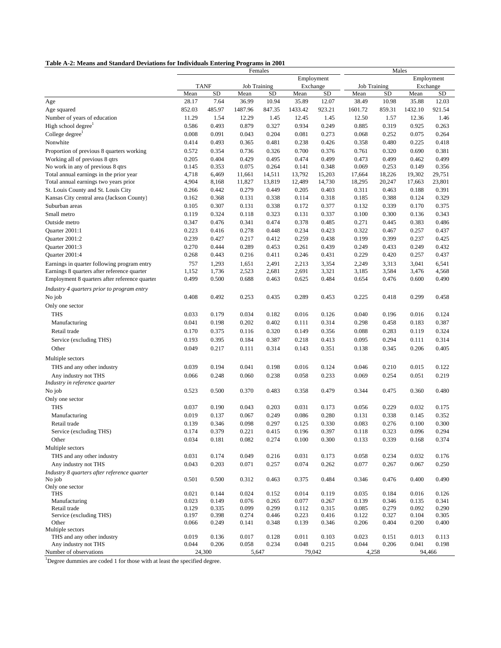| Table A-2: Means and Standard Deviations for Individuals Entering Programs in 2001 |  |  |
|------------------------------------------------------------------------------------|--|--|
|                                                                                    |  |  |

|                                               | Females |           |                     |           |         |            | Males               |        |         |            |
|-----------------------------------------------|---------|-----------|---------------------|-----------|---------|------------|---------------------|--------|---------|------------|
|                                               |         |           |                     |           |         | Employment |                     |        |         | Employment |
|                                               |         | TANF      | <b>Job Training</b> |           |         | Exchange   | <b>Job Training</b> |        |         | Exchange   |
|                                               | Mean    | <b>SD</b> | Mean                | <b>SD</b> | Mean    | SD         | Mean                | SD     | Mean    | <b>SD</b>  |
| Age                                           | 28.17   | 7.64      | 36.99               | 10.94     | 35.89   | 12.07      | 38.49               | 10.98  | 35.88   | 12.03      |
| Age squared                                   | 852.03  | 485.97    | 1487.96             | 847.35    | 1433.42 | 923.21     | 1601.72             | 859.31 | 1432.10 | 921.54     |
| Number of years of education                  | 11.29   | 1.54      | 12.29               | 1.45      | 12.45   | 1.45       | 12.50               | 1.57   | 12.36   | 1.46       |
| High school degree                            | 0.586   | 0.493     | 0.879               | 0.327     | 0.934   | 0.249      | 0.885               | 0.319  | 0.925   | 0.263      |
| College degree <sup>1</sup>                   | 0.008   | 0.091     | 0.043               | 0.204     | 0.081   | 0.273      | 0.068               | 0.252  | 0.075   | 0.264      |
| Nonwhite                                      | 0.414   | 0.493     | 0.365               | 0.481     | 0.238   | 0.426      | 0.358               | 0.480  | 0.225   | 0.418      |
| Proportion of previous 8 quarters working     | 0.572   | 0.354     | 0.736               | 0.326     | 0.700   | 0.376      | 0.761               | 0.320  | 0.690   | 0.381      |
| Working all of previous 8 qtrs                | 0.205   | 0.404     | 0.429               | 0.495     | 0.474   | 0.499      | 0.473               | 0.499  | 0.462   | 0.499      |
| No work in any of previous 8 qtrs             | 0.145   | 0.353     | 0.075               | 0.264     | 0.141   | 0.348      | 0.069               | 0.253  | 0.149   | 0.356      |
| Total annual earnings in the prior year       | 4,718   | 6,469     | 11,661              | 14,511    | 13,792  | 15,203     | 17,664              | 18,226 | 19,302  | 29,751     |
| Total annual earnings two years prior         | 4,904   | 8,168     | 11,827              | 13,819    | 12,489  | 14,730     | 18,295              | 20,247 | 17,663  | 23,801     |
| St. Louis County and St. Louis City           | 0.266   | 0.442     | 0.279               | 0.449     | 0.205   | 0.403      | 0.311               | 0.463  | 0.188   | 0.391      |
| Kansas City central area (Jackson County)     | 0.162   | 0.368     | 0.131               | 0.338     | 0.114   | 0.318      | 0.185               | 0.388  | 0.124   | 0.329      |
| Suburban areas                                | 0.105   | 0.307     | 0.131               | 0.338     | 0.172   | 0.377      | 0.132               | 0.339  | 0.170   | 0.375      |
| Small metro                                   | 0.119   | 0.324     | 0.118               | 0.323     | 0.131   | 0.337      | 0.100               | 0.300  | 0.136   | 0.343      |
| Outside metro                                 | 0.347   | 0.476     | 0.341               | 0.474     | 0.378   | 0.485      | 0.271               | 0.445  | 0.383   | 0.486      |
| Quarter 2001:1                                | 0.223   | 0.416     | 0.278               | 0.448     | 0.234   | 0.423      | 0.322               | 0.467  | 0.257   | 0.437      |
| Quarter 2001:2                                | 0.239   | 0.427     | 0.217               | 0.412     | 0.259   | 0.438      | 0.199               | 0.399  | 0.237   | 0.425      |
| Quarter 2001:3                                | 0.270   | 0.444     | 0.289               | 0.453     | 0.261   | 0.439      | 0.249               | 0.433  | 0.249   | 0.432      |
| Quarter 2001:4                                | 0.268   | 0.443     | 0.216               | 0.411     | 0.246   | 0.431      | 0.229               | 0.420  | 0.257   | 0.437      |
| Earnings in quarter following program entry   | 757     | 1,293     | 1,651               | 2,491     | 2,213   | 3,354      | 2,249               | 3,313  | 3,041   | 6,541      |
| Earnings 8 quarters after reference quarter   | 1,152   | 1,736     | 2,523               | 2,681     | 2,691   | 3,321      | 3,185               | 3,584  | 3,476   | 4,568      |
| Employment 8 quarters after reference quarter | 0.499   | 0.500     | 0.688               | 0.463     | 0.625   | 0.484      | 0.654               | 0.476  | 0.600   | 0.490      |
| Industry 4 quarters prior to program entry    |         |           |                     |           |         |            |                     |        |         |            |
| No job                                        | 0.408   | 0.492     | 0.253               | 0.435     | 0.289   | 0.453      | 0.225               | 0.418  | 0.299   | 0.458      |
| Only one sector                               |         |           |                     |           |         |            |                     |        |         |            |
| <b>THS</b>                                    | 0.033   | 0.179     | 0.034               | 0.182     | 0.016   | 0.126      | 0.040               | 0.196  | 0.016   | 0.124      |
| Manufacturing                                 | 0.041   | 0.198     | 0.202               | 0.402     | 0.111   | 0.314      | 0.298               | 0.458  | 0.183   | 0.387      |
| Retail trade                                  | 0.170   | 0.375     | 0.116               | 0.320     | 0.149   | 0.356      | 0.088               | 0.283  | 0.119   | 0.324      |
| Service (excluding THS)                       | 0.193   | 0.395     | 0.184               | 0.387     | 0.218   | 0.413      | 0.095               | 0.294  | 0.111   | 0.314      |
| Other                                         | 0.049   | 0.217     | 0.111               | 0.314     | 0.143   | 0.351      | 0.138               | 0.345  | 0.206   | 0.405      |
| Multiple sectors                              |         |           |                     |           |         |            |                     |        |         |            |
| THS and any other industry                    | 0.039   | 0.194     | 0.041               | 0.198     | 0.016   | 0.124      | 0.046               | 0.210  | 0.015   | 0.122      |
| Any industry not THS                          | 0.066   | 0.248     | 0.060               | 0.238     | 0.058   | 0.233      | 0.069               | 0.254  | 0.051   | 0.219      |
| Industry in reference quarter                 |         |           |                     |           |         |            |                     |        |         |            |
| No job                                        | 0.523   | 0.500     | 0.370               | 0.483     | 0.358   | 0.479      | 0.344               | 0.475  | 0.360   | 0.480      |
| Only one sector                               |         |           |                     |           |         |            |                     |        |         |            |
| <b>THS</b>                                    | 0.037   | 0.190     | 0.043               | 0.203     | 0.031   | 0.173      | 0.056               | 0.229  | 0.032   | 0.175      |
| Manufacturing                                 | 0.019   | 0.137     | 0.067               | 0.249     | 0.086   | 0.280      | 0.131               | 0.338  | 0.145   | 0.352      |
| Retail trade                                  | 0.139   | 0.346     | 0.098               | 0.297     | 0.125   | 0.330      | 0.083               | 0.276  | 0.100   | 0.300      |
| Service (excluding THS)                       | 0.174   | 0.379     | 0.221               | 0.415     | 0.196   | 0.397      | 0.118               | 0.323  | 0.096   | 0.294      |
| Other                                         | 0.034   | 0.181     | 0.082               | 0.274     | 0.100   | 0.300      | 0.133               | 0.339  | 0.168   | 0.374      |
| Multiple sectors                              |         |           |                     |           |         |            |                     |        |         |            |
| THS and any other industry                    | 0.031   | 0.174     | 0.049               | 0.216     | 0.031   | 0.173      | 0.058               | 0.234  | 0.032   | 0.176      |
| Any industry not THS                          | 0.043   | 0.203     | 0.071               | 0.257     | 0.074   | 0.262      | 0.077               | 0.267  | 0.067   | 0.250      |
| Industry 8 quarters after reference quarter   |         |           |                     |           |         |            |                     |        |         |            |
| No job                                        | 0.501   | 0.500     | 0.312               | 0.463     | 0.375   | 0.484      | 0.346               | 0.476  | 0.400   | 0.490      |
| Only one sector<br><b>THS</b>                 | 0.021   | 0.144     | 0.024               | 0.152     | 0.014   | 0.119      | 0.035               | 0.184  | 0.016   | 0.126      |
| Manufacturing                                 | 0.023   | 0.149     | 0.076               | 0.265     | 0.077   | 0.267      | 0.139               | 0.346  | 0.135   | 0.341      |
| Retail trade                                  | 0.129   | 0.335     | 0.099               | 0.299     | 0.112   | 0.315      | 0.085               | 0.279  | 0.092   | 0.290      |
| Service (excluding THS)                       | 0.197   | 0.398     | 0.274               | 0.446     | 0.223   | 0.416      | 0.122               | 0.327  | 0.104   | 0.305      |
| Other                                         | 0.066   | 0.249     | 0.141               | 0.348     | 0.139   | 0.346      | 0.206               | 0.404  | 0.200   | 0.400      |
| Multiple sectors                              |         |           |                     |           |         |            |                     |        |         |            |
| THS and any other industry                    | 0.019   | 0.136     | 0.017               | 0.128     | 0.011   | 0.103      | 0.023               | 0.151  | 0.013   | 0.113      |
| Any industry not THS                          | 0.044   | 0.206     | 0.058               | 0.234     | 0.048   | 0.215      | 0.044               | 0.206  | 0.041   | 0.198      |
| Number of observations                        |         | 24,300    | 5,647               |           |         | 79,042     | 4,258               |        |         | 94,466     |

<sup>1</sup>Degree dummies are coded 1 for those with at least the specified degree.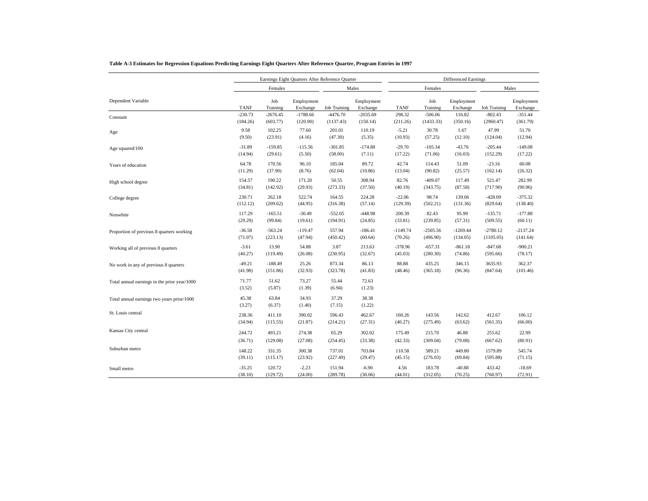|                                              |                 |                 | Earnings Eight Quarters After Reference Quarter |                     |                        |             | <b>Differenced Earnings</b> |                        |                     |                        |  |
|----------------------------------------------|-----------------|-----------------|-------------------------------------------------|---------------------|------------------------|-------------|-----------------------------|------------------------|---------------------|------------------------|--|
|                                              |                 | Females         |                                                 |                     | Males                  |             | Females                     |                        |                     | Males                  |  |
| Dependent Variable                           | <b>TANF</b>     | Job<br>Training | Employment<br>Exchange                          | <b>Job Training</b> | Employment<br>Exchange | <b>TANF</b> | Job<br>Training             | Employment<br>Exchange | <b>Job Training</b> | Employment<br>Exchange |  |
| Constant                                     | $-230.73$       | $-2676.45$      | $-1788.66$                                      | $-4476.70$          | $-2035.69$             | 298.32      | $-506.06$                   | 116.82                 | $-802.43$           | $-351.44$              |  |
|                                              | (184.26)        | (603.77)        | (120.90)                                        | (1137.43)           | (150.14)               | (211.26)    | (1433.33)                   | (350.16)               | (2960.47)           | (361.79)               |  |
| Age                                          | 9.58            | 102.25          | 77.60                                           | 201.01              | 110.19                 | $-5.21$     | 30.78                       | 1.67                   | 47.99               | 51.70                  |  |
|                                              | (9.50)          | (23.91)         | (4.16)                                          | (47.30)             | (5.35)                 | (10.93)     | (57.25)                     | (12.10)                | (124.04)            | (12.94)                |  |
| Age squared/100                              | $-31.89$        | $-159.85$       | $-115.56$                                       | $-301.85$           | $-174.88$              | $-29.70$    | $-105.34$                   | $-43.76$               | $-205.44$           | $-149.08$              |  |
|                                              | (14.94)         | (29.61)         | (5.50)                                          | (58.00)             | (7.11)                 | (17.22)     | (71.06)                     | (16.03)                | (152.29)            | (17.22)                |  |
| Years of education                           | 64.78           | 170.56          | 96.10                                           | 185.04              | 89.72                  | 42.74       | 114.43                      | 51.09                  | $-23.16$            | 60.08                  |  |
|                                              | (11.29)         | (37.90)         | (8.76)                                          | (62.04)             | (10.86)                | (13.04)     | (90.82)                     | (25.57)                | (162.14)            | (26.32)                |  |
| High school degree                           | 154.57          | 190.22          | 171.20                                          | 50.55               | 308.94                 | 82.76       | $-409.07$                   | 117.49                 | 521.47              | 282.99                 |  |
|                                              | (34.81)         | (142.92)        | (29.93)                                         | (273.33)            | (37.50)                | (40.19)     | (343.75)                    | (87.58)                | (717.90)            | (90.96)                |  |
| College degree                               | 230.71          | 262.18          | 522.74                                          | 164.55              | 224.28                 | $-22.06$    | 98.74                       | 139.06                 | $-428.09$           | $-375.32$              |  |
|                                              | (112.12)        | (209.62)        | (44.95)                                         | (316.38)            | (57.14)                | (129.39)    | (502.21)                    | (131.36)               | (829.64)            | (138.40)               |  |
| Nonwhite                                     | 117.29          | $-165.51$       | $-30.49$                                        | $-552.05$           | $-448.98$              | 200.39      | 82.43                       | 95.99                  | $-135.71$           | $-177.88$              |  |
|                                              | (29.29)         | (99.84)         | (19.61)                                         | (194.91)            | (24.85)                | (33.81)     | (239.85)                    | (57.31)                | (509.55)            | (60.11)                |  |
| Proportion of previous 8 quarters working    | $-36.58$        | $-563.24$       | $-119.47$                                       | 557.94              | $-186.41$              | $-1149.74$  | $-2505.56$                  | $-1269.44$             | $-2780.12$          | $-2137.24$             |  |
|                                              | (71.07)         | (223.13)        | (47.94)                                         | (450.42)            | (60.64)                | (70.26)     | (496.90)                    | (134.05)               | (1105.05)           | (141.64)               |  |
| Working all of previous 8 quarters           | $-3.61$         | 13.90           | 54.88                                           | 3.87                | 213.63                 | $-378.96$   | $-657.31$                   | $-861.18$              | $-847.68$           | $-900.21$              |  |
|                                              | (40.27)         | (119.49)        | (26.08)                                         | (230.95)            | (32.67)                | (45.03)     | (280.30)                    | (74.86)                | (595.66)            | (78.17)                |  |
| No work in any of previous 8 quarters        | $-49.21$        | $-188.49$       | 25.26                                           | 873.34              | 86.13                  | 88.88       | 435.25                      | 346.15                 | 3635.93             | 362.37                 |  |
|                                              | (41.98)         | (151.86)        | (32.93)                                         | (323.78)            | (41.83)                | (48.46)     | (365.18)                    | (96.36)                | (847.64)            | (101.46)               |  |
| Total annual earnings in the prior year/1000 | 71.77<br>(3.52) | 51.62<br>(5.87) | 73.27<br>(1.39)                                 | 55.44<br>(6.94)     | 72.63<br>(1.23)        |             |                             |                        |                     |                        |  |
| Total annual earnings two years prior/1000   | 45.38<br>(3.27) | 63.84<br>(6.37) | 34.93<br>(1.40)                                 | 37.29<br>(7.15)     | 38.38<br>(1.22)        |             |                             |                        |                     |                        |  |
| St. Louis central                            | 238.36          | 411.10          | 390.02                                          | 596.43              | 462.67                 | 160.26      | 143.56                      | 142.62                 | 412.67              | 106.12                 |  |
|                                              | (34.94)         | (115.55)        | (21.87)                                         | (214.21)            | (27.31)                | (40.27)     | (275.49)                    | (63.62)                | (561.35)            | (66.00)                |  |
| Kansas City central                          | 244.72          | 493.21          | 274.38                                          | 65.29               | 302.02                 | 175.49      | 215.70                      | 46.88                  | 255.62              | 22.99                  |  |
| Suburban metro                               | (36.71)         | (129.08)        | (27.08)                                         | (254.45)            | (33.38)                | (42.33)     | (309.04)                    | (79.08)                | (667.62)            | (80.91)                |  |
|                                              | 148.22          | 331.35          | 300.38                                          | 737.01              | 703.84                 | 110.58      | 589.21                      | 449.80                 | 1579.89             | 545.74                 |  |
|                                              | (39.11)         | (115.17)        | (23.92)                                         | (227.49)            | (29.47)                | (45.15)     | (276.03)                    | (69.84)                | (595.88)            | (71.15)                |  |
| Small metro                                  | $-35.25$        | 120.72          | $-2.23$                                         | 151.94              | $-6.90$                | 4.56        | 183.78                      | $-40.88$               | 433.42              | $-18.69$               |  |
|                                              | (38.10)         | (129.72)        | (24.00)                                         | (289.78)            | (30.06)                | (44.01)     | (312.05)                    | (70.25)                | (760.97)            | (72.91)                |  |

#### **Table A-3 Estimates for Regression Equations Predicting Earnings Eight Quarters After Reference Quarter, Program Entries in 1997**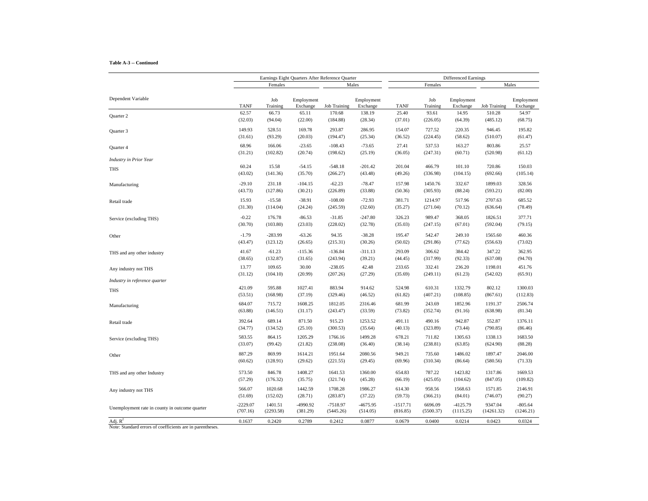#### **Table A-3 -- Continued**

|                                                |             |                 | Earnings Eight Quarters After Reference Quarter |                     |                        | <b>Differenced Earnings</b> |                 |                        |                     |                        |
|------------------------------------------------|-------------|-----------------|-------------------------------------------------|---------------------|------------------------|-----------------------------|-----------------|------------------------|---------------------|------------------------|
|                                                |             | Females         |                                                 |                     | Males                  |                             | Females         |                        |                     | Males                  |
| Dependent Variable                             | <b>TANF</b> | Job<br>Training | Employment<br>Exchange                          | <b>Job Training</b> | Employment<br>Exchange | <b>TANF</b>                 | Job<br>Training | Employment<br>Exchange | <b>Job Training</b> | Employment<br>Exchange |
| Quarter 2                                      | 62.57       | 66.73           | 65.11                                           | 170.68              | 138.19                 | 25.40                       | 93.61           | 14.95                  | 510.28              | 54.97                  |
|                                                | (32.03)     | (94.04)         | (22.00)                                         | (184.88)            | (28.34)                | (37.01)                     | (226.05)        | (64.39)                | (485.12)            | (68.75)                |
| Quarter 3                                      | 149.93      | 528.51          | 169.78                                          | 293.87              | 286.95                 | 154.07                      | 727.52          | 220.35                 | 946.45              | 195.82                 |
|                                                | (31.61)     | (93.29)         | (20.03)                                         | (194.47)            | (25.34)                | (36.52)                     | (224.45)        | (58.62)                | (510.07)            | (61.47)                |
| Quarter 4                                      | 68.96       | 166.06          | $-23.65$                                        | $-108.43$           | $-73.65$               | 27.41                       | 537.53          | 163.27                 | 803.86              | 25.57                  |
|                                                | (31.21)     | (102.82)        | (20.74)                                         | (198.62)            | (25.19)                | (36.05)                     | (247.31)        | (60.71)                | (520.98)            | (61.12)                |
| <b>Industry</b> in Prior Year                  |             |                 |                                                 |                     |                        |                             |                 |                        |                     |                        |
| THS                                            | 60.24       | 15.58           | $-54.15$                                        | $-548.18$           | $-201.42$              | 201.04                      | 466.79          | 101.10                 | 720.86              | 150.03                 |
|                                                | (43.02)     | (141.36)        | (35.70)                                         | (266.27)            | (43.48)                | (49.26)                     | (336.98)        | (104.15)               | (692.66)            | (105.14)               |
| Manufacturing                                  | $-29.10$    | 231.18          | $-104.15$                                       | $-62.23$            | $-78.47$               | 157.98                      | 1450.76         | 332.67                 | 1899.03             | 328.56                 |
|                                                | (43.73)     | (127.86)        | (30.21)                                         | (226.89)            | (33.88)                | (50.36)                     | (305.93)        | (88.24)                | (593.21)            | (82.00)                |
| Retail trade                                   | 15.93       | $-15.58$        | $-38.91$                                        | $-108.00$           | $-72.93$               | 381.71                      | 1214.97         | 517.96                 | 2707.63             | 685.52                 |
|                                                | (31.30)     | (114.04)        | (24.24)                                         | (245.59)            | (32.60)                | (35.27)                     | (271.04)        | (70.12)                | (636.64)            | (78.49)                |
| Service (excluding THS)                        | $-0.22$     | 176.78          | $-86.53$                                        | $-31.85$            | $-247.80$              | 326.23                      | 989.47          | 368.05                 | 1826.51             | 377.71                 |
|                                                | (30.70)     | (103.80)        | (23.03)                                         | (228.02)            | (32.78)                | (35.03)                     | (247.15)        | (67.01)                | (592.04)            | (79.15)                |
| Other                                          | $-1.79$     | $-283.99$       | $-63.26$                                        | 94.35               | $-38.28$               | 195.47                      | 542.47          | 249.10                 | 1565.60             | 460.36                 |
|                                                | (43.47)     | (123.12)        | (26.65)                                         | (215.31)            | (30.26)                | (50.02)                     | (291.86)        | (77.62)                | (556.63)            | (73.02)                |
| THS and any other industry                     | 41.67       | $-61.23$        | $-115.36$                                       | $-136.84$           | $-311.13$              | 293.09                      | 306.62          | 384.42                 | 347.22              | 362.95                 |
|                                                | (38.65)     | (132.87)        | (31.65)                                         | (243.94)            | (39.21)                | (44.45)                     | (317.99)        | (92.33)                | (637.08)            | (94.70)                |
| Any industry not THS                           | 13.77       | 109.65          | 30.00                                           | $-238.05$           | 42.48                  | 233.65                      | 332.41          | 236.20                 | 1198.01             | 451.76                 |
|                                                | (31.12)     | (104.10)        | (20.99)                                         | (207.26)            | (27.29)                | (35.69)                     | (249.11)        | (61.23)                | (542.02)            | (65.91)                |
| Industry in reference quarter                  |             |                 |                                                 |                     |                        |                             |                 |                        |                     |                        |
| <b>THS</b>                                     | 421.09      | 595.88          | 1027.41                                         | 883.94              | 914.62                 | 524.98                      | 610.31          | 1332.79                | 802.12              | 1300.03                |
|                                                | (53.51)     | (168.98)        | (37.19)                                         | (329.46)            | (46.52)                | (61.82)                     | (407.21)        | (108.85)               | (867.61)            | (112.83)               |
| Manufacturing                                  | 684.07      | 715.72          | 1608.25                                         | 1812.05             | 2316.46                | 681.99                      | 243.69          | 1852.96                | 1191.37             | 2506.74                |
|                                                | (63.88)     | (146.51)        | (31.17)                                         | (243.47)            | (33.59)                | (73.82)                     | (352.74)        | (91.16)                | (638.98)            | (81.34)                |
| Retail trade                                   | 392.64      | 689.14          | 871.50                                          | 915.23              | 1253.52                | 491.11                      | 490.16          | 942.87                 | 552.87              | 1376.11                |
|                                                | (34.77)     | (134.52)        | (25.10)                                         | (300.53)            | (35.64)                | (40.13)                     | (323.89)        | (73.44)                | (790.85)            | (86.46)                |
| Service (excluding THS)                        | 583.55      | 864.15          | 1205.29                                         | 1766.16             | 1499.28                | 678.21                      | 711.82          | 1305.63                | 1338.13             | 1683.50                |
|                                                | (33.07)     | (99.42)         | (21.82)                                         | (238.08)            | (36.40)                | (38.14)                     | (238.81)        | (63.85)                | (624.90)            | (88.28)                |
| Other                                          | 887.29      | 869.99          | 1614.21                                         | 1951.64             | 2080.56                | 949.21                      | 735.60          | 1486.02                | 1897.47             | 2046.00                |
|                                                | (60.62)     | (128.91)        | (29.62)                                         | (221.55)            | (29.45)                | (69.96)                     | (310.34)        | (86.64)                | (580.56)            | (71.33)                |
| THS and any other Industry                     | 573.50      | 846.78          | 1408.27                                         | 1641.53             | 1360.00                | 654.83                      | 787.22          | 1423.82                | 1317.86             | 1669.53                |
|                                                | (57.29)     | (176.32)        | (35.75)                                         | (321.74)            | (45.28)                | (66.19)                     | (425.05)        | (104.62)               | (847.05)            | (109.82)               |
| Any industry not THS                           | 566.07      | 1020.68         | 1442.59                                         | 1708.28             | 1986.27                | 614.30                      | 958.56          | 1568.63                | 1571.85             | 2146.91                |
|                                                | (51.69)     | (152.02)        | (28.71)                                         | (283.87)            | (37.22)                | (59.73)                     | (366.21)        | (84.01)                | (746.07)            | (90.27)                |
| Unemployment rate in county in outcome quarter | $-2229.07$  | 1401.51         | -4990.92                                        | $-7518.97$          | $-4675.95$             | $-1517.71$                  | 6696.09         | $-4125.79$             | 9347.04             | $-805.64$              |
|                                                | (707.16)    | (2293.58)       | (381.29)                                        | (5445.26)           | (514.05)               | (816.85)                    | (5500.37)       | (1115.25)              | (14261.32)          | (1246.21)              |
| Adj. $R^2$                                     | 0.1637      | 0.2420          | 0.2789                                          | 0.2412              | 0.0877                 | 0.0679                      | 0.0400          | 0.0214                 | 0.0423              | 0.0324                 |

Note: Standard errors of coefficients are in parentheses.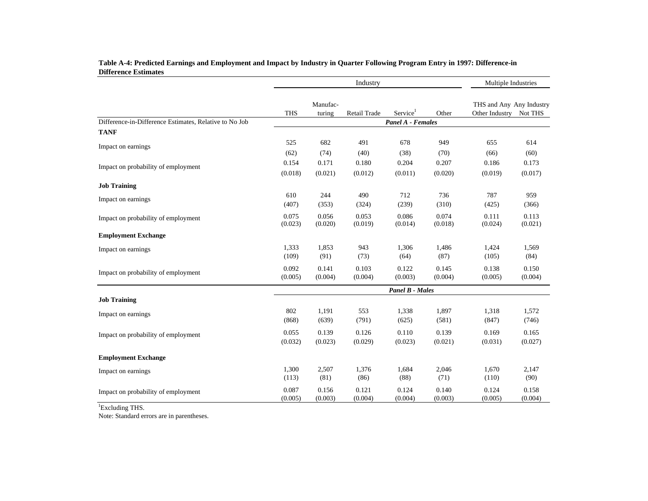|                                                        |                   |                    | Industry         |                        | Multiple Industries |                                            |                  |  |  |  |  |
|--------------------------------------------------------|-------------------|--------------------|------------------|------------------------|---------------------|--------------------------------------------|------------------|--|--|--|--|
|                                                        | <b>THS</b>        | Manufac-<br>turing | Retail Trade     | Service <sup>1</sup>   | Other               | THS and Any Any Industry<br>Other Industry | Not THS          |  |  |  |  |
| Difference-in-Difference Estimates, Relative to No Job | Panel A - Females |                    |                  |                        |                     |                                            |                  |  |  |  |  |
| <b>TANF</b>                                            |                   |                    |                  |                        |                     |                                            |                  |  |  |  |  |
| Impact on earnings                                     | 525               | 682                | 491              | 678                    | 949                 | 655                                        | 614              |  |  |  |  |
|                                                        | (62)              | (74)               | (40)             | (38)                   | (70)                | (66)                                       | (60)             |  |  |  |  |
| Impact on probability of employment                    | 0.154             | 0.171              | 0.180            | 0.204                  | 0.207               | 0.186                                      | 0.173            |  |  |  |  |
|                                                        | (0.018)           | (0.021)            | (0.012)          | (0.011)                | (0.020)             | (0.019)                                    | (0.017)          |  |  |  |  |
| <b>Job Training</b>                                    |                   |                    |                  |                        |                     |                                            |                  |  |  |  |  |
| Impact on earnings                                     | 610               | 244                | 490              | 712                    | 736                 | 787                                        | 959              |  |  |  |  |
|                                                        | (407)             | (353)              | (324)            | (239)                  | (310)               | (425)                                      | (366)            |  |  |  |  |
| Impact on probability of employment                    | 0.075<br>(0.023)  | 0.056<br>(0.020)   | 0.053<br>(0.019) | 0.086<br>(0.014)       | 0.074<br>(0.018)    | 0.111<br>(0.024)                           | 0.113<br>(0.021) |  |  |  |  |
| <b>Employment Exchange</b>                             |                   |                    |                  |                        |                     |                                            |                  |  |  |  |  |
| Impact on earnings                                     | 1,333<br>(109)    | 1,853<br>(91)      | 943<br>(73)      | 1,306<br>(64)          | 1,486<br>(87)       | 1,424<br>(105)                             | 1,569<br>(84)    |  |  |  |  |
| Impact on probability of employment                    | 0.092<br>(0.005)  | 0.141<br>(0.004)   | 0.103<br>(0.004) | 0.122<br>(0.003)       | 0.145<br>(0.004)    | 0.138<br>(0.005)                           | 0.150<br>(0.004) |  |  |  |  |
|                                                        |                   |                    |                  | <b>Panel B - Males</b> |                     |                                            |                  |  |  |  |  |
| <b>Job Training</b>                                    |                   |                    |                  |                        |                     |                                            |                  |  |  |  |  |
| Impact on earnings                                     | 802               | 1,191              | 553              | 1,338                  | 1,897               | 1,318                                      | 1,572            |  |  |  |  |
|                                                        | (868)             | (639)              | (791)            | (625)                  | (581)               | (847)                                      | (746)            |  |  |  |  |
| Impact on probability of employment                    | 0.055             | 0.139              | 0.126            | 0.110                  | 0.139               | 0.169                                      | 0.165            |  |  |  |  |
|                                                        | (0.032)           | (0.023)            | (0.029)          | (0.023)                | (0.021)             | (0.031)                                    | (0.027)          |  |  |  |  |
| <b>Employment Exchange</b>                             |                   |                    |                  |                        |                     |                                            |                  |  |  |  |  |
| Impact on earnings                                     | 1,300             | 2,507              | 1,376            | 1,684                  | 2,046               | 1,670                                      | 2,147            |  |  |  |  |
|                                                        | (113)             | (81)               | (86)             | (88)                   | (71)                | (110)                                      | (90)             |  |  |  |  |
| Impact on probability of employment                    | 0.087             | 0.156              | 0.121            | 0.124                  | 0.140               | 0.124                                      | 0.158            |  |  |  |  |
|                                                        | (0.005)           | (0.003)            | (0.004)          | (0.004)                | (0.003)             | (0.005)                                    | (0.004)          |  |  |  |  |

### **Table A-4: Predicted Earnings and Employment and Impact by Industry in Quarter Following Program Entry in 1997: Difference-in Difference Estimates**

<sup>1</sup>Excluding THS.

Note: Standard errors are in parentheses.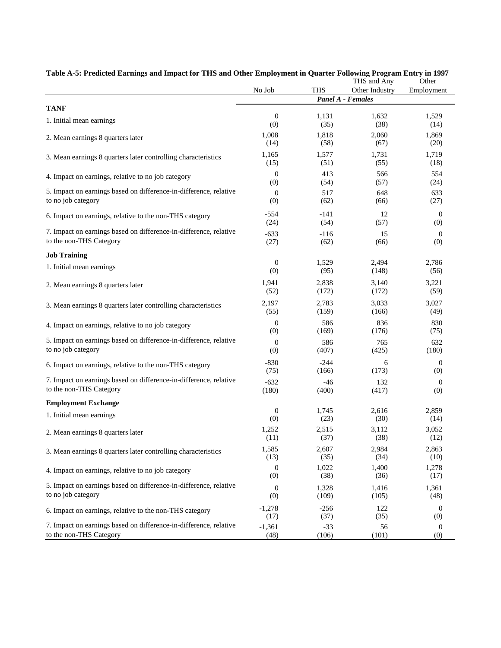|                                                                   |                  |            | THS and Any              | Other            |
|-------------------------------------------------------------------|------------------|------------|--------------------------|------------------|
|                                                                   | No Job           | <b>THS</b> | Other Industry           | Employment       |
|                                                                   |                  |            | <b>Panel A - Females</b> |                  |
| <b>TANF</b>                                                       |                  |            |                          |                  |
| 1. Initial mean earnings                                          | $\boldsymbol{0}$ | 1,131      | 1,632                    | 1,529            |
|                                                                   | (0)              | (35)       | (38)                     | (14)             |
| 2. Mean earnings 8 quarters later                                 | 1,008            | 1,818      | 2,060                    | 1,869            |
|                                                                   | (14)             | (58)       | (67)                     | (20)             |
| 3. Mean earnings 8 quarters later controlling characteristics     | 1,165            | 1,577      | 1,731                    | 1,719            |
|                                                                   | (15)             | (51)       | (55)                     | (18)             |
| 4. Impact on earnings, relative to no job category                | $\boldsymbol{0}$ | 413        | 566                      | 554              |
|                                                                   | (0)              | (54)       | (57)                     | (24)             |
| 5. Impact on earnings based on difference-in-difference, relative | $\boldsymbol{0}$ | 517        | 648                      | 633              |
| to no job category                                                | (0)              | (62)       | (66)                     | (27)             |
| 6. Impact on earnings, relative to the non-THS category           | $-554$           | $-141$     | 12                       | $\mathbf{0}$     |
|                                                                   | (24)             | (54)       | (57)                     | (0)              |
| 7. Impact on earnings based on difference-in-difference, relative | $-633$           | $-116$     | 15                       | $\mathbf{0}$     |
| to the non-THS Category                                           | (27)             | (62)       | (66)                     | (0)              |
| <b>Job Training</b>                                               |                  |            |                          |                  |
| 1. Initial mean earnings                                          | $\boldsymbol{0}$ | 1,529      | 2,494                    | 2,786            |
|                                                                   | (0)              | (95)       | (148)                    | (56)             |
| 2. Mean earnings 8 quarters later                                 | 1,941            | 2,838      | 3,140                    | 3,221            |
|                                                                   | (52)             | (172)      | (172)                    | (59)             |
| 3. Mean earnings 8 quarters later controlling characteristics     | 2,197            | 2,783      | 3,033                    | 3,027            |
|                                                                   | (55)             | (159)      | (166)                    | (49)             |
| 4. Impact on earnings, relative to no job category                | $\boldsymbol{0}$ | 586        | 836                      | 830              |
|                                                                   | (0)              | (169)      | (176)                    | (75)             |
| 5. Impact on earnings based on difference-in-difference, relative | $\boldsymbol{0}$ | 586        | 765                      | 632              |
| to no job category                                                | (0)              | (407)      | (425)                    | (180)            |
| 6. Impact on earnings, relative to the non-THS category           | $-830$           | $-244$     | 6                        | $\boldsymbol{0}$ |
|                                                                   | (75)             | (166)      | (173)                    | (0)              |
| 7. Impact on earnings based on difference-in-difference, relative | $-632$           | $-46$      | 132                      | $\mathbf{0}$     |
| to the non-THS Category                                           | (180)            | (400)      | (417)                    | (0)              |
| <b>Employment Exchange</b>                                        |                  |            |                          |                  |
| 1. Initial mean earnings                                          | $\boldsymbol{0}$ | 1,745      | 2,616                    | 2,859            |
|                                                                   | (0)              | (23)       | (30)                     | (14)             |
| 2. Mean earnings 8 quarters later                                 | 1,252            | 2,515      | 3,112                    | 3,052            |
|                                                                   | (11)             | (37)       | (38)                     | (12)             |
| 3. Mean earnings 8 quarters later controlling characteristics     | 1,585            | 2,607      | 2,984                    | 2,863            |
|                                                                   | (13)             | (35)       | (34)                     | (10)             |
| 4. Impact on earnings, relative to no job category                | $\boldsymbol{0}$ | 1,022      | 1,400                    | 1,278            |
|                                                                   | (0)              | (38)       | (36)                     | (17)             |
| 5. Impact on earnings based on difference-in-difference, relative | $\boldsymbol{0}$ | 1,328      | 1,416                    | 1,361            |
| to no job category                                                | (0)              | (109)      | (105)                    | (48)             |
| 6. Impact on earnings, relative to the non-THS category           | $-1,278$         | $-256$     | 122                      | $\mathbf{0}$     |
|                                                                   | (17)             | (37)       | (35)                     | (0)              |
| 7. Impact on earnings based on difference-in-difference, relative | $-1,361$         | $-33$      | 56                       | $\boldsymbol{0}$ |
| to the non-THS Category                                           | (48)             | (106)      | (101)                    | (0)              |

| Table A-5: Predicted Earnings and Impact for THS and Other Employment in Quarter Following Program Entry in 1997 |  |
|------------------------------------------------------------------------------------------------------------------|--|
|                                                                                                                  |  |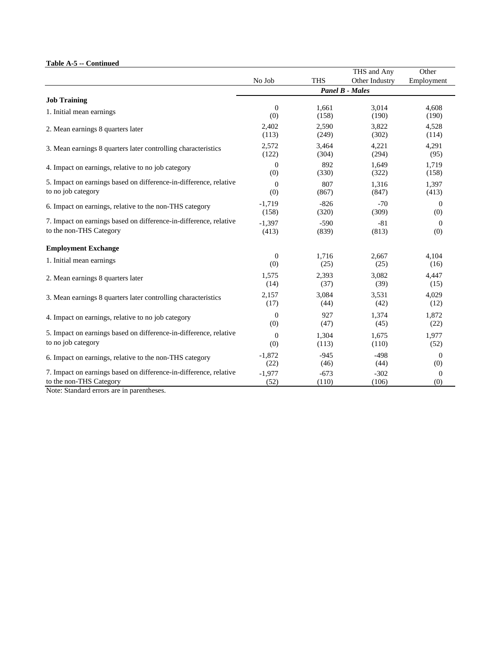### **Table A-5 -- Continued**

|                                                                   |                  |            | THS and Any            | Other          |
|-------------------------------------------------------------------|------------------|------------|------------------------|----------------|
|                                                                   | No Job           | <b>THS</b> | Other Industry         | Employment     |
|                                                                   |                  |            | <b>Panel B - Males</b> |                |
| <b>Job Training</b>                                               |                  |            |                        |                |
| 1. Initial mean earnings                                          | $\mathbf{0}$     | 1,661      | 3,014                  | 4,608          |
|                                                                   | (0)              | (158)      | (190)                  | (190)          |
| 2. Mean earnings 8 quarters later                                 | 2,402            | 2,590      | 3,822                  | 4,528          |
|                                                                   | (113)            | (249)      | (302)                  | (114)          |
| 3. Mean earnings 8 quarters later controlling characteristics     | 2,572            | 3,464      | 4,221                  | 4,291          |
|                                                                   | (122)            | (304)      | (294)                  | (95)           |
| 4. Impact on earnings, relative to no job category                | $\theta$         | 892        | 1,649                  | 1,719          |
|                                                                   | (0)              | (330)      | (322)                  | (158)          |
| 5. Impact on earnings based on difference-in-difference, relative | $\Omega$         | 807        | 1,316                  | 1,397          |
| to no job category                                                | (0)              | (867)      | (847)                  | (413)          |
| 6. Impact on earnings, relative to the non-THS category           | $-1,719$         | $-826$     | $-70$                  | $\overline{0}$ |
|                                                                   | (158)            | (320)      | (309)                  | (0)            |
| 7. Impact on earnings based on difference-in-difference, relative | $-1,397$         | $-590$     | $-81$                  | $\overline{0}$ |
| to the non-THS Category                                           | (413)            | (839)      | (813)                  | (0)            |
| <b>Employment Exchange</b>                                        |                  |            |                        |                |
| 1. Initial mean earnings                                          | $\boldsymbol{0}$ | 1,716      | 2,667                  | 4,104          |
|                                                                   | (0)              | (25)       | (25)                   | (16)           |
| 2. Mean earnings 8 quarters later                                 | 1,575            | 2,393      | 3,082                  | 4,447          |
|                                                                   | (14)             | (37)       | (39)                   | (15)           |
| 3. Mean earnings 8 quarters later controlling characteristics     | 2,157            | 3,084      | 3.531                  | 4,029          |
|                                                                   | (17)             | (44)       | (42)                   | (12)           |
| 4. Impact on earnings, relative to no job category                | $\overline{0}$   | 927        | 1,374                  | 1,872          |
|                                                                   | (0)              | (47)       | (45)                   | (22)           |
| 5. Impact on earnings based on difference-in-difference, relative | $\overline{0}$   | 1.304      | 1.675                  | 1,977          |
| to no job category                                                | (0)              | (113)      | (110)                  | (52)           |
| 6. Impact on earnings, relative to the non-THS category           | $-1,872$         | $-945$     | $-498$                 | $\Omega$       |
|                                                                   | (22)             | (46)       | (44)                   | (0)            |
| 7. Impact on earnings based on difference-in-difference, relative | $-1,977$         | $-673$     | $-302$                 | $\overline{0}$ |
| to the non-THS Category                                           | (52)             | (110)      | (106)                  | (0)            |

Note: Standard errors are in parentheses.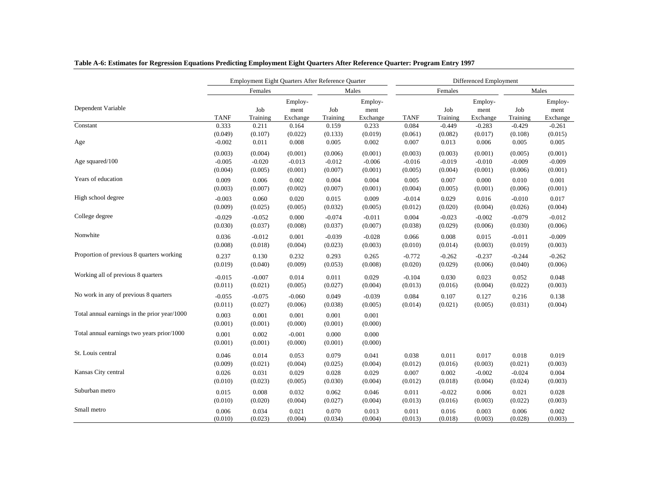|                                              |                  |                  | Employment Eight Quarters After Reference Quarter |                  |                             | Differenced Employment |                  |                             |                  |                             |  |
|----------------------------------------------|------------------|------------------|---------------------------------------------------|------------------|-----------------------------|------------------------|------------------|-----------------------------|------------------|-----------------------------|--|
|                                              |                  | Females          |                                                   |                  | Males                       |                        | Females          |                             | Males            |                             |  |
| Dependent Variable                           | <b>TANF</b>      | Job<br>Training  | Employ-<br>ment<br>Exchange                       | Job<br>Training  | Employ-<br>ment<br>Exchange | <b>TANF</b>            | Job<br>Training  | Employ-<br>ment<br>Exchange | Job<br>Training  | Employ-<br>ment<br>Exchange |  |
| Constant                                     | 0.333            | 0.211            | 0.164                                             | 0.159            | 0.233                       | 0.084                  | $-0.449$         | $-0.283$                    | $-0.429$         | $-0.261$                    |  |
|                                              | (0.049)          | (0.107)          | (0.022)                                           | (0.133)          | (0.019)                     | (0.061)                | (0.082)          | (0.017)                     | (0.108)          | (0.015)                     |  |
| Age                                          | $-0.002$         | 0.011            | 0.008                                             | 0.005            | 0.002                       | 0.007                  | 0.013            | 0.006                       | 0.005            | 0.005                       |  |
|                                              | (0.003)          | (0.004)          | (0.001)                                           | (0.006)          | (0.001)                     | (0.003)                | (0.003)          | (0.001)                     | (0.005)          | (0.001)                     |  |
| Age squared/100                              | $-0.005$         | $-0.020$         | $-0.013$                                          | $-0.012$         | $-0.006$                    | $-0.016$               | $-0.019$         | $-0.010$                    | $-0.009$         | $-0.009$                    |  |
|                                              | (0.004)          | (0.005)          | (0.001)                                           | (0.007)          | (0.001)                     | (0.005)                | (0.004)          | (0.001)                     | (0.006)          | (0.001)                     |  |
| Years of education                           | 0.009            | 0.006            | 0.002                                             | 0.004            | 0.004                       | 0.005                  | 0.007            | 0.000                       | 0.010            | 0.001                       |  |
|                                              | (0.003)          | (0.007)          | (0.002)                                           | (0.007)          | (0.001)                     | (0.004)                | (0.005)          | (0.001)                     | (0.006)          | (0.001)                     |  |
| High school degree                           | $-0.003$         | 0.060            | 0.020                                             | 0.015            | 0.009                       | $-0.014$               | 0.029            | 0.016                       | $-0.010$         | 0.017                       |  |
|                                              | (0.009)          | (0.025)          | (0.005)                                           | (0.032)          | (0.005)                     | (0.012)                | (0.020)          | (0.004)                     | (0.026)          | (0.004)                     |  |
| College degree                               | $-0.029$         | $-0.052$         | 0.000                                             | $-0.074$         | $-0.011$                    | 0.004                  | $-0.023$         | $-0.002$                    | $-0.079$         | $-0.012$                    |  |
|                                              | (0.030)          | (0.037)          | (0.008)                                           | (0.037)          | (0.007)                     | (0.038)                | (0.029)          | (0.006)                     | (0.030)          | (0.006)                     |  |
| Nonwhite                                     | 0.036            | $-0.012$         | 0.001                                             | $-0.039$         | $-0.028$                    | 0.066                  | 0.008            | 0.015                       | $-0.011$         | $-0.009$                    |  |
|                                              | (0.008)          | (0.018)          | (0.004)                                           | (0.023)          | (0.003)                     | (0.010)                | (0.014)          | (0.003)                     | (0.019)          | (0.003)                     |  |
| Proportion of previous 8 quarters working    | 0.237            | 0.130            | 0.232                                             | 0.293            | 0.265                       | $-0.772$               | $-0.262$         | $-0.237$                    | $-0.244$         | $-0.262$                    |  |
|                                              | (0.019)          | (0.040)          | (0.009)                                           | (0.053)          | (0.008)                     | (0.020)                | (0.029)          | (0.006)                     | (0.040)          | (0.006)                     |  |
| Working all of previous 8 quarters           |                  |                  |                                                   |                  |                             |                        |                  |                             |                  |                             |  |
|                                              | $-0.015$         | $-0.007$         | 0.014                                             | 0.011            | 0.029                       | $-0.104$               | 0.030            | 0.023                       | 0.052            | 0.048                       |  |
|                                              | (0.011)          | (0.021)          | (0.005)                                           | (0.027)          | (0.004)                     | (0.013)                | (0.016)          | (0.004)                     | (0.022)          | (0.003)                     |  |
| No work in any of previous 8 quarters        | $-0.055$         | $-0.075$         | $-0.060$                                          | 0.049            | $-0.039$                    | 0.084                  | 0.107            | 0.127                       | 0.216            | 0.138                       |  |
|                                              | (0.011)          | (0.027)          | (0.006)                                           | (0.038)          | (0.005)                     | (0.014)                | (0.021)          | (0.005)                     | (0.031)          | (0.004)                     |  |
| Total annual earnings in the prior year/1000 | 0.003            | 0.001            | 0.001                                             | 0.001            | 0.001                       |                        |                  |                             |                  |                             |  |
|                                              | (0.001)          | (0.001)          | (0.000)                                           | (0.001)          | (0.000)                     |                        |                  |                             |                  |                             |  |
| Total annual earnings two years prior/1000   | 0.001            | 0.002            | $-0.001$                                          | 0.000            | 0.000                       |                        |                  |                             |                  |                             |  |
|                                              | (0.001)          | (0.001)          | (0.000)                                           | (0.001)          | (0.000)                     |                        |                  |                             |                  |                             |  |
| St. Louis central                            | 0.046            | 0.014            | 0.053                                             | 0.079            | 0.041                       | 0.038                  | 0.011            | 0.017                       | 0.018            | 0.019                       |  |
|                                              | (0.009)          | (0.021)          | (0.004)                                           | (0.025)          | (0.004)                     | (0.012)                | (0.016)          | (0.003)                     | (0.021)          | (0.003)                     |  |
| Kansas City central                          | 0.026            | 0.031            | 0.029                                             | 0.028            | 0.029                       | 0.007                  | 0.002            | $-0.002$                    | $-0.024$         | 0.004                       |  |
|                                              | (0.010)          | (0.023)          | (0.005)                                           | (0.030)          | (0.004)                     | (0.012)                | (0.018)          | (0.004)                     | (0.024)          | (0.003)                     |  |
| Suburban metro                               |                  | 0.008            |                                                   |                  |                             |                        | $-0.022$         |                             |                  |                             |  |
|                                              | 0.015<br>(0.010) |                  | 0.032<br>(0.004)                                  | 0.062            | 0.046                       | 0.011<br>(0.013)       |                  | 0.006                       | 0.021<br>(0.022) | 0.028<br>(0.003)            |  |
| Small metro                                  |                  | (0.020)          |                                                   | (0.027)          | (0.004)                     |                        | (0.016)          | (0.003)                     |                  |                             |  |
|                                              | 0.006<br>(0.010) | 0.034<br>(0.023) | 0.021<br>(0.004)                                  | 0.070<br>(0.034) | 0.013<br>(0.004)            | 0.011<br>(0.013)       | 0.016<br>(0.018) | 0.003<br>(0.003)            | 0.006<br>(0.028) | 0.002<br>(0.003)            |  |

## **Table A-6: Estimates for Regression Equations Predicting Employment Eight Quarters After Reference Quarter: Program Entry 1997**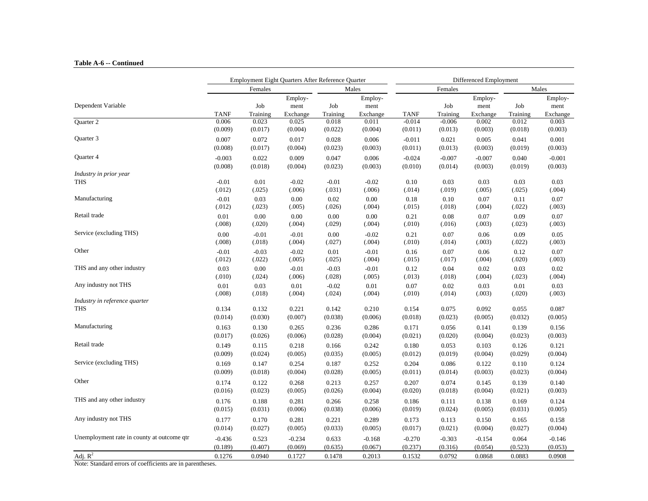#### **Table A-6 -- Continued**

|                                            |                  |                  | Employment Eight Quarters After Reference Quarter |                  |                             |                             |                     | Differenced Employment      |                  |                             |
|--------------------------------------------|------------------|------------------|---------------------------------------------------|------------------|-----------------------------|-----------------------------|---------------------|-----------------------------|------------------|-----------------------------|
|                                            |                  | Females          |                                                   |                  | Males                       |                             | Females             |                             |                  | Males                       |
| Dependent Variable                         | <b>TANF</b>      | Job<br>Training  | Employ-<br>ment<br>Exchange                       | Job<br>Training  | Employ-<br>ment<br>Exchange |                             | Job<br>Training     | Employ-<br>ment<br>Exchange | Job<br>Training  | Employ-<br>ment<br>Exchange |
| Quarter 2                                  | 0.006<br>(0.009) | 0.023<br>(0.017) | 0.025<br>(0.004)                                  | 0.018<br>(0.022) | 0.011<br>(0.004)            | TANF<br>$-0.014$<br>(0.011) | $-0.006$<br>(0.013) | 0.002<br>(0.003)            | 0.012<br>(0.018) | 0.003<br>(0.003)            |
| Quarter 3                                  |                  |                  |                                                   |                  |                             |                             |                     |                             |                  |                             |
|                                            | 0.007            | 0.072            | 0.017                                             | 0.028            | 0.006                       | $-0.011$                    | 0.021               | 0.005                       | 0.041            | 0.001                       |
|                                            | (0.008)          | (0.017)          | (0.004)                                           | (0.023)          | (0.003)                     | (0.011)                     | (0.013)             | (0.003)                     | (0.019)          | (0.003)                     |
| Quarter 4                                  | $-0.003$         | 0.022            | 0.009                                             | 0.047            | 0.006                       | $-0.024$                    | $-0.007$            | $-0.007$                    | 0.040            | $-0.001$                    |
|                                            | (0.008)          | (0.018)          | (0.004)                                           | (0.023)          | (0.003)                     | (0.010)                     | (0.014)             | (0.003)                     | (0.019)          | (0.003)                     |
| Industry in prior year                     |                  |                  |                                                   |                  |                             |                             |                     |                             |                  |                             |
| <b>THS</b>                                 | $-0.01$          | 0.01             | $-0.02$                                           | $-0.01$          | $-0.02$                     | 0.10                        | 0.03                | 0.03                        | 0.03             | 0.03                        |
|                                            | (.012)           | (.025)           | (.006)                                            | (.031)           | (.006)                      | (.014)                      | (.019)              | (.005)                      | (.025)           | (.004)                      |
| Manufacturing                              | $-0.01$          | 0.03             | 0.00                                              | 0.02             | 0.00                        | 0.18                        | 0.10                | 0.07                        | 0.11             | 0.07                        |
|                                            | (.012)           | (.023)           | (.005)                                            | (.026)           | (.004)                      | (.015)                      | (.018)              | (.004)                      | (.022)           | (.003)                      |
| Retail trade                               | 0.01             | 0.00             | 0.00                                              | 0.00             | 0.00                        | 0.21                        | 0.08                | 0.07                        | 0.09             | 0.07                        |
|                                            | (.008)           | (.020)           | (.004)                                            | (.029)           | (.004)                      | (.010)                      | (.016)              | (.003)                      | (.023)           | (.003)                      |
| Service (excluding THS)                    | 0.00             | $-0.01$          | $-0.01$                                           | 0.00             | $-0.02$                     | 0.21                        | 0.07                | 0.06                        | 0.09             | 0.05                        |
|                                            | (.008)           | (.018)           | (.004)                                            | (.027)           | (.004)                      | (.010)                      | (.014)              | (.003)                      | (.022)           | (.003)                      |
| Other                                      | $-0.01$          | $-0.03$          | $-0.02$                                           | 0.01             | $-0.01$                     | 0.16                        | 0.07                | 0.06                        | 0.12             | 0.07                        |
|                                            | (.012)           | (.022)           | (.005)                                            | (.025)           | (.004)                      | (.015)                      | (.017)              | (.004)                      | (.020)           | (.003)                      |
| THS and any other industry                 | 0.03             | 0.00             | $-0.01$                                           | $-0.03$          | $-0.01$                     | 0.12                        | 0.04                | 0.02                        | 0.03             | 0.02                        |
|                                            | (.010)           | (.024)           | (.006)                                            | (.028)           | (.005)                      | (.013)                      | (.018)              | (.004)                      | (.023)           | (.004)                      |
| Any industry not THS                       | $0.01\,$         | 0.03             | $0.01\,$                                          | $-0.02$          | $0.01\,$                    | 0.07                        | 0.02                | 0.03                        | 0.01             | 0.03                        |
|                                            | (.008)           | (.018)           | (.004)                                            | (.024)           | (.004)                      | (.010)                      | (.014)              | (.003)                      | (.020)           | (.003)                      |
| Industry in reference quarter              | 0.134            | 0.132            | 0.221                                             | 0.142            | 0.210                       | 0.154                       | 0.075               | 0.092                       | 0.055            | 0.087                       |
| <b>THS</b>                                 | (0.014)          | (0.030)          | (0.007)                                           | (0.038)          | (0.006)                     | (0.018)                     | (0.023)             | (0.005)                     | (0.032)          | (0.005)                     |
| Manufacturing                              | 0.163            | 0.130            | 0.265                                             | 0.236            | 0.286                       | 0.171                       | 0.056               | 0.141                       | 0.139            | 0.156                       |
|                                            | (0.017)          | (0.026)          | (0.006)                                           | (0.028)          | (0.004)                     | (0.021)                     | (0.020)             | (0.004)                     | (0.023)          | (0.003)                     |
| Retail trade                               | 0.149            | 0.115            | 0.218                                             | 0.166            | 0.242                       | 0.180                       | 0.053               | 0.103                       | 0.126            | 0.121                       |
|                                            | (0.009)          | (0.024)          | (0.005)                                           | (0.035)          | (0.005)                     | (0.012)                     | (0.019)             | (0.004)                     | (0.029)          | (0.004)                     |
| Service (excluding THS)                    | 0.169            | 0.147            | 0.254                                             | 0.187            | 0.252                       | 0.204                       | 0.086               | 0.122                       | 0.110            | 0.124                       |
|                                            | (0.009)          | (0.018)          | (0.004)                                           | (0.028)          | (0.005)                     | (0.011)                     | (0.014)             | (0.003)                     | (0.023)          | (0.004)                     |
| Other                                      | 0.174            | 0.122            | 0.268                                             | 0.213            | 0.257                       | 0.207                       | 0.074               | 0.145                       | 0.139            | 0.140                       |
|                                            | (0.016)          | (0.023)          | (0.005)                                           | (0.026)          | (0.004)                     | (0.020)                     | (0.018)             | (0.004)                     | (0.021)          | (0.003)                     |
| THS and any other industry                 | 0.176            | 0.188            | 0.281                                             | 0.266            | 0.258                       | 0.186                       | 0.111               | 0.138                       | 0.169            | 0.124                       |
|                                            | (0.015)          | (0.031)          | (0.006)                                           | (0.038)          | (0.006)                     | (0.019)                     | (0.024)             | (0.005)                     | (0.031)          | (0.005)                     |
| Any industry not THS                       | 0.177            | 0.170            | 0.281                                             | 0.221            | 0.289                       | 0.173                       | 0.113               | 0.150                       | 0.165            | 0.158                       |
|                                            | (0.014)          | (0.027)          | (0.005)                                           | (0.033)          | (0.005)                     | (0.017)                     | (0.021)             | (0.004)                     | (0.027)          | (0.004)                     |
| Unemployment rate in county at outcome qtr | $-0.436$         | 0.523            | $-0.234$                                          | 0.633            | $-0.168$                    | $-0.270$                    | $-0.303$            | $-0.154$                    | 0.064            | $-0.146$                    |
|                                            | (0.189)          | (0.407)          | (0.069)                                           | (0.635)          | (0.067)                     | (0.237)                     | (0.316)             | (0.054)                     | (0.523)          | (0.053)                     |
| Adj. $R^2$                                 | 0.1276           | 0.0940           | 0.1727                                            | 0.1478           | 0.2013                      | 0.1532                      | 0.0792              | 0.0868                      | 0.0883           | 0.0908                      |

Note: Standard errors of coefficients are in parentheses.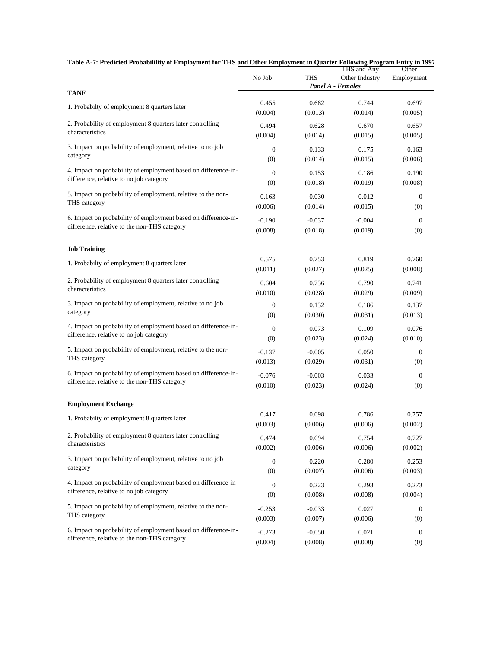|                                                                | No Job           | THS      | THS and Any<br>Other Industry | Other<br>Employment |
|----------------------------------------------------------------|------------------|----------|-------------------------------|---------------------|
| <b>TANF</b>                                                    |                  |          | Panel A - Females             |                     |
| 1. Probabilty of employment 8 quarters later                   | 0.455            | 0.682    | 0.744                         | 0.697               |
|                                                                | (0.004)          | (0.013)  | (0.014)                       | (0.005)             |
| 2. Probability of employment 8 quarters later controlling      | 0.494            | 0.628    | 0.670                         | 0.657               |
| characteristics                                                | (0.004)          | (0.014)  | (0.015)                       | (0.005)             |
| 3. Impact on probability of employment, relative to no job     | $\mathbf{0}$     | 0.133    | 0.175                         | 0.163               |
| category                                                       | (0)              | (0.014)  | (0.015)                       | (0.006)             |
| 4. Impact on probability of employment based on difference-in- | $\overline{0}$   | 0.153    | 0.186                         | 0.190               |
| difference, relative to no job category                        | (0)              | (0.018)  | (0.019)                       | (0.008)             |
| 5. Impact on probability of employment, relative to the non-   | $-0.163$         | $-0.030$ | 0.012                         | $\mathbf{0}$        |
| THS category                                                   | (0.006)          | (0.014)  | (0.015)                       | (0)                 |
| 6. Impact on probability of employment based on difference-in- | $-0.190$         | $-0.037$ | $-0.004$                      | $\mathbf{0}$        |
| difference, relative to the non-THS category                   | (0.008)          | (0.018)  | (0.019)                       | (0)                 |
| <b>Job Training</b>                                            |                  |          |                               |                     |
| 1. Probabilty of employment 8 quarters later                   | 0.575            | 0.753    | 0.819                         | 0.760               |
|                                                                | (0.011)          | (0.027)  | (0.025)                       | (0.008)             |
| 2. Probability of employment 8 quarters later controlling      | 0.604            | 0.736    | 0.790                         | 0.741               |
| characteristics                                                | (0.010)          | (0.028)  | (0.029)                       | (0.009)             |
| 3. Impact on probability of employment, relative to no job     | $\mathbf{0}$     | 0.132    | 0.186                         | 0.137               |
| category                                                       | (0)              | (0.030)  | (0.031)                       | (0.013)             |
| 4. Impact on probability of employment based on difference-in- | $\mathbf{0}$     | 0.073    | 0.109                         | 0.076               |
| difference, relative to no job category                        | (0)              | (0.023)  | (0.024)                       | (0.010)             |
| 5. Impact on probability of employment, relative to the non-   | $-0.137$         | $-0.005$ | 0.050                         | $\boldsymbol{0}$    |
| THS category                                                   | (0.013)          | (0.029)  | (0.031)                       | (0)                 |
| 6. Impact on probability of employment based on difference-in- | $-0.076$         | $-0.003$ | 0.033                         | $\mathbf{0}$        |
| difference, relative to the non-THS category                   | (0.010)          | (0.023)  | (0.024)                       | (0)                 |
| <b>Employment Exchange</b>                                     |                  |          |                               |                     |
| 1. Probabilty of employment 8 quarters later                   | 0.417            | 0.698    | 0.786                         | 0.757               |
|                                                                | (0.003)          | (0.006)  | (0.006)                       | (0.002)             |
| 2. Probability of employment 8 quarters later controlling      | 0.474            | 0.694    | 0.754                         | 0.727               |
| characteristics                                                | (0.002)          | (0.006)  | (0.006)                       | (0.002)             |
| 3. Impact on probability of employment, relative to no job     | $\mathbf{0}$     | 0.220    | 0.280                         | 0.253               |
| category                                                       | (0)              | (0.007)  | (0.006)                       | (0.003)             |
| 4. Impact on probability of employment based on difference-in- | $\boldsymbol{0}$ | 0.223    | 0.293                         | 0.273               |
| difference, relative to no job category                        | (0)              | (0.008)  | (0.008)                       | (0.004)             |
| 5. Impact on probability of employment, relative to the non-   | $-0.253$         | $-0.033$ | 0.027                         | $\bf{0}$            |
| THS category                                                   | (0.003)          | (0.007)  | (0.006)                       | (0)                 |
| 6. Impact on probability of employment based on difference-in- | $-0.273$         | $-0.050$ | 0.021                         | $\boldsymbol{0}$    |
| difference, relative to the non-THS category                   | (0.004)          | (0.008)  | (0.008)                       | (0)                 |

#### **Table A-7: Predicted Probabilility of Employment for THS and Other Employment in Quarter Following Program Entry in 1997**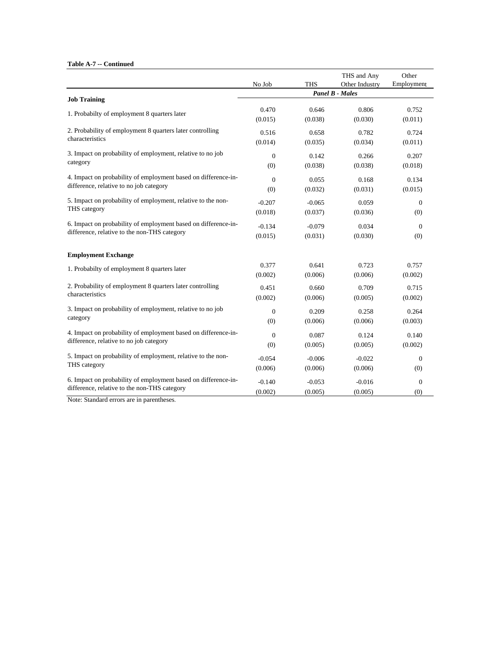|                                                                |                  |            | THS and Any            | Other        |
|----------------------------------------------------------------|------------------|------------|------------------------|--------------|
|                                                                | No Job           | <b>THS</b> | Other Industry         | Employment   |
| <b>Job Training</b>                                            |                  |            | <b>Panel B - Males</b> |              |
|                                                                | 0.470            | 0.646      | 0.806                  | 0.752        |
| 1. Probabilty of employment 8 quarters later                   | (0.015)          | (0.038)    | (0.030)                | (0.011)      |
| 2. Probability of employment 8 quarters later controlling      | 0.516            | 0.658      | 0.782                  | 0.724        |
| characteristics                                                | (0.014)          | (0.035)    | (0.034)                | (0.011)      |
| 3. Impact on probability of employment, relative to no job     | $\theta$         | 0.142      | 0.266                  | 0.207        |
| category                                                       | (0)              | (0.038)    | (0.038)                | (0.018)      |
| 4. Impact on probability of employment based on difference-in- | $\mathbf{0}$     | 0.055      | 0.168                  | 0.134        |
| difference, relative to no job category                        | (0)              | (0.032)    | (0.031)                | (0.015)      |
| 5. Impact on probability of employment, relative to the non-   | $-0.207$         | $-0.065$   | 0.059                  | $\mathbf{0}$ |
| THS category                                                   | (0.018)          | (0.037)    | (0.036)                | (0)          |
| 6. Impact on probability of employment based on difference-in- | $-0.134$         | $-0.079$   | 0.034                  | $\mathbf{0}$ |
| difference, relative to the non-THS category                   | (0.015)          | (0.031)    | (0.030)                | (0)          |
| <b>Employment Exchange</b>                                     |                  |            |                        |              |
| 1. Probabilty of employment 8 quarters later                   | 0.377            | 0.641      | 0.723                  | 0.757        |
|                                                                | (0.002)          | (0.006)    | (0.006)                | (0.002)      |
| 2. Probability of employment 8 quarters later controlling      | 0.451            | 0.660      | 0.709                  | 0.715        |
| characteristics                                                | (0.002)          | (0.006)    | (0.005)                | (0.002)      |
| 3. Impact on probability of employment, relative to no job     | $\boldsymbol{0}$ | 0.209      | 0.258                  | 0.264        |
| category                                                       | (0)              | (0.006)    | (0.006)                | (0.003)      |
| 4. Impact on probability of employment based on difference-in- | $\mathbf{0}$     | 0.087      | 0.124                  | 0.140        |
| difference, relative to no job category                        | (0)              | (0.005)    | (0.005)                | (0.002)      |
| 5. Impact on probability of employment, relative to the non-   | $-0.054$         | $-0.006$   | $-0.022$               | $\mathbf{0}$ |
| THS category                                                   | (0.006)          | (0.006)    | (0.006)                | (0)          |
| 6. Impact on probability of employment based on difference-in- | $-0.140$         | $-0.053$   | $-0.016$               | $\theta$     |
| difference, relative to the non-THS category                   | (0.002)          | (0.005)    | (0.005)                | (0)          |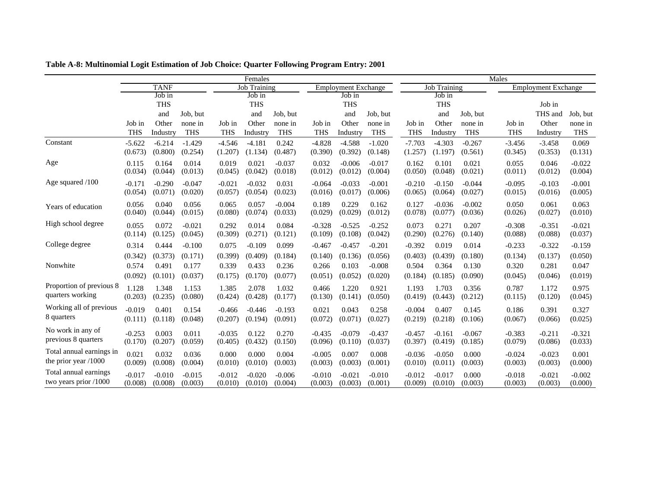|                                                  | Females             |                     |                     |                     |                     |                     |                     |                            |                     |                     |                     | Males               |                     |                            |                     |
|--------------------------------------------------|---------------------|---------------------|---------------------|---------------------|---------------------|---------------------|---------------------|----------------------------|---------------------|---------------------|---------------------|---------------------|---------------------|----------------------------|---------------------|
|                                                  |                     | <b>TANF</b>         |                     |                     | Job Training        |                     |                     | <b>Employment Exchange</b> |                     |                     | <b>Job Training</b> |                     |                     | <b>Employment Exchange</b> |                     |
|                                                  |                     | Job in              |                     |                     | Job in              |                     |                     | Job in                     |                     |                     | Job in              |                     |                     |                            |                     |
|                                                  |                     | <b>THS</b>          |                     |                     | <b>THS</b>          |                     |                     | <b>THS</b>                 |                     |                     | <b>THS</b>          |                     |                     | Job in                     |                     |
|                                                  |                     | and                 | Job, but            |                     | and                 | Job, but            |                     | and                        | Job. but            |                     | and                 | Job, but            |                     | THS and                    | Job, but            |
|                                                  | Job in              | Other               | none in             | Job in              | Other               | none in             | Job in              | Other                      | none in             | Job in              | Other               | none in             | Job in              | Other                      | none in             |
|                                                  | <b>THS</b>          | Industry            | <b>THS</b>          | <b>THS</b>          | Industry            | <b>THS</b>          | <b>THS</b>          | Industry                   | <b>THS</b>          | <b>THS</b>          | Industry            | <b>THS</b>          | <b>THS</b>          | Industry                   | <b>THS</b>          |
| Constant                                         | $-5.622$<br>(0.673) | $-6.214$<br>(0.800) | $-1.429$<br>(0.254) | $-4.546$<br>(1.207) | $-4.181$<br>(1.134) | 0.242<br>(0.487)    | $-4.828$<br>(0.390) | $-4.588$<br>(0.392)        | $-1.020$<br>(0.148) | $-7.703$<br>(1.257) | $-4.303$<br>(1.197) | $-0.267$<br>(0.561) | $-3.456$<br>(0.345) | $-3.458$<br>(0.353)        | 0.069<br>(0.131)    |
| Age                                              | 0.115<br>(0.034)    | 0.164<br>(0.044)    | 0.014<br>(0.013)    | 0.019<br>(0.045)    | 0.021<br>(0.042)    | $-0.037$<br>(0.018) | 0.032<br>(0.012)    | $-0.006$<br>(0.012)        | $-0.017$<br>(0.004) | 0.162<br>(0.050)    | 0.101<br>(0.048)    | 0.021<br>(0.021)    | 0.055<br>(0.011)    | 0.046<br>(0.012)           | $-0.022$<br>(0.004) |
| Age squared /100                                 | $-0.171$<br>(0.054) | $-0.290$<br>(0.071) | $-0.047$<br>(0.020) | $-0.021$<br>(0.057) | $-0.032$<br>(0.054) | 0.031<br>(0.023)    | $-0.064$<br>(0.016) | $-0.033$<br>(0.017)        | $-0.001$<br>(0.006) | $-0.210$<br>(0.065) | $-0.150$<br>(0.064) | $-0.044$<br>(0.027) | $-0.095$<br>(0.015) | $-0.103$<br>(0.016)        | $-0.001$<br>(0.005) |
| Years of education                               | 0.056<br>(0.040)    | 0.040<br>(0.044)    | 0.056<br>(0.015)    | 0.065<br>(0.080)    | 0.057<br>(0.074)    | $-0.004$<br>(0.033) | 0.189<br>(0.029)    | 0.229<br>(0.029)           | 0.162<br>(0.012)    | 0.127<br>(0.078)    | $-0.036$<br>(0.077) | $-0.002$<br>(0.036) | 0.050<br>(0.026)    | 0.061<br>(0.027)           | 0.063<br>(0.010)    |
| High school degree                               | 0.055<br>(0.114)    | 0.072<br>(0.125)    | $-0.021$<br>(0.045) | 0.292<br>(0.309)    | 0.014<br>(0.271)    | 0.084<br>(0.121)    | $-0.328$<br>(0.109) | $-0.525$<br>(0.108)        | $-0.252$<br>(0.042) | 0.073<br>(0.290)    | 0.271<br>(0.276)    | 0.207<br>(0.140)    | $-0.308$<br>(0.088) | $-0.351$<br>(0.088)        | $-0.021$<br>(0.037) |
| College degree                                   | 0.314               | 0.444               | $-0.100$            | 0.075               | $-0.109$            | 0.099               | $-0.467$            | $-0.457$                   | $-0.201$            | $-0.392$            | 0.019               | 0.014               | $-0.233$            | $-0.322$                   | $-0.159$            |
|                                                  | (0.342)             | (0.373)             | (0.171)             | (0.399)             | (0.409)             | (0.184)             | (0.140)             | (0.136)                    | (0.056)             | (0.403)             | (0.439)             | (0.180)             | (0.134)             | (0.137)                    | (0.050)             |
| Nonwhite                                         | 0.574               | 0.491               | 0.177               | 0.339               | 0.433               | 0.236               | 0.266               | 0.103                      | $-0.008$            | 0.504               | 0.364               | 0.130               | 0.320               | 0.281                      | 0.047               |
|                                                  | (0.092)             | (0.101)             | (0.037)             | (0.175)             | (0.170)             | (0.077)             | (0.051)             | (0.052)                    | (0.020)             | (0.184)             | (0.185)             | (0.090)             | (0.045)             | (0.046)                    | (0.019)             |
| Proportion of previous 8<br>quarters working     | 1.128<br>(0.203)    | 1.348<br>(0.235)    | 1.153<br>(0.080)    | 1.385<br>(0.424)    | 2.078<br>(0.428)    | 1.032<br>(0.177)    | 0.466<br>(0.130)    | 1.220<br>(0.141)           | 0.921<br>(0.050)    | 1.193<br>(0.419)    | 1.703<br>(0.443)    | 0.356<br>(0.212)    | 0.787<br>(0.115)    | 1.172<br>(0.120)           | 0.975<br>(0.045)    |
| Working all of previous<br>8 quarters            | $-0.019$<br>(0.111) | 0.401<br>(0.118)    | 0.154<br>(0.048)    | $-0.466$<br>(0.207) | $-0.446$<br>(0.194) | $-0.193$<br>(0.091) | 0.021<br>(0.072)    | 0.043<br>(0.071)           | 0.258<br>(0.027)    | $-0.004$<br>(0.219) | 0.407<br>(0.218)    | 0.145<br>(0.106)    | 0.186<br>(0.067)    | 0.391<br>(0.066)           | 0.327<br>(0.025)    |
| No work in any of<br>previous 8 quarters         | $-0.253$<br>(0.170) | 0.003<br>(0.207)    | 0.011<br>(0.059)    | $-0.035$<br>(0.405) | 0.122<br>(0.432)    | 0.270<br>(0.150)    | $-0.435$<br>(0.096) | $-0.079$<br>(0.110)        | $-0.437$<br>(0.037) | $-0.457$<br>(0.397) | $-0.161$<br>(0.419) | $-0.067$<br>(0.185) | $-0.383$<br>(0.079) | $-0.211$<br>(0.086)        | $-0.321$<br>(0.033) |
| Total annual earnings in<br>the prior year /1000 | 0.021<br>(0.009)    | 0.032<br>(0.008)    | 0.036<br>(0.004)    | 0.000<br>(0.010)    | 0.000<br>(0.010)    | 0.004<br>(0.003)    | $-0.005$<br>(0.003) | 0.007<br>(0.003)           | 0.008<br>(0.001)    | $-0.036$<br>(0.010) | $-0.050$<br>(0.011) | 0.000<br>(0.003)    | $-0.024$<br>(0.003) | $-0.023$<br>(0.003)        | 0.001<br>(0.000)    |
| Total annual earnings<br>two years prior /1000   | $-0.017$<br>(0.008) | $-0.010$<br>(0.008) | $-0.015$<br>(0.003) | $-0.012$<br>(0.010) | $-0.020$<br>(0.010) | $-0.006$<br>(0.004) | $-0.010$<br>(0.003) | $-0.021$<br>(0.003)        | $-0.010$<br>(0.001) | $-0.012$<br>(0.009) | $-0.017$<br>(0.010) | 0.000<br>(0.003)    | $-0.018$<br>(0.003) | $-0.021$<br>(0.003)        | $-0.002$<br>(0.000) |

**Table A-8: Multinomial Logit Estimation of Job Choice: Quarter Following Program Entry: 2001**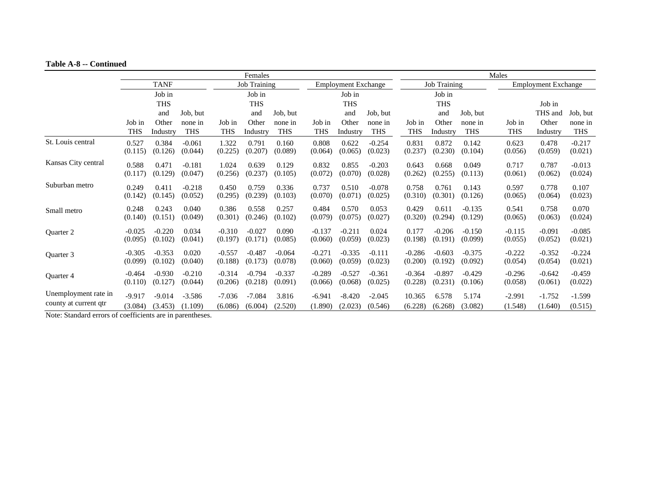#### **Table A-8 -- Continued**

|                                 | Females             |                     |                     |                     |                     |                     |                     |                            |                     |                     | Males               |                     |                     |                            |                     |
|---------------------------------|---------------------|---------------------|---------------------|---------------------|---------------------|---------------------|---------------------|----------------------------|---------------------|---------------------|---------------------|---------------------|---------------------|----------------------------|---------------------|
|                                 |                     | <b>TANF</b>         |                     |                     | <b>Job Training</b> |                     |                     | <b>Employment Exchange</b> |                     |                     | <b>Job Training</b> |                     |                     | <b>Employment Exchange</b> |                     |
|                                 |                     | Job in              |                     |                     | Job in              |                     |                     | Job in                     |                     |                     | Job in              |                     |                     |                            |                     |
|                                 |                     | <b>THS</b>          |                     |                     | <b>THS</b>          |                     |                     | <b>THS</b>                 |                     |                     | <b>THS</b>          |                     |                     | Job in                     |                     |
|                                 |                     | and                 | Job, but            |                     | and                 | Job, but            |                     | and                        | Job, but            |                     | and                 | Job, but            |                     | THS and                    | Job, but            |
|                                 | Job in              | Other               | none in             | Job in              | Other               | none in             | Job in              | Other                      | none in             | Job in              | Other               | none in             | Job in              | Other                      | none in             |
|                                 | <b>THS</b>          | Industry            | <b>THS</b>          | <b>THS</b>          | Industry            | <b>THS</b>          | THS                 | Industry                   | <b>THS</b>          | <b>THS</b>          | Industry            | <b>THS</b>          | <b>THS</b>          | Industry                   | <b>THS</b>          |
| St. Louis central               | 0.527<br>(0.115)    | 0.384<br>(0.126)    | $-0.061$<br>(0.044) | 1.322<br>(0.225)    | 0.791<br>(0.207)    | 0.160<br>(0.089)    | 0.808<br>(0.064)    | 0.622<br>(0.065)           | $-0.254$<br>(0.023) | 0.831<br>(0.237)    | 0.872<br>(0.230)    | 0.142<br>(0.104)    | 0.623<br>(0.056)    | 0.478<br>(0.059)           | $-0.217$<br>(0.021) |
| Kansas City central             | 0.588<br>(0.117)    | 0.471<br>(0.129)    | $-0.181$<br>(0.047) | 1.024<br>(0.256)    | 0.639<br>(0.237)    | 0.129<br>(0.105)    | 0.832<br>(0.072)    | 0.855<br>(0.070)           | $-0.203$<br>(0.028) | 0.643<br>(0.262)    | 0.668<br>(0.255)    | 0.049<br>(0.113)    | 0.717<br>(0.061)    | 0.787<br>(0.062)           | $-0.013$<br>(0.024) |
| Suburban metro                  | 0.249<br>(0.142)    | 0.411<br>(0.145)    | $-0.218$<br>(0.052) | 0.450<br>(0.295)    | 0.759<br>(0.239)    | 0.336<br>(0.103)    | 0.737<br>(0.070)    | 0.510<br>(0.071)           | $-0.078$<br>(0.025) | 0.758<br>(0.310)    | 0.761<br>(0.301)    | 0.143<br>(0.126)    | 0.597<br>(0.065)    | 0.778<br>(0.064)           | 0.107<br>(0.023)    |
| Small metro                     | 0.248<br>(0.140)    | 0.243<br>(0.151)    | 0.040<br>(0.049)    | 0.386<br>(0.301)    | 0.558<br>(0.246)    | 0.257<br>(0.102)    | 0.484<br>(0.079)    | 0.570<br>(0.075)           | 0.053<br>(0.027)    | 0.429<br>(0.320)    | 0.611<br>(0.294)    | $-0.135$<br>(0.129) | 0.541<br>(0.065)    | 0.758<br>(0.063)           | 0.070<br>(0.024)    |
| Quarter 2                       | $-0.025$<br>(0.095) | $-0.220$<br>(0.102) | 0.034<br>(0.041)    | $-0.310$<br>(0.197) | $-0.027$<br>(0.171) | 0.090<br>(0.085)    | $-0.137$<br>(0.060) | $-0.211$<br>(0.059)        | 0.024<br>(0.023)    | 0.177<br>(0.198)    | $-0.206$<br>(0.191) | $-0.150$<br>(0.099) | $-0.115$<br>(0.055) | $-0.091$<br>(0.052)        | $-0.085$<br>(0.021) |
| Quarter 3                       | $-0.305$<br>(0.099) | $-0.353$<br>(0.102) | 0.020<br>(0.040)    | $-0.557$<br>(0.188) | $-0.487$<br>(0.173) | $-0.064$<br>(0.078) | $-0.271$<br>(0.060) | $-0.335$<br>(0.059)        | $-0.111$<br>(0.023) | $-0.286$<br>(0.200) | $-0.603$<br>(0.192) | $-0.375$<br>(0.092) | $-0.222$<br>(0.054) | $-0.352$<br>(0.054)        | $-0.224$<br>(0.021) |
| Quarter 4                       | $-0.464$<br>(0.110) | $-0.930$<br>(0.127) | $-0.210$<br>(0.044) | $-0.314$<br>(0.206) | $-0.794$<br>(0.218) | $-0.337$<br>(0.091) | $-0.289$<br>(0.066) | $-0.527$<br>(0.068)        | $-0.361$<br>(0.025) | $-0.364$<br>(0.228) | $-0.897$<br>(0.231) | $-0.429$<br>(0.106) | $-0.296$<br>(0.058) | $-0.642$<br>(0.061)        | $-0.459$<br>(0.022) |
| Unemployment rate in            | $-9.917$            | $-9.014$            | $-3.586$            | $-7.036$            | $-7.084$            | 3.816               | $-6.941$            | $-8.420$                   | $-2.045$            | 10.365              | 6.578               | 5.174               | $-2.991$            | $-1.752$                   | $-1.599$            |
| county at current qtr<br>$\sim$ | (3.084)             | (3.453)             | (1.109)             | (6.086)             | (6.004)             | (2.520)             | (1.890)             | (2.023)                    | (0.546)             | (6.228)             | (6.268)             | (3.082)             | (1.548)             | (1.640)                    | (0.515)             |

Note: Standard errors of coefficients are in parentheses.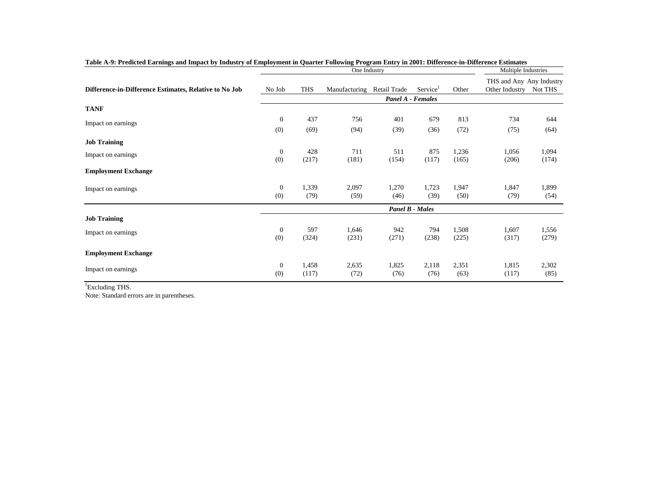|                                                        |                  |       | Multiple Industries |                          |                        |       |                                            |         |
|--------------------------------------------------------|------------------|-------|---------------------|--------------------------|------------------------|-------|--------------------------------------------|---------|
| Difference-in-Difference Estimates, Relative to No Job | No Job           | THS   | Manufacturing       | Retail Trade             | Service <sup>1</sup>   | Other | THS and Any Any Industry<br>Other Industry | Not THS |
|                                                        |                  |       |                     | <b>Panel A - Females</b> |                        |       |                                            |         |
| <b>TANF</b>                                            |                  |       |                     |                          |                        |       |                                            |         |
| Impact on earnings                                     | $\boldsymbol{0}$ | 437   | 756                 | 401                      | 679                    | 813   | 734                                        | 644     |
|                                                        | (0)              | (69)  | (94)                | (39)                     | (36)                   | (72)  | (75)                                       | (64)    |
| <b>Job Training</b>                                    |                  |       |                     |                          |                        |       |                                            |         |
| Impact on earnings                                     | $\mathbf{0}$     | 428   | 711                 | 511                      | 875                    | 1,236 | 1,056                                      | 1,094   |
|                                                        | (0)              | (217) | (181)               | (154)                    | (117)                  | (165) | (206)                                      | (174)   |
| <b>Employment Exchange</b>                             |                  |       |                     |                          |                        |       |                                            |         |
| Impact on earnings                                     | $\boldsymbol{0}$ | 1,339 | 2,097               | 1,270                    | 1,723                  | 1,947 | 1,847                                      | 1,899   |
|                                                        | (0)              | (79)  | (59)                | (46)                     | (39)                   | (50)  | (79)                                       | (54)    |
|                                                        |                  |       |                     |                          | <b>Panel B - Males</b> |       |                                            |         |
| <b>Job Training</b>                                    |                  |       |                     |                          |                        |       |                                            |         |
| Impact on earnings                                     | $\mathbf{0}$     | 597   | 1,646               | 942                      | 794                    | 1,508 | 1,607                                      | 1,556   |
|                                                        | (0)              | (324) | (231)               | (271)                    | (238)                  | (225) | (317)                                      | (279)   |
| <b>Employment Exchange</b>                             |                  |       |                     |                          |                        |       |                                            |         |
| Impact on earnings                                     | $\boldsymbol{0}$ | 1,458 | 2,635               | 1,825                    | 2,118                  | 2,351 | 1,815                                      | 2,302   |
|                                                        | (0)              | (117) | (72)                | (76)                     | (76)                   | (63)  | (117)                                      | (85)    |

|  |  |  |  |  |  | Table A-9: Predicted Earnings and Impact by Industry of Employment in Quarter Following Program Entry in 2001: Difference-in-Difference Estimates |
|--|--|--|--|--|--|---------------------------------------------------------------------------------------------------------------------------------------------------|
|--|--|--|--|--|--|---------------------------------------------------------------------------------------------------------------------------------------------------|

<sup>1</sup>Excluding THS.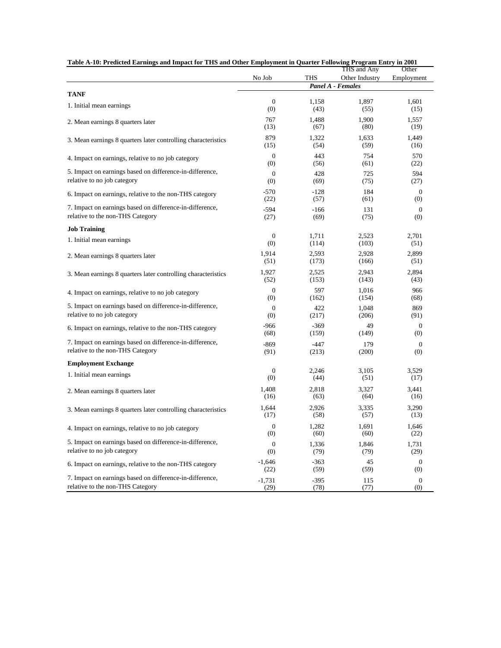| Table A-10: Predicted Earnings and Impact for THS and Other Employment in Quarter Following Program Entry in 2001 |                  |            | THS and Any       | Other            |
|-------------------------------------------------------------------------------------------------------------------|------------------|------------|-------------------|------------------|
|                                                                                                                   | No Job           | <b>THS</b> | Other Industry    | Employment       |
|                                                                                                                   |                  |            | Panel A - Females |                  |
| <b>TANF</b>                                                                                                       | $\mathbf{0}$     | 1,158      | 1,897             | 1,601            |
| 1. Initial mean earnings                                                                                          | (0)              | (43)       | (55)              | (15)             |
| 2. Mean earnings 8 quarters later                                                                                 | 767              | 1,488      | 1,900             | 1,557            |
|                                                                                                                   | (13)             | (67)       | (80)              | (19)             |
| 3. Mean earnings 8 quarters later controlling characteristics                                                     | 879              | 1,322      | 1,633             | 1,449            |
|                                                                                                                   | (15)             | (54)       | (59)              | (16)             |
| 4. Impact on earnings, relative to no job category                                                                | $\mathbf{0}$     | 443        | 754               | 570              |
|                                                                                                                   | (0)              | (56)       | (61)              | (22)             |
| 5. Impact on earnings based on difference-in-difference,                                                          | $\boldsymbol{0}$ | 428        | 725               | 594              |
| relative to no job category                                                                                       | (0)              | (69)       | (75)              | (27)             |
| 6. Impact on earnings, relative to the non-THS category                                                           | $-570$           | $-128$     | 184               | $\mathbf{0}$     |
|                                                                                                                   | (22)             | (57)       | (61)              | (0)              |
| 7. Impact on earnings based on difference-in-difference,                                                          | $-594$           | $-166$     | 131               | $\mathbf{0}$     |
| relative to the non-THS Category                                                                                  | (27)             | (69)       | (75)              | (0)              |
| <b>Job Training</b>                                                                                               |                  |            |                   |                  |
| 1. Initial mean earnings                                                                                          | $\mathbf{0}$     | 1,711      | 2,523             | 2,701            |
|                                                                                                                   | (0)              | (114)      | (103)             | (51)             |
| 2. Mean earnings 8 quarters later                                                                                 | 1,914            | 2,593      | 2,928             | 2,899            |
|                                                                                                                   | (51)             | (173)      | (166)             | (51)             |
| 3. Mean earnings 8 quarters later controlling characteristics                                                     | 1,927            | 2,525      | 2,943             | 2,894            |
|                                                                                                                   | (52)             | (153)      | (143)             | (43)             |
| 4. Impact on earnings, relative to no job category                                                                | $\mathbf{0}$     | 597        | 1,016             | 966              |
|                                                                                                                   | (0)              | (162)      | (154)             | (68)             |
| 5. Impact on earnings based on difference-in-difference,                                                          | $\boldsymbol{0}$ | 422        | 1,048             | 869              |
| relative to no job category                                                                                       | (0)              | (217)      | (206)             | (91)             |
| 6. Impact on earnings, relative to the non-THS category                                                           | $-966$           | $-369$     | 49                | $\mathbf{0}$     |
|                                                                                                                   | (68)             | (159)      | (149)             | (0)              |
| 7. Impact on earnings based on difference-in-difference,                                                          | $-869$           | $-447$     | 179               | $\mathbf{0}$     |
| relative to the non-THS Category                                                                                  | (91)             | (213)      | (200)             | (0)              |
| <b>Employment Exchange</b>                                                                                        |                  |            |                   |                  |
| 1. Initial mean earnings                                                                                          | $\mathbf{0}$     | 2,246      | 3,105             | 3,529            |
|                                                                                                                   | (0)              | (44)       | (51)              | (17)             |
| 2. Mean earnings 8 quarters later                                                                                 | 1,408            | 2,818      | 3,327             | 3,441            |
|                                                                                                                   | (16)             | (63)       | (64)              | (16)             |
| 3. Mean earnings 8 quarters later controlling characteristics                                                     | 1,644            | 2,926      | 3,335             | 3,290            |
|                                                                                                                   | (17)             | (58)       | (57)              | (13)             |
| 4. Impact on earnings, relative to no job category                                                                | $\boldsymbol{0}$ | 1,282      | 1,691             | 1,646            |
|                                                                                                                   | (0)              | (60)       | (60)              | (22)             |
| 5. Impact on earnings based on difference-in-difference,                                                          | $\mathbf{0}$     | 1,336      | 1,846             | 1,731            |
| relative to no job category                                                                                       | (0)              | (79)       | (79)              | (29)             |
| 6. Impact on earnings, relative to the non-THS category                                                           | $-1,646$         | $-363$     | 45                | $\mathbf{0}$     |
|                                                                                                                   | (22)             | (59)       | (59)              | (0)              |
| 7. Impact on earnings based on difference-in-difference,                                                          | $-1,731$         | $-395$     | 115               | $\boldsymbol{0}$ |
| relative to the non-THS Category                                                                                  | (29)             | (78)       | (77)              | (0)              |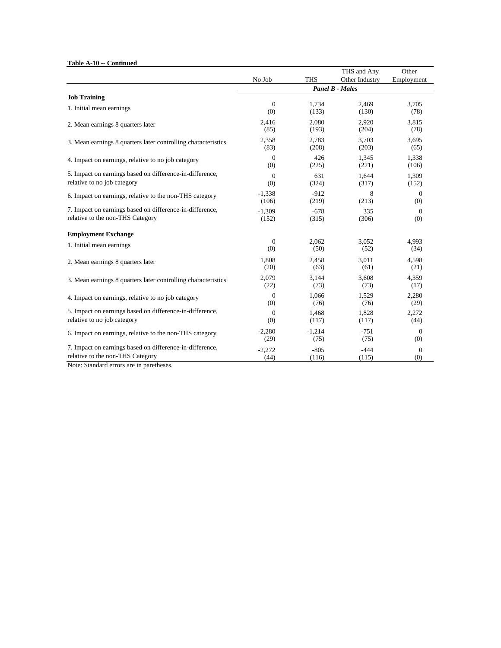**Table A-10 -- Continued**

|                                                               |                  |            | THS and Any            | Other          |
|---------------------------------------------------------------|------------------|------------|------------------------|----------------|
|                                                               | No Job           | <b>THS</b> | Other Industry         | Employment     |
|                                                               |                  |            | <b>Panel B - Males</b> |                |
| <b>Job Training</b>                                           |                  |            |                        |                |
| 1. Initial mean earnings                                      | $\boldsymbol{0}$ | 1,734      | 2,469                  | 3,705          |
|                                                               | (0)              | (133)      | (130)                  | (78)           |
| 2. Mean earnings 8 quarters later                             | 2,416            | 2,080      | 2,920                  | 3,815          |
|                                                               | (85)             | (193)      | (204)                  | (78)           |
| 3. Mean earnings 8 quarters later controlling characteristics | 2,358            | 2,783      | 3,703                  | 3,695          |
|                                                               | (83)             | (208)      | (203)                  | (65)           |
| 4. Impact on earnings, relative to no job category            | $\mathbf{0}$     | 426        | 1,345                  | 1,338          |
|                                                               | (0)              | (225)      | (221)                  | (106)          |
| 5. Impact on earnings based on difference-in-difference,      | $\theta$         | 631        | 1.644                  | 1,309          |
| relative to no job category                                   | (0)              | (324)      | (317)                  | (152)          |
| 6. Impact on earnings, relative to the non-THS category       | $-1,338$         | $-912$     | 8                      | $\overline{0}$ |
|                                                               | (106)            | (219)      | (213)                  | (0)            |
| 7. Impact on earnings based on difference-in-difference,      | $-1.309$         | $-678$     | 335                    | $\overline{0}$ |
| relative to the non-THS Category                              | (152)            | (315)      | (306)                  | (0)            |
| <b>Employment Exchange</b>                                    |                  |            |                        |                |
| 1. Initial mean earnings                                      | $\mathbf{0}$     | 2,062      | 3,052                  | 4,993          |
|                                                               | (0)              | (50)       | (52)                   | (34)           |
| 2. Mean earnings 8 quarters later                             | 1,808            | 2,458      | 3,011                  | 4,598          |
|                                                               | (20)             | (63)       | (61)                   | (21)           |
| 3. Mean earnings 8 quarters later controlling characteristics | 2,079            | 3,144      | 3,608                  | 4,359          |
|                                                               | (22)             | (73)       | (73)                   | (17)           |
| 4. Impact on earnings, relative to no job category            | $\mathbf{0}$     | 1,066      | 1,529                  | 2,280          |
|                                                               | (0)              | (76)       | (76)                   | (29)           |
| 5. Impact on earnings based on difference-in-difference,      | $\boldsymbol{0}$ | 1,468      | 1,828                  | 2,272          |
| relative to no job category                                   | (0)              | (117)      | (117)                  | (44)           |
| 6. Impact on earnings, relative to the non-THS category       | $-2,280$         | $-1,214$   | $-751$                 | $\theta$       |
|                                                               | (29)             | (75)       | (75)                   | (0)            |
| 7. Impact on earnings based on difference-in-difference,      | $-2,272$         | $-805$     | $-444$                 | $\overline{0}$ |
| relative to the non-THS Category                              | (44)             | (116)      | (115)                  | (0)            |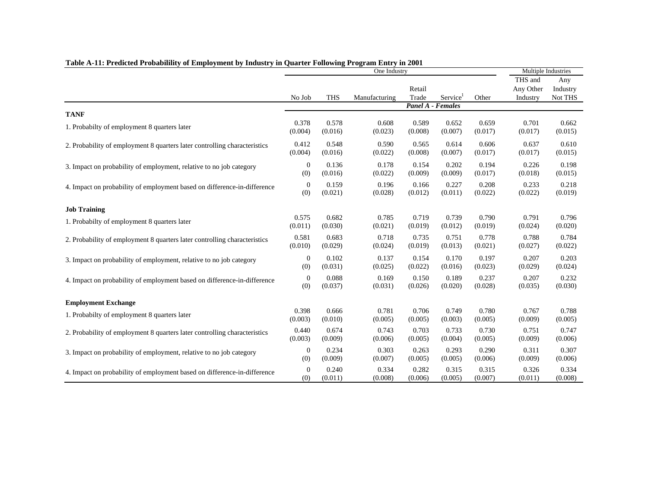|                                                                           |                |            | One Industry  |         |                          |         | Multiple Industries |          |  |
|---------------------------------------------------------------------------|----------------|------------|---------------|---------|--------------------------|---------|---------------------|----------|--|
|                                                                           |                |            |               |         |                          |         | THS and             | Any      |  |
|                                                                           |                |            |               | Retail  |                          |         | Any Other           | Industry |  |
|                                                                           | No Job         | <b>THS</b> | Manufacturing | Trade   | Service                  | Other   | Industry            | Not THS  |  |
| <b>TANF</b>                                                               |                |            |               |         | <b>Panel A - Females</b> |         |                     |          |  |
| 1. Probabilty of employment 8 quarters later                              | 0.378          | 0.578      | 0.608         | 0.589   | 0.652                    | 0.659   | 0.701               | 0.662    |  |
|                                                                           | (0.004)        | (0.016)    | (0.023)       | (0.008) | (0.007)                  | (0.017) | (0.017)             | (0.015)  |  |
| 2. Probability of employment 8 quarters later controlling characteristics | 0.412          | 0.548      | 0.590         | 0.565   | 0.614                    | 0.606   | 0.637               | 0.610    |  |
|                                                                           | (0.004)        | (0.016)    | (0.022)       | (0.008) | (0.007)                  | (0.017) | (0.017)             | (0.015)  |  |
| 3. Impact on probability of employment, relative to no job category       | $\theta$       | 0.136      | 0.178         | 0.154   | 0.202                    | 0.194   | 0.226               | 0.198    |  |
|                                                                           | (0)            | (0.016)    | (0.022)       | (0.009) | (0.009)                  | (0.017) | (0.018)             | (0.015)  |  |
| 4. Impact on probability of employment based on difference-in-difference  | $\theta$       | 0.159      | 0.196         | 0.166   | 0.227                    | 0.208   | 0.233               | 0.218    |  |
|                                                                           | (0)            | (0.021)    | (0.028)       | (0.012) | (0.011)                  | (0.022) | (0.022)             | (0.019)  |  |
| <b>Job Training</b>                                                       |                |            |               |         |                          |         |                     |          |  |
| 1. Probabilty of employment 8 quarters later                              | 0.575          | 0.682      | 0.785         | 0.719   | 0.739                    | 0.790   | 0.791               | 0.796    |  |
|                                                                           | (0.011)        | (0.030)    | (0.021)       | (0.019) | (0.012)                  | (0.019) | (0.024)             | (0.020)  |  |
| 2. Probability of employment 8 quarters later controlling characteristics | 0.581          | 0.683      | 0.718         | 0.735   | 0.751                    | 0.778   | 0.788               | 0.784    |  |
|                                                                           | (0.010)        | (0.029)    | (0.024)       | (0.019) | (0.013)                  | (0.021) | (0.027)             | (0.022)  |  |
| 3. Impact on probability of employment, relative to no job category       | $\mathbf{0}$   | 0.102      | 0.137         | 0.154   | 0.170                    | 0.197   | 0.207               | 0.203    |  |
|                                                                           | (0)            | (0.031)    | (0.025)       | (0.022) | (0.016)                  | (0.023) | (0.029)             | (0.024)  |  |
| 4. Impact on probability of employment based on difference-in-difference  | $\theta$       | 0.088      | 0.169         | 0.150   | 0.189                    | 0.237   | 0.207               | 0.232    |  |
|                                                                           | (0)            | (0.037)    | (0.031)       | (0.026) | (0.020)                  | (0.028) | (0.035)             | (0.030)  |  |
| <b>Employment Exchange</b>                                                |                |            |               |         |                          |         |                     |          |  |
| 1. Probabilty of employment 8 quarters later                              | 0.398          | 0.666      | 0.781         | 0.706   | 0.749                    | 0.780   | 0.767               | 0.788    |  |
|                                                                           | (0.003)        | (0.010)    | (0.005)       | (0.005) | (0.003)                  | (0.005) | (0.009)             | (0.005)  |  |
| 2. Probability of employment 8 quarters later controlling characteristics | 0.440          | 0.674      | 0.743         | 0.703   | 0.733                    | 0.730   | 0.751               | 0.747    |  |
|                                                                           | (0.003)        | (0.009)    | (0.006)       | (0.005) | (0.004)                  | (0.005) | (0.009)             | (0.006)  |  |
| 3. Impact on probability of employment, relative to no job category       | $\mathbf{0}$   | 0.234      | 0.303         | 0.263   | 0.293                    | 0.290   | 0.311               | 0.307    |  |
|                                                                           | (0)            | (0.009)    | (0.007)       | (0.005) | (0.005)                  | (0.006) | (0.009)             | (0.006)  |  |
| 4. Impact on probability of employment based on difference-in-difference  | $\overline{0}$ | 0.240      | 0.334         | 0.282   | 0.315                    | 0.315   | 0.326               | 0.334    |  |
|                                                                           | (0)            | (0.011)    | (0.008)       | (0.006) | (0.005)                  | (0.007) | (0.011)             | (0.008)  |  |

## **Table A-11: Predicted Probabilility of Employment by Industry in Quarter Following Program Entry in 2001**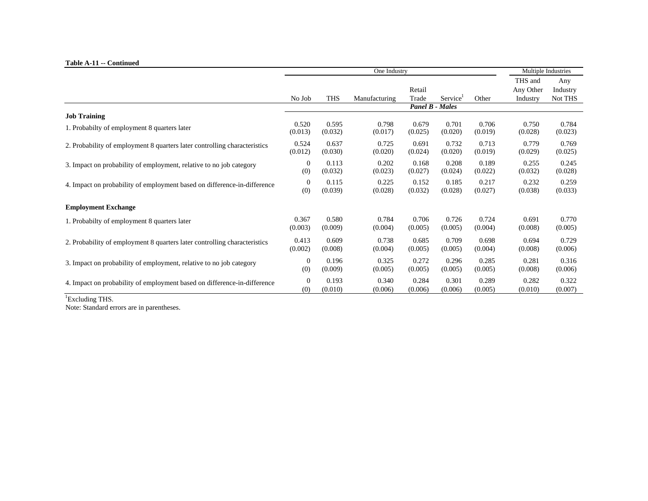#### **Table A-11 -- Continued**

| Table A-11 - Continued                                                    |                |            |               | Multiple Industries                       |                      |         |                                  |                            |
|---------------------------------------------------------------------------|----------------|------------|---------------|-------------------------------------------|----------------------|---------|----------------------------------|----------------------------|
|                                                                           | No Job         | <b>THS</b> | Manufacturing | Retail<br>Trade<br><b>Panel B - Males</b> | Service <sup>1</sup> | Other   | THS and<br>Any Other<br>Industry | Any<br>Industry<br>Not THS |
| <b>Job Training</b>                                                       |                |            |               |                                           |                      |         |                                  |                            |
| 1. Probabilty of employment 8 quarters later                              | 0.520          | 0.595      | 0.798         | 0.679                                     | 0.701                | 0.706   | 0.750                            | 0.784                      |
|                                                                           | (0.013)        | (0.032)    | (0.017)       | (0.025)                                   | (0.020)              | (0.019) | (0.028)                          | (0.023)                    |
| 2. Probability of employment 8 quarters later controlling characteristics | 0.524          | 0.637      | 0.725         | 0.691                                     | 0.732                | 0.713   | 0.779                            | 0.769                      |
|                                                                           | (0.012)        | (0.030)    | (0.020)       | (0.024)                                   | (0.020)              | (0.019) | (0.029)                          | (0.025)                    |
| 3. Impact on probability of employment, relative to no job category       | $\overline{0}$ | 0.113      | 0.202         | 0.168                                     | 0.208                | 0.189   | 0.255                            | 0.245                      |
|                                                                           | (0)            | (0.032)    | (0.023)       | (0.027)                                   | (0.024)              | (0.022) | (0.032)                          | (0.028)                    |
| 4. Impact on probability of employment based on difference-in-difference  | $\overline{0}$ | 0.115      | 0.225         | 0.152                                     | 0.185                | 0.217   | 0.232                            | 0.259                      |
|                                                                           | (0)            | (0.039)    | (0.028)       | (0.032)                                   | (0.028)              | (0.027) | (0.038)                          | (0.033)                    |
| <b>Employment Exchange</b>                                                |                |            |               |                                           |                      |         |                                  |                            |
| 1. Probabilty of employment 8 quarters later                              | 0.367          | 0.580      | 0.784         | 0.706                                     | 0.726                | 0.724   | 0.691                            | 0.770                      |
|                                                                           | (0.003)        | (0.009)    | (0.004)       | (0.005)                                   | (0.005)              | (0.004) | (0.008)                          | (0.005)                    |
| 2. Probability of employment 8 quarters later controlling characteristics | 0.413          | 0.609      | 0.738         | 0.685                                     | 0.709                | 0.698   | 0.694                            | 0.729                      |
|                                                                           | (0.002)        | (0.008)    | (0.004)       | (0.005)                                   | (0.005)              | (0.004) | (0.008)                          | (0.006)                    |
| 3. Impact on probability of employment, relative to no job category       | 0              | 0.196      | 0.325         | 0.272                                     | 0.296                | 0.285   | 0.281                            | 0.316                      |
|                                                                           | (0)            | (0.009)    | (0.005)       | (0.005)                                   | (0.005)              | (0.005) | (0.008)                          | (0.006)                    |
| 4. Impact on probability of employment based on difference-in-difference  | 0              | 0.193      | 0.340         | 0.284                                     | 0.301                | 0.289   | 0.282                            | 0.322                      |
|                                                                           | (0)            | (0.010)    | (0.006)       | (0.006)                                   | (0.006)              | (0.005) | (0.010)                          | (0.007)                    |

<sup>1</sup>Excluding THS.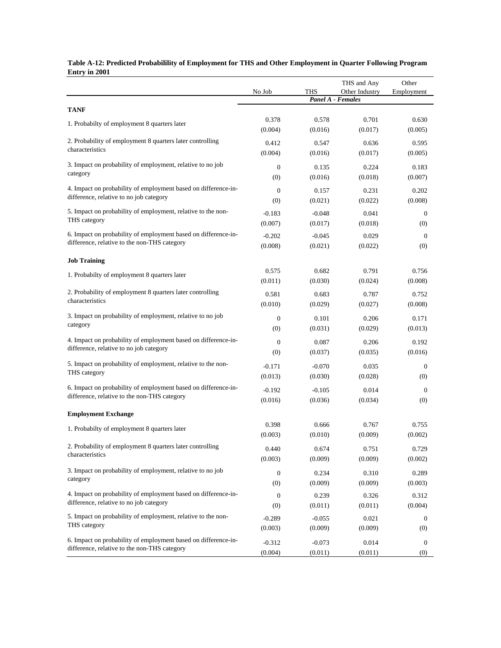| <b>Entry in 2001</b>                                                                                      |                  |                  |                                     |              |
|-----------------------------------------------------------------------------------------------------------|------------------|------------------|-------------------------------------|--------------|
|                                                                                                           |                  |                  | THS and Any                         | Other        |
|                                                                                                           | No Job           | <b>THS</b>       | Other Industry<br>Panel A - Females | Employment   |
| <b>TANF</b>                                                                                               |                  |                  |                                     |              |
|                                                                                                           | 0.378            | 0.578            | 0.701                               | 0.630        |
| 1. Probabilty of employment 8 quarters later                                                              | (0.004)          | (0.016)          | (0.017)                             | (0.005)      |
| 2. Probability of employment 8 quarters later controlling                                                 | 0.412            | 0.547            | 0.636                               | 0.595        |
| characteristics                                                                                           | (0.004)          | (0.016)          | (0.017)                             | (0.005)      |
| 3. Impact on probability of employment, relative to no job                                                |                  |                  |                                     |              |
| category                                                                                                  | $\mathbf{0}$     | 0.135<br>(0.016) | 0.224                               | 0.183        |
|                                                                                                           | (0)              |                  | (0.018)                             | (0.007)      |
| 4. Impact on probability of employment based on difference-in-<br>difference, relative to no job category | $\mathbf{0}$     | 0.157            | 0.231                               | 0.202        |
|                                                                                                           | (0)              | (0.021)          | (0.022)                             | (0.008)      |
| 5. Impact on probability of employment, relative to the non-                                              | $-0.183$         | $-0.048$         | 0.041                               | $\mathbf{0}$ |
| THS category                                                                                              | (0.007)          | (0.017)          | (0.018)                             | (0)          |
| 6. Impact on probability of employment based on difference-in-                                            | $-0.202$         | $-0.045$         | 0.029                               | $\theta$     |
| difference, relative to the non-THS category                                                              | (0.008)          | (0.021)          | (0.022)                             | (0)          |
| <b>Job Training</b>                                                                                       |                  |                  |                                     |              |
|                                                                                                           | 0.575            | 0.682            | 0.791                               | 0.756        |
| 1. Probabilty of employment 8 quarters later                                                              | (0.011)          | (0.030)          | (0.024)                             | (0.008)      |
| 2. Probability of employment 8 quarters later controlling                                                 | 0.581            | 0.683            | 0.787                               | 0.752        |
| characteristics                                                                                           | (0.010)          | (0.029)          | (0.027)                             | (0.008)      |
| 3. Impact on probability of employment, relative to no job                                                |                  |                  |                                     |              |
| category                                                                                                  | $\boldsymbol{0}$ | 0.101            | 0.206                               | 0.171        |
|                                                                                                           | (0)              | (0.031)          | (0.029)                             | (0.013)      |
| 4. Impact on probability of employment based on difference-in-<br>difference, relative to no job category | $\overline{0}$   | 0.087            | 0.206                               | 0.192        |
|                                                                                                           | (0)              | (0.037)          | (0.035)                             | (0.016)      |
| 5. Impact on probability of employment, relative to the non-                                              | $-0.171$         | $-0.070$         | 0.035                               | $\bf{0}$     |
| THS category                                                                                              | (0.013)          | (0.030)          | (0.028)                             | (0)          |
| 6. Impact on probability of employment based on difference-in-                                            | $-0.192$         | $-0.105$         | 0.014                               | $\theta$     |
| difference, relative to the non-THS category                                                              | (0.016)          | (0.036)          | (0.034)                             | (0)          |
|                                                                                                           |                  |                  |                                     |              |
| <b>Employment Exchange</b>                                                                                | 0.398            | 0.666            | 0.767                               | 0.755        |
| 1. Probabilty of employment 8 quarters later                                                              | (0.003)          | (0.010)          | (0.009)                             | (0.002)      |
| 2. Probability of employment 8 quarters later controlling                                                 |                  |                  |                                     |              |
| characteristics                                                                                           | 0.440            | 0.674            | 0.751                               | 0.729        |
|                                                                                                           | (0.003)          | (0.009)          | (0.009)                             | (0.002)      |
| 3. Impact on probability of employment, relative to no job                                                | $\boldsymbol{0}$ | 0.234            | 0.310                               | 0.289        |
| category                                                                                                  | (0)              | (0.009)          | (0.009)                             | (0.003)      |
| 4. Impact on probability of employment based on difference-in-                                            | $\boldsymbol{0}$ | 0.239            | 0.326                               | 0.312        |
| difference, relative to no job category                                                                   | (0)              | (0.011)          | (0.011)                             | (0.004)      |
| 5. Impact on probability of employment, relative to the non-                                              | $-0.289$         | $-0.055$         | 0.021                               | $\bf{0}$     |
| THS category                                                                                              | (0.003)          | (0.009)          | (0.009)                             | (0)          |
| 6. Impact on probability of employment based on difference-in-                                            | $-0.312$         | $-0.073$         | 0.014                               | $\bf{0}$     |
| difference, relative to the non-THS category                                                              | (0.004)          | (0.011)          | (0.011)                             | (0)          |

#### **Table A-12: Predicted Probabilility of Employment for THS and Other Employment in Quarter Following Program Entry in 2001**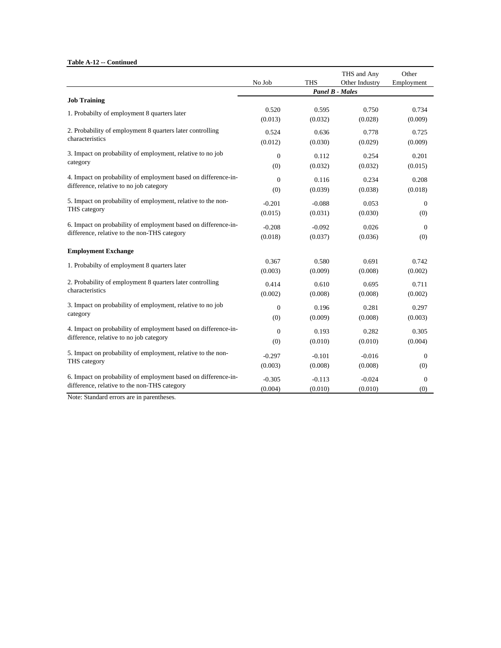**Table A-12 -- Continued**

|                                                                              | No Job           | <b>THS</b>       | THS and Any<br>Other Industry | Other<br>Employment |
|------------------------------------------------------------------------------|------------------|------------------|-------------------------------|---------------------|
|                                                                              |                  |                  |                               |                     |
| <b>Job Training</b>                                                          |                  |                  |                               |                     |
| 1. Probabilty of employment 8 quarters later                                 | 0.520<br>(0.013) | 0.595<br>(0.032) | 0.750<br>(0.028)              | 0.734<br>(0.009)    |
| 2. Probability of employment 8 quarters later controlling<br>characteristics | 0.524<br>(0.012) | 0.636<br>(0.030) | 0.778<br>(0.029)              | 0.725<br>(0.009)    |
| 3. Impact on probability of employment, relative to no job                   | $\overline{0}$   | 0.112            | 0.254                         | 0.201               |
| category                                                                     | (0)              | (0.032)          | (0.032)                       | (0.015)             |
| 4. Impact on probability of employment based on difference-in-               | $\overline{0}$   | 0.116            | 0.234                         | 0.208               |
| difference, relative to no job category                                      | (0)              | (0.039)          | (0.038)                       | (0.018)             |
| 5. Impact on probability of employment, relative to the non-<br>THS category | $-0.201$         | $-0.088$         | 0.053                         | $\mathbf{0}$        |
|                                                                              | (0.015)          | (0.031)          | (0.030)                       | (0)                 |
| 6. Impact on probability of employment based on difference-in-               | $-0.208$         | $-0.092$         | 0.026                         | $\mathbf{0}$        |
| difference, relative to the non-THS category                                 | (0.018)          | (0.037)          | (0.036)                       | (0)                 |
| <b>Employment Exchange</b>                                                   |                  |                  |                               |                     |
| 1. Probabilty of employment 8 quarters later                                 | 0.367            | 0.580            | 0.691                         | 0.742               |
|                                                                              | (0.003)          | (0.009)          | (0.008)                       | (0.002)             |
| 2. Probability of employment 8 quarters later controlling                    | 0.414            | 0.610            | 0.695                         | 0.711               |
| characteristics                                                              | (0.002)          | (0.008)          | (0.008)                       | (0.002)             |
| 3. Impact on probability of employment, relative to no job                   | $\overline{0}$   | 0.196            | 0.281                         | 0.297               |
| category                                                                     | (0)              | (0.009)          | (0.008)                       | (0.003)             |
| 4. Impact on probability of employment based on difference-in-               | $\mathbf{0}$     | 0.193            | 0.282                         | 0.305               |
| difference, relative to no job category                                      | (0)              | (0.010)          | (0.010)                       | (0.004)             |
| 5. Impact on probability of employment, relative to the non-                 | $-0.297$         | $-0.101$         | $-0.016$                      | $\overline{0}$      |
| THS category                                                                 | (0.003)          | (0.008)          | (0.008)                       | (0)                 |
| 6. Impact on probability of employment based on difference-in-               | $-0.305$         | $-0.113$         | $-0.024$                      | $\boldsymbol{0}$    |
| difference, relative to the non-THS category                                 | (0.004)          | (0.010)          | (0.010)                       | (0)                 |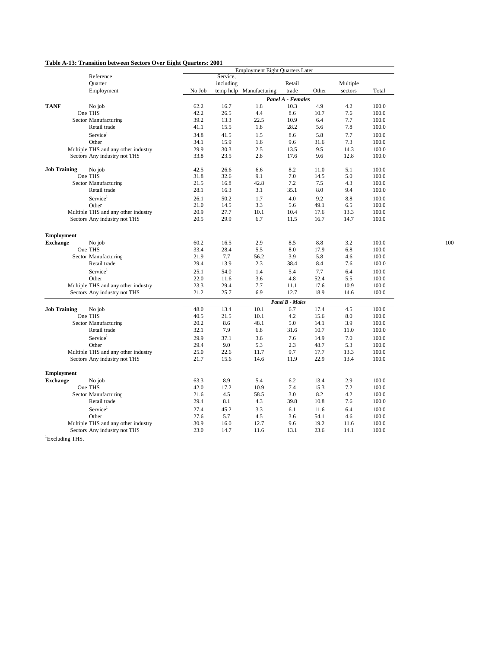### **Table A-13: Transition between Sectors Over Eight Quarters: 2001**

|                     |                                                                     |              | <b>Employment Eight Quarters Later</b> |                         |                        |              |              |                |
|---------------------|---------------------------------------------------------------------|--------------|----------------------------------------|-------------------------|------------------------|--------------|--------------|----------------|
|                     | Reference                                                           |              | Service,                               |                         |                        |              |              |                |
|                     | Quarter                                                             |              | including                              |                         | Retail                 |              | Multiple     |                |
|                     | Employment                                                          | No Job       |                                        | temp help Manufacturing | trade                  | Other        | sectors      | Total          |
|                     |                                                                     |              | Panel A - Females                      |                         |                        |              |              |                |
| <b>TANF</b>         | No job                                                              | 62.2         | 16.7                                   | 1.8                     | 10.3                   | 4.9          | 4.2          | 100.0          |
|                     | One THS                                                             | 42.2         | 26.5                                   | 4.4                     | 8.6                    | 10.7         | 7.6          | 100.0          |
|                     | Sector Manufacturing                                                | 39.2         | 13.3                                   | 22.5                    | 10.9                   | 6.4          | 7.7          | 100.0          |
|                     | Retail trade                                                        | 41.1         | 15.5                                   | 1.8                     | 28.2                   | 5.6          | 7.8          | 100.0          |
|                     | Service <sup>1</sup>                                                | 34.8         | 41.5                                   | 1.5                     | 8.6                    | 5.8          | 7.7          | 100.0          |
|                     | Other                                                               | 34.1         | 15.9                                   | 1.6                     | 9.6                    | 31.6         | 7.3          | 100.0          |
|                     | Multiple THS and any other industry                                 | 29.9         | 30.3                                   | 2.5                     | 13.5                   | 9.5          | 14.3         | 100.0          |
|                     | Sectors Any industry not THS                                        | 33.8         | 23.5                                   | 2.8                     | 17.6                   | 9.6          | 12.8         | 100.0          |
| <b>Job Training</b> | No job                                                              | 42.5         | 26.6                                   | 6.6                     | 8.2                    | 11.0         | 5.1          | 100.0          |
|                     | One THS                                                             | 31.8         | 32.6                                   | 9.1                     | 7.0                    | 14.5         | 5.0          | 100.0          |
|                     | Sector Manufacturing                                                | 21.5         | 16.8                                   | 42.8                    | 7.2                    | 7.5          | 4.3          | 100.0          |
|                     | Retail trade                                                        | 28.1         | 16.3                                   | 3.1                     | 35.1                   | 8.0          | 9.4          | 100.0          |
|                     | Service <sup>1</sup>                                                | 26.1         | 50.2                                   | 1.7                     | 4.0                    | 9.2          | 8.8          | 100.0          |
|                     | Other                                                               | 21.0         | 14.5                                   | 3.3                     | 5.6                    | 49.1         | 6.5          | 100.0          |
|                     | Multiple THS and any other industry                                 | 20.9         | 27.7                                   | 10.1                    | 10.4                   | 17.6         | 13.3         | 100.0          |
|                     | Sectors Any industry not THS                                        | 20.5         | 29.9                                   | 6.7                     | 11.5                   | 16.7         | 14.7         | 100.0          |
|                     |                                                                     |              |                                        |                         |                        |              |              |                |
| <b>Employment</b>   |                                                                     |              |                                        |                         |                        |              |              |                |
| <b>Exchange</b>     | No job                                                              | 60.2         | 16.5                                   | 2.9                     | 8.5                    | 8.8          | 3.2          | 100.0          |
|                     | One THS                                                             | 33.4         | 28.4                                   | 5.5                     | 8.0                    | 17.9         | 6.8          | 100.0          |
|                     | Sector Manufacturing                                                | 21.9         | 7.7                                    | 56.2                    | 3.9                    | 5.8          | 4.6          | 100.0          |
|                     | Retail trade                                                        | 29.4         | 13.9                                   | 2.3                     | 38.4                   | 8.4          | 7.6          | 100.0          |
|                     | Service <sup>1</sup>                                                | 25.1         | 54.0                                   | 1.4                     | 5.4                    | 7.7          | 6.4          | 100.0          |
|                     | Other                                                               | 22.0         | 11.6                                   | 3.6                     | 4.8                    | 52.4         | 5.5          | 100.0          |
|                     | Multiple THS and any other industry                                 | 23.3         | 29.4                                   | 7.7                     | 11.1                   | 17.6         | 10.9         | 100.0          |
|                     | Sectors Any industry not THS                                        | 21.2         | 25.7                                   | 6.9                     | 12.7                   | 18.9         | 14.6         | 100.0          |
|                     |                                                                     |              |                                        |                         | <b>Panel B - Males</b> |              |              |                |
| <b>Job Training</b> | No job                                                              | 48.0         | 13.4                                   | 10.1                    | 6.7                    | 17.4         | 4.5          | 100.0          |
|                     | One THS                                                             | 40.5         | 21.5                                   | 10.1                    | 4.2                    | 15.6         | 8.0          | 100.0          |
|                     | Sector Manufacturing                                                | 20.2         | 8.6                                    | 48.1                    | 5.0                    | 14.1         | 3.9          | 100.0          |
|                     | Retail trade                                                        | 32.1         | 7.9                                    | 6.8                     | 31.6                   | 10.7         | 11.0         | 100.0          |
|                     | Service <sup>1</sup>                                                | 29.9         | 37.1                                   | 3.6                     | 7.6                    | 14.9         | 7.0          | 100.0          |
|                     | Other                                                               | 29.4         | 9.0                                    | 5.3                     | 2.3                    | 48.7         | 5.3          | 100.0          |
|                     | Multiple THS and any other industry                                 | 25.0         | 22.6                                   | 11.7                    | 9.7                    | 17.7         | 13.3         | 100.0          |
|                     | Sectors Any industry not THS                                        | 21.7         | 15.6                                   | 14.6                    | 11.9                   | 22.9         | 13.4         | 100.0          |
| <b>Employment</b>   |                                                                     |              |                                        |                         |                        |              |              |                |
| <b>Exchange</b>     | No job                                                              | 63.3         | 8.9                                    | 5.4                     | 6.2                    | 13.4         | 2.9          | 100.0          |
|                     | One THS                                                             | 42.0         | 17.2                                   | 10.9                    | 7.4                    | 15.3         | 7.2          | 100.0          |
|                     | Sector Manufacturing                                                | 21.6         | 4.5                                    | 58.5                    | 3.0                    | 8.2          | 4.2          | 100.0          |
|                     | Retail trade                                                        | 29.4         | 8.1                                    | 4.3                     | 39.8                   | 10.8         | 7.6          | 100.0          |
|                     | Service <sup>1</sup>                                                |              |                                        |                         |                        |              |              |                |
|                     |                                                                     | 27.4         | 45.2                                   | 3.3                     | 6.1                    | 11.6         | 6.4          | 100.0          |
|                     | Other                                                               | 27.6         | 5.7                                    | 4.5                     | 3.6<br>9.6             | 54.1         | 4.6          | 100.0          |
|                     | Multiple THS and any other industry<br>Sectors Any industry not THS | 30.9<br>23.0 | 16.0<br>14.7                           | 12.7<br>11.6            | 13.1                   | 19.2<br>23.6 | 11.6<br>14.1 | 100.0<br>100.0 |
|                     |                                                                     |              |                                        |                         |                        |              |              |                |

<sup>1</sup>Excluding THS.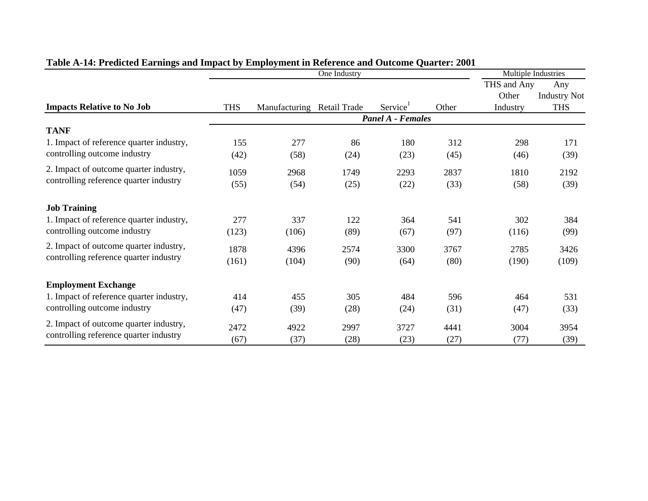| Ō                                                                                |                          |                            |      | Multiple Industries  |       |             |                     |  |  |
|----------------------------------------------------------------------------------|--------------------------|----------------------------|------|----------------------|-------|-------------|---------------------|--|--|
|                                                                                  |                          |                            |      |                      |       | THS and Any | Any                 |  |  |
|                                                                                  |                          |                            |      |                      |       | Other       | <b>Industry Not</b> |  |  |
| <b>Impacts Relative to No Job</b>                                                | <b>THS</b>               | Manufacturing Retail Trade |      | Service <sup>1</sup> | Other | Industry    | <b>THS</b>          |  |  |
|                                                                                  | <b>Panel A - Females</b> |                            |      |                      |       |             |                     |  |  |
| <b>TANF</b>                                                                      |                          |                            |      |                      |       |             |                     |  |  |
| 1. Impact of reference quarter industry,                                         | 155                      | 277                        | 86   | 180                  | 312   | 298         | 171                 |  |  |
| controlling outcome industry                                                     | (42)                     | (58)                       | (24) | (23)                 | (45)  | (46)        | (39)                |  |  |
| 2. Impact of outcome quarter industry,<br>controlling reference quarter industry | 1059                     | 2968                       | 1749 | 2293                 | 2837  | 1810        | 2192                |  |  |
|                                                                                  | (55)                     | (54)                       | (25) | (22)                 | (33)  | (58)        | (39)                |  |  |
| <b>Job Training</b>                                                              |                          |                            |      |                      |       |             |                     |  |  |
| 1. Impact of reference quarter industry,                                         | 277                      | 337                        | 122  | 364                  | 541   | 302         | 384                 |  |  |
| controlling outcome industry                                                     | (123)                    | (106)                      | (89) | (67)                 | (97)  | (116)       | (99)                |  |  |
| 2. Impact of outcome quarter industry,                                           | 1878                     | 4396                       | 2574 | 3300                 | 3767  | 2785        | 3426                |  |  |
| controlling reference quarter industry                                           | (161)                    | (104)                      | (90) | (64)                 | (80)  | (190)       | (109)               |  |  |
| <b>Employment Exchange</b>                                                       |                          |                            |      |                      |       |             |                     |  |  |
| 1. Impact of reference quarter industry,                                         | 414                      | 455                        | 305  | 484                  | 596   | 464         | 531                 |  |  |
| controlling outcome industry                                                     | (47)                     | (39)                       | (28) | (24)                 | (31)  | (47)        | (33)                |  |  |
| 2. Impact of outcome quarter industry,                                           | 2472                     | 4922                       | 2997 | 3727                 | 4441  | 3004        | 3954                |  |  |
| controlling reference quarter industry                                           | (67)                     | (37)                       | (28) | (23)                 | (27)  | (77)        | (39)                |  |  |

# **Table A-14: Predicted Earnings and Impact by Employment in Reference and Outcome Quarter: 2001**